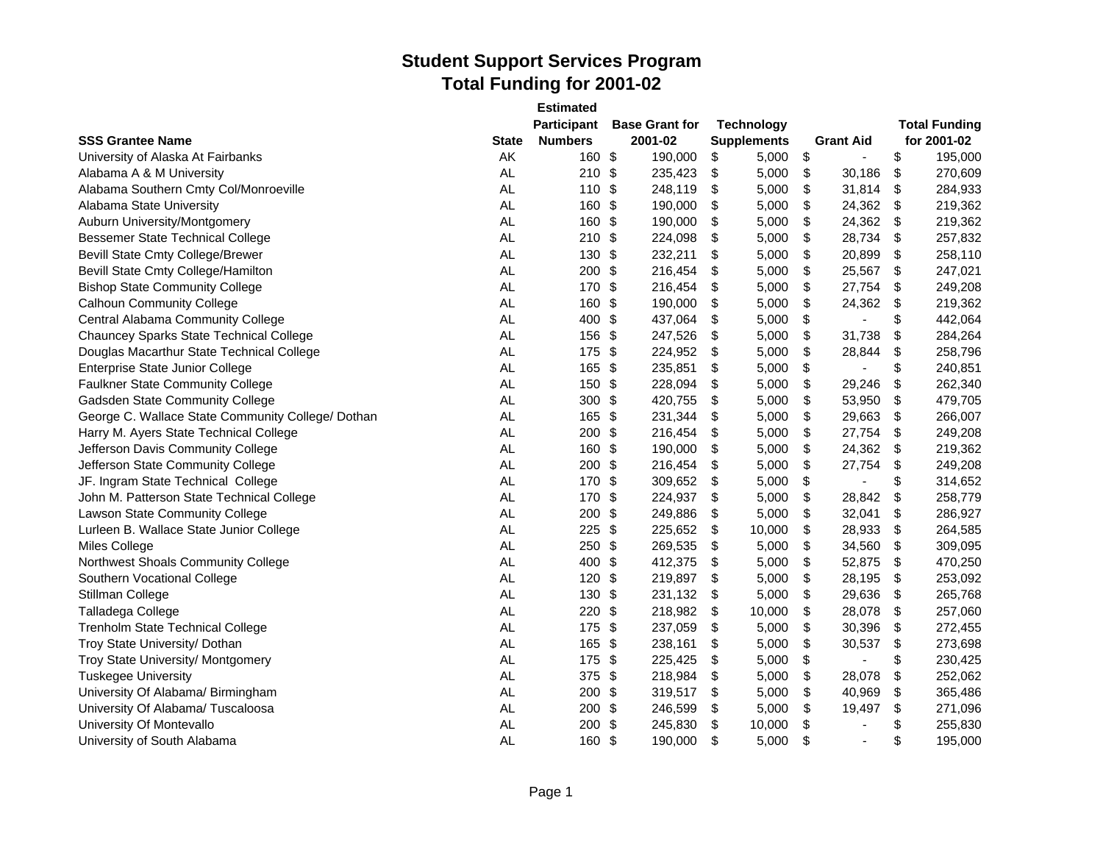|                                                   |           | <b>Estimated</b>   |               |                       |                    |                                |                      |
|---------------------------------------------------|-----------|--------------------|---------------|-----------------------|--------------------|--------------------------------|----------------------|
|                                                   |           | <b>Participant</b> |               | <b>Base Grant for</b> | <b>Technology</b>  |                                | <b>Total Funding</b> |
| <b>SSS Grantee Name</b>                           | State     | <b>Numbers</b>     |               | 2001-02               | <b>Supplements</b> | <b>Grant Aid</b>               | for 2001-02          |
| University of Alaska At Fairbanks                 | AK        | 160 \$             |               | 190,000               | \$<br>5,000        | \$<br>$\blacksquare$           | \$<br>195,000        |
| Alabama A & M University                          | <b>AL</b> | 210                | \$            | 235,423               | \$<br>5,000        | \$<br>30,186                   | \$<br>270,609        |
| Alabama Southern Cmty Col/Monroeville             | AL        | 110 \$             |               | 248,119               | \$<br>5,000        | \$<br>31,814                   | \$<br>284,933        |
| Alabama State University                          | <b>AL</b> | 160 \$             |               | 190,000               | \$<br>5,000        | \$<br>24,362                   | \$<br>219,362        |
| Auburn University/Montgomery                      | <b>AL</b> | 160                | \$            | 190,000               | \$<br>5,000        | \$<br>24,362                   | \$<br>219,362        |
| <b>Bessemer State Technical College</b>           | AL        | 210                | \$            | 224,098               | \$<br>5,000        | \$<br>28,734                   | \$<br>257,832        |
| <b>Bevill State Cmty College/Brewer</b>           | <b>AL</b> | 130                | \$            | 232,211               | \$<br>5,000        | \$<br>20,899                   | \$<br>258,110        |
| Bevill State Cmty College/Hamilton                | AL.       | 200                | -\$           | 216,454               | \$<br>5,000        | \$<br>25,567                   | \$<br>247,021        |
| <b>Bishop State Community College</b>             | AL.       | 170                | -\$           | 216,454               | \$<br>5,000        | \$<br>27,754                   | \$<br>249,208        |
| <b>Calhoun Community College</b>                  | <b>AL</b> | 160                | \$            | 190,000               | \$<br>5,000        | \$<br>24,362                   | \$<br>219,362        |
| Central Alabama Community College                 | AL.       | 400                | -\$           | 437,064               | \$<br>5,000        | \$<br>$\blacksquare$           | \$<br>442,064        |
| <b>Chauncey Sparks State Technical College</b>    | <b>AL</b> | 156                | -\$           | 247,526               | \$<br>5,000        | \$<br>31,738                   | \$<br>284,264        |
| Douglas Macarthur State Technical College         | <b>AL</b> | 175                | \$            | 224,952               | \$<br>5,000        | \$<br>28,844                   | \$<br>258,796        |
| Enterprise State Junior College                   | <b>AL</b> | 165                | \$            | 235,851               | \$<br>5,000        | \$<br>$\blacksquare$           | \$<br>240,851        |
| Faulkner State Community College                  | AL        | 150                | \$            | 228,094               | \$<br>5,000        | \$<br>29,246                   | \$<br>262,340        |
| Gadsden State Community College                   | <b>AL</b> | 300                | $\frac{1}{2}$ | 420,755               | \$<br>5,000        | \$<br>53,950                   | \$<br>479,705        |
| George C. Wallace State Community College/ Dothan | AL.       | 165                | \$            | 231,344               | \$<br>5,000        | \$<br>29,663                   | \$<br>266,007        |
| Harry M. Ayers State Technical College            | <b>AL</b> | 200                | \$            | 216,454               | \$<br>5,000        | \$<br>27,754                   | \$<br>249,208        |
| Jefferson Davis Community College                 | AL        | 160                | $\frac{1}{2}$ | 190,000               | \$<br>5,000        | \$<br>24,362                   | \$<br>219,362        |
| Jefferson State Community College                 | AL        | 200                | \$            | 216,454               | \$<br>5,000        | \$<br>27,754                   | \$<br>249,208        |
| JF. Ingram State Technical College                | AL.       | 170                | \$            | 309,652               | \$<br>5,000        | \$<br>$\blacksquare$           | \$<br>314,652        |
| John M. Patterson State Technical College         | <b>AL</b> | 170                | \$            | 224,937               | \$<br>5,000        | \$<br>28,842                   | \$<br>258,779        |
| Lawson State Community College                    | <b>AL</b> | 200                | \$            | 249,886               | \$<br>5,000        | \$<br>32,041                   | \$<br>286,927        |
| Lurleen B. Wallace State Junior College           | AL.       | 225                | \$            | 225,652               | \$<br>10,000       | \$<br>28,933                   | \$<br>264,585        |
| Miles College                                     | <b>AL</b> | 250                | \$            | 269,535               | \$<br>5,000        | \$<br>34,560                   | \$<br>309,095        |
| Northwest Shoals Community College                | <b>AL</b> | 400                | -\$           | 412,375               | \$<br>5,000        | \$<br>52,875                   | \$<br>470,250        |
| Southern Vocational College                       | <b>AL</b> | 120                | \$            | 219,897               | \$<br>5,000        | \$<br>28,195                   | \$<br>253,092        |
| Stillman College                                  | <b>AL</b> | 130                | \$            | 231,132               | \$<br>5,000        | \$<br>29,636                   | \$<br>265,768        |
| Talladega College                                 | AL        | 220                | \$            | 218,982               | \$<br>10,000       | \$<br>28,078                   | \$<br>257,060        |
| <b>Trenholm State Technical College</b>           | AL        | 175                | \$            | 237,059               | \$<br>5,000        | \$<br>30,396                   | \$<br>272,455        |
| Troy State University/ Dothan                     | <b>AL</b> | 165                | \$            | 238,161               | \$<br>5,000        | \$<br>30,537                   | \$<br>273,698        |
| Troy State University/ Montgomery                 | <b>AL</b> | 175                | \$            | 225,425               | \$<br>5,000        | \$<br>$\overline{\phantom{a}}$ | \$<br>230,425        |
| <b>Tuskegee University</b>                        | AL        | 375                | $\frac{1}{2}$ | 218,984               | \$<br>5,000        | \$<br>28,078                   | \$<br>252,062        |
| University Of Alabama/ Birmingham                 | <b>AL</b> | 200                | \$            | 319,517               | \$<br>5,000        | \$<br>40,969                   | \$<br>365,486        |
| University Of Alabama/ Tuscaloosa                 | <b>AL</b> | 200                | \$            | 246,599               | \$<br>5,000        | \$<br>19,497                   | \$<br>271,096        |
| University Of Montevallo                          | AL.       | 200                | \$            | 245,830               | \$<br>10,000       | \$<br>÷,                       | \$<br>255,830        |
| University of South Alabama                       | <b>AL</b> | 160                | -\$           | 190,000               | \$<br>5,000        | \$<br>$\blacksquare$           | \$<br>195,000        |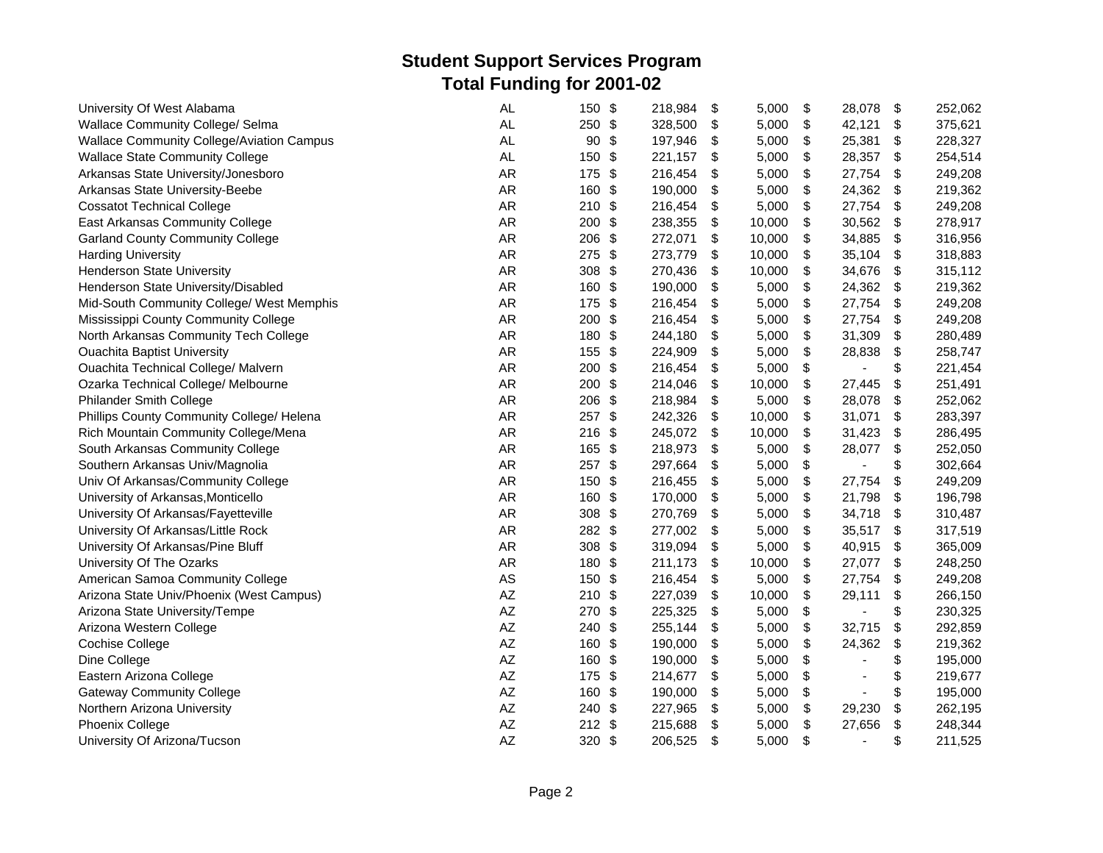| University Of West Alabama                | <b>AL</b>              | 150 \$               | 218,984 | \$<br>5,000  | \$<br>28,078                   | \$                        | 252,062 |
|-------------------------------------------|------------------------|----------------------|---------|--------------|--------------------------------|---------------------------|---------|
| Wallace Community College/ Selma          | <b>AL</b>              | 250 \$               | 328,500 | \$<br>5,000  | \$<br>42,121                   | \$                        | 375,621 |
| Wallace Community College/Aviation Campus | <b>AL</b>              | 90<br>\$             | 197,946 | \$<br>5,000  | \$<br>25,381                   | \$                        | 228,327 |
| <b>Wallace State Community College</b>    | <b>AL</b>              | 150<br>\$            | 221,157 | \$<br>5,000  | \$<br>28,357                   | \$                        | 254,514 |
| Arkansas State University/Jonesboro       | <b>AR</b>              | 175<br>\$            | 216,454 | \$<br>5,000  | \$<br>27,754                   | \$                        | 249,208 |
| Arkansas State University-Beebe           | <b>AR</b>              | 160<br>\$            | 190,000 | \$<br>5,000  | \$<br>24,362                   | \$                        | 219,362 |
| <b>Cossatot Technical College</b>         | AR                     | 210<br>-\$           | 216,454 | \$<br>5,000  | \$<br>27,754                   | \$                        | 249,208 |
| East Arkansas Community College           | AR                     | 200<br>\$            | 238,355 | \$<br>10,000 | \$<br>30,562                   | \$                        | 278,917 |
| <b>Garland County Community College</b>   | AR                     | \$<br>206            | 272,071 | \$<br>10,000 | \$<br>34,885                   | $\boldsymbol{\mathsf{S}}$ | 316,956 |
| <b>Harding University</b>                 | AR                     | 275<br>\$            | 273,779 | \$<br>10,000 | \$<br>35,104                   | \$                        | 318,883 |
| Henderson State University                | AR                     | 308<br>\$            | 270,436 | \$<br>10,000 | \$<br>34,676                   | \$                        | 315,112 |
| Henderson State University/Disabled       | <b>AR</b>              | 160<br>\$            | 190,000 | \$<br>5,000  | \$<br>24,362                   | \$                        | 219,362 |
| Mid-South Community College/ West Memphis | AR                     | 175 \$               | 216,454 | \$<br>5,000  | \$<br>27,754                   | \$                        | 249,208 |
| Mississippi County Community College      | <b>AR</b>              | 200<br>-\$           | 216,454 | \$<br>5,000  | \$<br>27,754                   | \$                        | 249,208 |
| North Arkansas Community Tech College     | <b>AR</b>              | 180 \$               | 244,180 | \$<br>5,000  | \$<br>31,309                   | \$                        | 280,489 |
| <b>Ouachita Baptist University</b>        | AR                     | 155<br>\$            | 224,909 | \$<br>5,000  | \$<br>28,838                   | \$                        | 258,747 |
| Ouachita Technical College/ Malvern       | AR                     | \$<br>200            | 216,454 | \$<br>5,000  | \$<br>$\overline{\phantom{a}}$ | \$                        | 221,454 |
| Ozarka Technical College/ Melbourne       | <b>AR</b>              | 200<br>\$            | 214,046 | \$<br>10,000 | \$<br>27,445                   | \$                        | 251,491 |
| Philander Smith College                   | <b>AR</b>              | 206<br>$\frac{1}{2}$ | 218,984 | \$<br>5,000  | \$<br>28,078                   | \$                        | 252,062 |
| Phillips County Community College/ Helena | <b>AR</b>              | 257 \$               | 242,326 | \$<br>10,000 | \$<br>31,071                   | \$                        | 283,397 |
| Rich Mountain Community College/Mena      | <b>AR</b>              | 216<br>-\$           | 245,072 | \$<br>10,000 | \$<br>31,423                   | \$                        | 286,495 |
| South Arkansas Community College          | <b>AR</b>              | 165<br>\$            | 218,973 | \$<br>5,000  | \$<br>28,077                   | \$                        | 252,050 |
| Southern Arkansas Univ/Magnolia           | <b>AR</b>              | 257<br>\$            | 297,664 | \$<br>5,000  | \$<br>$\overline{a}$           | \$                        | 302,664 |
| Univ Of Arkansas/Community College        | AR                     | 150<br>\$            | 216,455 | \$<br>5,000  | \$<br>27,754                   | \$                        | 249,209 |
| University of Arkansas, Monticello        | AR                     | \$<br>160            | 170,000 | \$<br>5,000  | \$<br>21,798                   | $\boldsymbol{\mathsf{S}}$ | 196,798 |
| University Of Arkansas/Fayetteville       | <b>AR</b>              | 308<br>\$            | 270,769 | \$<br>5,000  | \$<br>34,718                   | \$                        | 310,487 |
| University Of Arkansas/Little Rock        | AR                     | 282<br>\$            | 277,002 | \$<br>5,000  | \$<br>35,517                   | \$                        | 317,519 |
| University Of Arkansas/Pine Bluff         | AR                     | 308<br>-\$           | 319,094 | \$<br>5,000  | \$<br>40,915                   | \$                        | 365,009 |
| University Of The Ozarks                  | AR                     | 180<br>\$            | 211,173 | \$<br>10,000 | \$<br>27,077                   | \$                        | 248,250 |
| American Samoa Community College          | AS                     | 150<br>\$            | 216,454 | \$<br>5,000  | \$<br>27,754                   | \$                        | 249,208 |
| Arizona State Univ/Phoenix (West Campus)  | AZ                     | $210$ \$             | 227,039 | \$<br>10,000 | \$<br>29,111                   | \$                        | 266,150 |
| Arizona State University/Tempe            | AZ                     | \$<br>270            | 225,325 | \$<br>5,000  | \$<br>$\overline{\phantom{a}}$ | \$                        | 230,325 |
| Arizona Western College                   | AZ                     | 240<br>\$            | 255,144 | \$<br>5,000  | \$<br>32,715                   | $\boldsymbol{\mathsf{S}}$ | 292,859 |
| Cochise College                           | AZ                     | 160<br>\$            | 190,000 | \$<br>5,000  | \$<br>24,362                   | \$                        | 219,362 |
| Dine College                              | AZ                     | 160<br>\$            | 190,000 | \$<br>5,000  | \$                             | \$                        | 195,000 |
| Eastern Arizona College                   | AZ                     | 175<br>-\$           | 214,677 | \$<br>5,000  | \$                             | \$                        | 219,677 |
| <b>Gateway Community College</b>          | $\mathsf{A}\mathsf{Z}$ | 160<br>\$            | 190,000 | \$<br>5,000  | \$                             | \$                        | 195,000 |
| Northern Arizona University               | AZ                     | 240<br>\$            | 227,965 | \$<br>5,000  | \$<br>29,230                   | \$                        | 262,195 |
| Phoenix College                           | AZ                     | $212$ \$             | 215,688 | \$<br>5,000  | \$<br>27,656                   | \$                        | 248,344 |
| University Of Arizona/Tucson              | AZ                     | 320 \$               | 206,525 | \$<br>5,000  | \$<br>$\blacksquare$           | \$                        | 211,525 |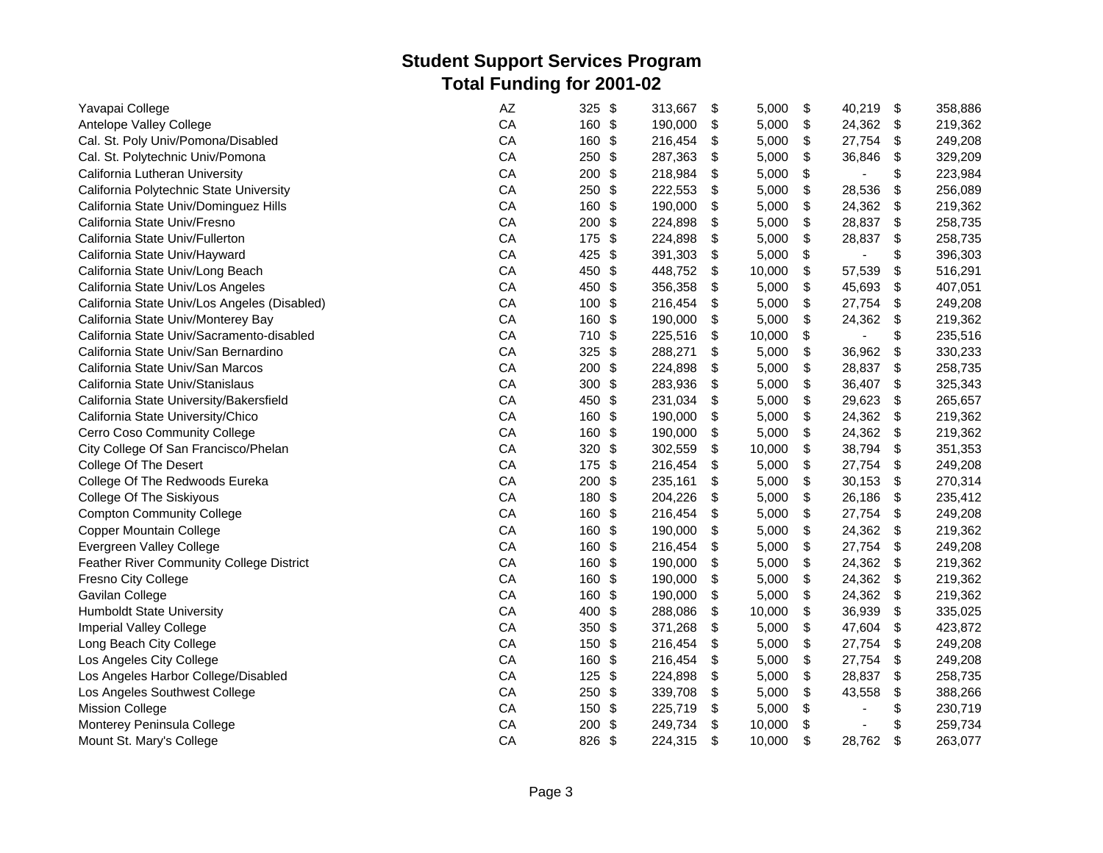| Yavapai College                                 | AZ | \$<br>325                        | 313,667 | \$<br>5,000  | \$<br>40,219         | -\$                       | 358,886 |
|-------------------------------------------------|----|----------------------------------|---------|--------------|----------------------|---------------------------|---------|
| Antelope Valley College                         | CA | 160 \$                           | 190,000 | \$<br>5,000  | \$<br>24,362         | \$                        | 219,362 |
| Cal. St. Poly Univ/Pomona/Disabled              | CA | 160 \$                           | 216,454 | \$<br>5,000  | \$<br>27,754         | \$                        | 249,208 |
| Cal. St. Polytechnic Univ/Pomona                | CA | \$<br>250                        | 287,363 | \$<br>5,000  | \$<br>36,846         | \$                        | 329,209 |
| California Lutheran University                  | CA | 200<br>\$                        | 218,984 | \$<br>5,000  | \$<br>ä,             | \$                        | 223,984 |
| California Polytechnic State University         | CA | 250<br>\$                        | 222,553 | \$<br>5,000  | \$<br>28,536         | \$                        | 256,089 |
| California State Univ/Dominguez Hills           | CA | \$<br>160                        | 190,000 | \$<br>5,000  | \$<br>24,362         | \$                        | 219,362 |
| California State Univ/Fresno                    | CA | \$<br>200                        | 224,898 | \$<br>5,000  | \$<br>28,837         | \$                        | 258,735 |
| California State Univ/Fullerton                 | CA | 175<br>\$                        | 224,898 | \$<br>5,000  | \$<br>28,837         | \$                        | 258,735 |
| California State Univ/Hayward                   | CA | 425<br>\$                        | 391,303 | \$<br>5,000  | \$<br>$\blacksquare$ | \$                        | 396,303 |
| California State Univ/Long Beach                | CA | \$<br>450                        | 448,752 | \$<br>10,000 | \$<br>57,539         | \$                        | 516,291 |
| California State Univ/Los Angeles               | CA | 450<br>\$                        | 356,358 | \$<br>5,000  | \$<br>45,693         | \$                        | 407,051 |
| California State Univ/Los Angeles (Disabled)    | CA | \$<br>100                        | 216,454 | \$<br>5,000  | \$<br>27,754         | \$                        | 249,208 |
| California State Univ/Monterey Bay              | CA | \$<br>160                        | 190,000 | \$<br>5,000  | \$<br>24,362         | \$                        | 219,362 |
| California State Univ/Sacramento-disabled       | CA | 710<br>-\$                       | 225,516 | \$<br>10,000 | \$                   | \$                        | 235,516 |
| California State Univ/San Bernardino            | CA | \$<br>325                        | 288,271 | \$<br>5,000  | \$<br>36,962         | \$                        | 330,233 |
| California State Univ/San Marcos                | CA | 200<br>\$                        | 224,898 | \$<br>5,000  | \$<br>28,837         | $\boldsymbol{\mathsf{S}}$ | 258,735 |
| California State Univ/Stanislaus                | CA | $\boldsymbol{\mathsf{S}}$<br>300 | 283,936 | \$<br>5,000  | \$<br>36,407         | $\boldsymbol{\mathsf{S}}$ | 325,343 |
| California State University/Bakersfield         | CA | 450<br>\$                        | 231,034 | \$<br>5,000  | \$<br>29,623         | \$                        | 265,657 |
| California State University/Chico               | CA | \$<br>160                        | 190,000 | \$<br>5,000  | \$<br>24,362         | \$                        | 219,362 |
| Cerro Coso Community College                    | CA | \$<br>160                        | 190,000 | \$<br>5,000  | \$<br>24,362         | \$                        | 219,362 |
| City College Of San Francisco/Phelan            | CA | 320<br>\$                        | 302,559 | \$<br>10,000 | \$<br>38,794         | \$                        | 351,353 |
| College Of The Desert                           | CA | \$<br>175                        | 216,454 | \$<br>5,000  | \$<br>27,754         | \$                        | 249,208 |
| College Of The Redwoods Eureka                  | CA | 200<br>\$                        | 235,161 | \$<br>5,000  | \$<br>30,153         | \$                        | 270,314 |
| College Of The Siskiyous                        | CA | 180<br>\$                        | 204,226 | \$<br>5,000  | \$<br>26,186         | $\boldsymbol{\mathsf{S}}$ | 235,412 |
| <b>Compton Community College</b>                | CA | 160<br>\$                        | 216,454 | \$<br>5,000  | \$<br>27,754         | \$                        | 249,208 |
| Copper Mountain College                         | CA | \$<br>160                        | 190,000 | \$<br>5,000  | \$<br>24,362         | \$                        | 219,362 |
| Evergreen Valley College                        | CA | \$<br>160                        | 216,454 | \$<br>5,000  | \$<br>27,754         | \$                        | 249,208 |
| <b>Feather River Community College District</b> | CA | \$<br>160                        | 190,000 | \$<br>5,000  | \$<br>24,362         | \$                        | 219,362 |
| Fresno City College                             | CA | 160<br>\$                        | 190,000 | \$<br>5,000  | \$<br>24,362         | -\$                       | 219,362 |
| Gavilan College                                 | CA | \$<br>160                        | 190,000 | \$<br>5,000  | \$<br>24,362         | \$                        | 219,362 |
| Humboldt State University                       | CA | \$<br>400                        | 288,086 | \$<br>10,000 | \$<br>36,939         | $\boldsymbol{\mathsf{S}}$ | 335,025 |
| <b>Imperial Valley College</b>                  | CA | 350<br>\$                        | 371,268 | \$<br>5,000  | \$<br>47,604         | \$                        | 423,872 |
| Long Beach City College                         | CA | 150<br>\$                        | 216,454 | \$<br>5,000  | \$<br>27,754         | \$                        | 249,208 |
| Los Angeles City College                        | CA | 160<br>\$                        | 216,454 | \$<br>5,000  | \$<br>27,754         | \$                        | 249,208 |
| Los Angeles Harbor College/Disabled             | CA | \$<br>125                        | 224,898 | \$<br>5,000  | \$<br>28,837         | \$                        | 258,735 |
| Los Angeles Southwest College                   | CA | 250<br>\$                        | 339,708 | \$<br>5,000  | \$<br>43,558         | \$                        | 388,266 |
| <b>Mission College</b>                          | CA | 150<br>\$                        | 225,719 | \$<br>5,000  | \$                   | \$                        | 230,719 |
| Monterey Peninsula College                      | CA | 200<br>\$                        | 249,734 | \$<br>10,000 | \$                   | \$                        | 259,734 |
| Mount St. Mary's College                        | CA | 826<br>\$                        | 224,315 | \$<br>10,000 | \$<br>28,762         | \$                        | 263,077 |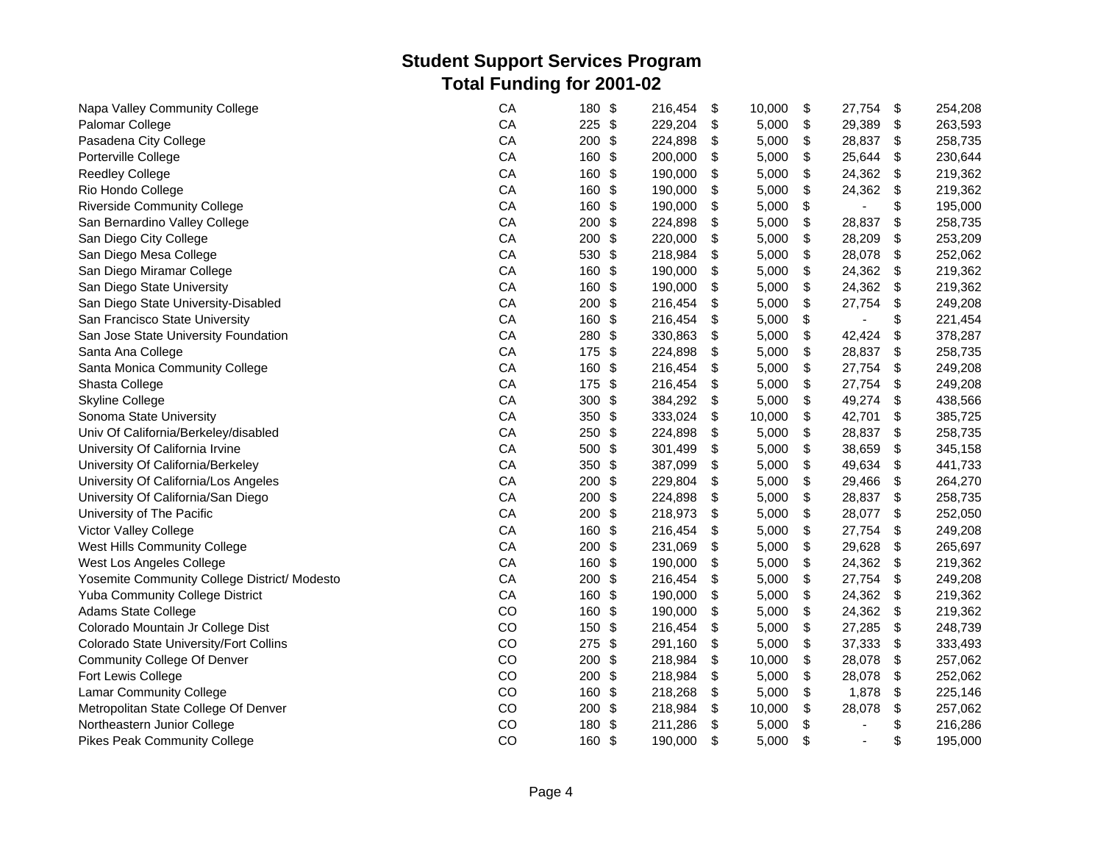| Napa Valley Community College                | CA         | \$<br>180                        | 216,454 | \$<br>10,000 | \$<br>27,754         | $\sqrt[6]{3}$             | 254,208 |
|----------------------------------------------|------------|----------------------------------|---------|--------------|----------------------|---------------------------|---------|
| Palomar College                              | CA         | $225$ \$                         | 229,204 | \$<br>5,000  | \$<br>29,389         | \$                        | 263,593 |
| Pasadena City College                        | CA         | 200<br>-\$                       | 224,898 | \$<br>5,000  | \$<br>28,837         | \$                        | 258,735 |
| Porterville College                          | CA         | 160<br>\$                        | 200,000 | \$<br>5,000  | \$<br>25,644         | \$                        | 230,644 |
| <b>Reedley College</b>                       | CA         | \$<br>160                        | 190,000 | \$<br>5,000  | \$<br>24,362         | \$                        | 219,362 |
| Rio Hondo College                            | CA         | 160<br>-\$                       | 190,000 | \$<br>5,000  | \$<br>24,362         | \$                        | 219,362 |
| <b>Riverside Community College</b>           | CA         | 160<br>\$                        | 190,000 | \$<br>5,000  | \$<br>ä,             | \$                        | 195,000 |
| San Bernardino Valley College                | CA         | \$<br>200                        | 224,898 | \$<br>5,000  | \$<br>28,837         | \$                        | 258,735 |
| San Diego City College                       | CA         | \$<br>200                        | 220,000 | \$<br>5,000  | \$<br>28,209         | \$                        | 253,209 |
| San Diego Mesa College                       | CA         | 530<br>\$                        | 218,984 | \$<br>5,000  | \$<br>28,078         | \$                        | 252,062 |
| San Diego Miramar College                    | CA         | 160<br>\$                        | 190,000 | \$<br>5,000  | \$<br>24,362         | \$                        | 219,362 |
| San Diego State University                   | CA         | 160<br>-\$                       | 190,000 | \$<br>5,000  | \$<br>24,362         | -\$                       | 219,362 |
| San Diego State University-Disabled          | CA         | \$<br>200                        | 216,454 | \$<br>5,000  | \$<br>27,754         | \$                        | 249,208 |
| San Francisco State University               | CA         | $\frac{1}{2}$<br>160             | 216,454 | \$<br>5,000  | \$                   | \$                        | 221,454 |
| San Jose State University Foundation         | CA         | 280<br>\$                        | 330,863 | \$<br>5,000  | \$<br>42,424         | \$                        | 378,287 |
| Santa Ana College                            | CA         | 175 \$                           | 224,898 | \$<br>5,000  | \$<br>28,837         | \$                        | 258,735 |
| Santa Monica Community College               | CA         | 160<br>-\$                       | 216,454 | \$<br>5,000  | \$<br>27,754         | $\boldsymbol{\mathsf{S}}$ | 249,208 |
| Shasta College                               | CA         | 175<br>-\$                       | 216,454 | \$<br>5,000  | \$<br>27,754         | \$                        | 249,208 |
| <b>Skyline College</b>                       | CA         | \$<br>300                        | 384,292 | \$<br>5,000  | \$<br>49,274         | \$                        | 438,566 |
| Sonoma State University                      | CA         | 350<br>\$                        | 333,024 | \$<br>10,000 | \$<br>42,701         | \$                        | 385,725 |
| Univ Of California/Berkeley/disabled         | CA         | \$<br>250                        | 224,898 | \$<br>5,000  | \$<br>28,837         | \$                        | 258,735 |
| University Of California Irvine              | ${\sf CA}$ | \$<br>500                        | 301,499 | \$<br>5,000  | \$<br>38,659         | \$                        | 345,158 |
| University Of California/Berkeley            | CA         | $\boldsymbol{\mathsf{S}}$<br>350 | 387,099 | \$<br>5,000  | \$<br>49,634         | \$                        | 441,733 |
| University Of California/Los Angeles         | CA         | \$<br>200                        | 229,804 | \$<br>5,000  | \$<br>29,466         | \$                        | 264,270 |
| University Of California/San Diego           | CA         | \$<br>200                        | 224,898 | \$<br>5,000  | \$<br>28,837         | \$                        | 258,735 |
| University of The Pacific                    | CA         | \$<br>200                        | 218,973 | \$<br>5,000  | \$<br>28,077         | \$                        | 252,050 |
| Victor Valley College                        | CA         | 160<br>\$                        | 216,454 | \$<br>5,000  | \$<br>27,754         | \$                        | 249,208 |
| West Hills Community College                 | CA         | \$<br>200                        | 231,069 | \$<br>5,000  | \$<br>29,628         | \$                        | 265,697 |
| West Los Angeles College                     | CA         | 160<br>\$                        | 190,000 | \$<br>5,000  | \$<br>24,362         | -\$                       | 219,362 |
| Yosemite Community College District/ Modesto | CA         | 200<br>-\$                       | 216,454 | \$<br>5,000  | \$<br>27,754         | \$                        | 249,208 |
| <b>Yuba Community College District</b>       | CA         | 160<br>-\$                       | 190,000 | \$<br>5,000  | \$<br>24,362 \$      |                           | 219,362 |
| Adams State College                          | CO         | 160 \$                           | 190,000 | \$<br>5,000  | \$<br>24,362         | $\sqrt[6]{\frac{1}{2}}$   | 219,362 |
| Colorado Mountain Jr College Dist            | CO         | 150<br>\$                        | 216,454 | \$<br>5,000  | \$<br>27,285         | \$                        | 248,739 |
| Colorado State University/Fort Collins       | CO         | 275<br>- \$                      | 291,160 | \$<br>5,000  | \$<br>37,333         | \$                        | 333,493 |
| <b>Community College Of Denver</b>           | CO         | 200<br>-\$                       | 218,984 | \$<br>10,000 | \$<br>28,078         | \$                        | 257,062 |
| Fort Lewis College                           | CO         | \$<br>200                        | 218,984 | \$<br>5,000  | \$<br>28,078         | \$                        | 252,062 |
| <b>Lamar Community College</b>               | CO         | 160<br>\$                        | 218,268 | \$<br>5,000  | \$<br>1,878          | \$                        | 225,146 |
| Metropolitan State College Of Denver         | CO         | \$<br>200                        | 218,984 | \$<br>10,000 | \$<br>28,078         | \$                        | 257,062 |
| Northeastern Junior College                  | CO         | \$<br>180                        | 211,286 | \$<br>5,000  | \$<br>$\overline{a}$ | \$                        | 216,286 |
| <b>Pikes Peak Community College</b>          | CO         | 160<br>\$                        | 190,000 | \$<br>5,000  | \$<br>÷,             | \$                        | 195,000 |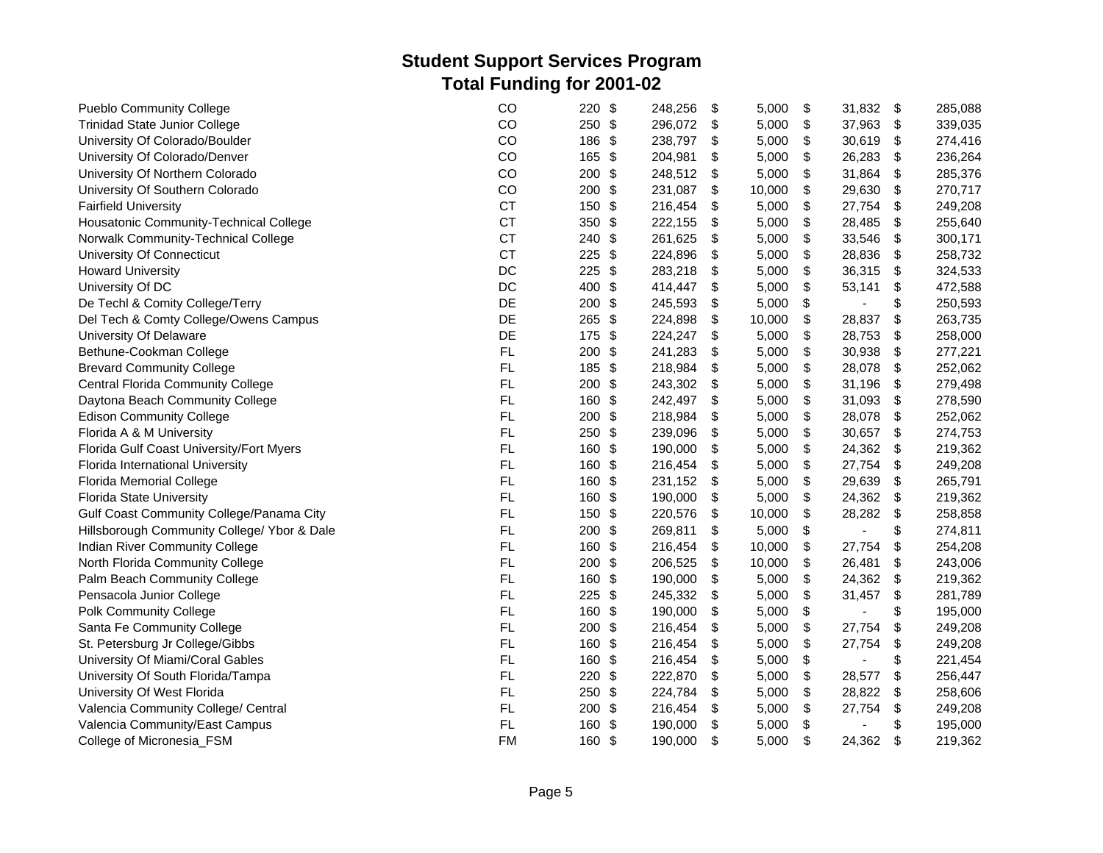| <b>Pueblo Community College</b>             | CO        | \$<br>220                        | 248,256 | \$<br>5,000  | \$<br>31,832         | \$                        | 285,088 |
|---------------------------------------------|-----------|----------------------------------|---------|--------------|----------------------|---------------------------|---------|
| <b>Trinidad State Junior College</b>        | CO        | $\frac{1}{2}$<br>250             | 296,072 | \$<br>5,000  | \$<br>37,963         | \$                        | 339,035 |
| University Of Colorado/Boulder              | CO        | 186<br>\$                        | 238,797 | \$<br>5,000  | \$<br>30,619         | \$                        | 274,416 |
| University Of Colorado/Denver               | CO        | \$<br>165                        | 204,981 | \$<br>5,000  | \$<br>26,283         | \$                        | 236,264 |
| University Of Northern Colorado             | CO        | 200<br>\$                        | 248,512 | \$<br>5,000  | \$<br>31,864         | \$                        | 285,376 |
| University Of Southern Colorado             | CO        | \$<br>200                        | 231,087 | \$<br>10,000 | \$<br>29,630         | \$                        | 270,717 |
| <b>Fairfield University</b>                 | <b>CT</b> | \$<br>150                        | 216,454 | \$<br>5,000  | \$<br>27,754         | \$                        | 249,208 |
| Housatonic Community-Technical College      | <b>CT</b> | 350<br>\$                        | 222,155 | \$<br>5,000  | \$<br>28,485         | \$                        | 255,640 |
| Norwalk Community-Technical College         | <b>CT</b> | 240<br>\$                        | 261,625 | \$<br>5,000  | \$<br>33,546         | $\boldsymbol{\mathsf{S}}$ | 300,171 |
| University Of Connecticut                   | <b>CT</b> | \$<br>225                        | 224,896 | \$<br>5,000  | \$<br>28,836         | \$                        | 258,732 |
| <b>Howard University</b>                    | DC        | 225<br>\$                        | 283,218 | \$<br>5,000  | \$<br>36,315         | \$                        | 324,533 |
| University Of DC                            | DC        | \$<br>400                        | 414,447 | \$<br>5,000  | \$<br>53,141         | \$                        | 472,588 |
| De Techl & Comity College/Terry             | DE        | \$<br>200                        | 245,593 | \$<br>5,000  | \$                   | \$                        | 250,593 |
| Del Tech & Comty College/Owens Campus       | DE        | 265<br>\$                        | 224,898 | \$<br>10,000 | \$<br>28,837         | \$                        | 263,735 |
| University Of Delaware                      | DE        | $\boldsymbol{\mathsf{S}}$<br>175 | 224,247 | \$<br>5,000  | \$<br>28,753         | \$                        | 258,000 |
| Bethune-Cookman College                     | FL.       | 200<br>\$                        | 241,283 | \$<br>5,000  | \$<br>30,938         | \$                        | 277,221 |
| <b>Brevard Community College</b>            | FL        | $\frac{1}{2}$<br>185             | 218,984 | \$<br>5,000  | \$<br>28,078         | \$                        | 252,062 |
| <b>Central Florida Community College</b>    | FL        | \$<br>200                        | 243,302 | \$<br>5,000  | \$<br>31,196         | \$                        | 279,498 |
| Daytona Beach Community College             | FL        | 160<br>\$                        | 242,497 | \$<br>5,000  | \$<br>31,093         | \$                        | 278,590 |
| <b>Edison Community College</b>             | FL        | \$<br>200                        | 218,984 | \$<br>5,000  | \$<br>28,078         | \$                        | 252,062 |
| Florida A & M University                    | <b>FL</b> | \$<br>250                        | 239,096 | \$<br>5,000  | \$<br>30,657         | \$                        | 274,753 |
| Florida Gulf Coast University/Fort Myers    | FL        | 160<br>\$                        | 190,000 | \$<br>5,000  | \$<br>24,362         | \$                        | 219,362 |
| Florida International University            | FL        | \$<br>160                        | 216,454 | \$<br>5,000  | \$<br>27,754         | \$                        | 249,208 |
| <b>Florida Memorial College</b>             | FL        | 160<br>\$                        | 231,152 | \$<br>5,000  | \$<br>29,639         | \$                        | 265,791 |
| <b>Florida State University</b>             | FL        | $\boldsymbol{\mathsf{S}}$<br>160 | 190,000 | \$<br>5,000  | \$<br>24,362         | \$                        | 219,362 |
| Gulf Coast Community College/Panama City    | FL.       | 150<br>\$                        | 220,576 | \$<br>10,000 | \$<br>28,282         | \$                        | 258,858 |
| Hillsborough Community College/ Ybor & Dale | FL        | \$<br>200                        | 269,811 | \$<br>5,000  | \$                   | \$                        | 274,811 |
| Indian River Community College              | FL        | \$<br>160                        | 216,454 | \$<br>10,000 | \$<br>27,754         | \$                        | 254,208 |
| North Florida Community College             | FL        | 200<br>\$                        | 206,525 | \$<br>10,000 | \$<br>26,481         | \$                        | 243,006 |
| Palm Beach Community College                | <b>FL</b> | \$<br>160                        | 190,000 | \$<br>5,000  | \$<br>24,362         | \$                        | 219,362 |
| Pensacola Junior College                    | FL        | 225<br>\$                        | 245,332 | \$<br>5,000  | \$<br>31,457         | \$                        | 281,789 |
| Polk Community College                      | FL        | \$<br>160                        | 190,000 | \$<br>5,000  | \$<br>$\blacksquare$ | \$                        | 195,000 |
| Santa Fe Community College                  | FL        | 200<br>\$                        | 216,454 | \$<br>5,000  | \$<br>27,754         | \$                        | 249,208 |
| St. Petersburg Jr College/Gibbs             | FL        | \$<br>160                        | 216,454 | \$<br>5,000  | \$<br>27,754         | \$                        | 249,208 |
| University Of Miami/Coral Gables            | FL        | \$<br>160                        | 216,454 | \$<br>5,000  | \$                   | \$                        | 221,454 |
| University Of South Florida/Tampa           | <b>FL</b> | \$<br>220                        | 222,870 | \$<br>5,000  | \$<br>28,577         | \$                        | 256,447 |
| University Of West Florida                  | FL        | 250<br>\$                        | 224,784 | \$<br>5,000  | \$<br>28,822         | \$                        | 258,606 |
| Valencia Community College/ Central         | FL.       | \$<br>200                        | 216,454 | \$<br>5,000  | \$<br>27,754         | \$                        | 249,208 |
| Valencia Community/East Campus              | <b>FL</b> | \$<br>160                        | 190,000 | \$<br>5,000  | \$                   | \$                        | 195,000 |
| College of Micronesia_FSM                   | <b>FM</b> | 160<br>\$                        | 190,000 | \$<br>5,000  | \$<br>24,362         | \$                        | 219,362 |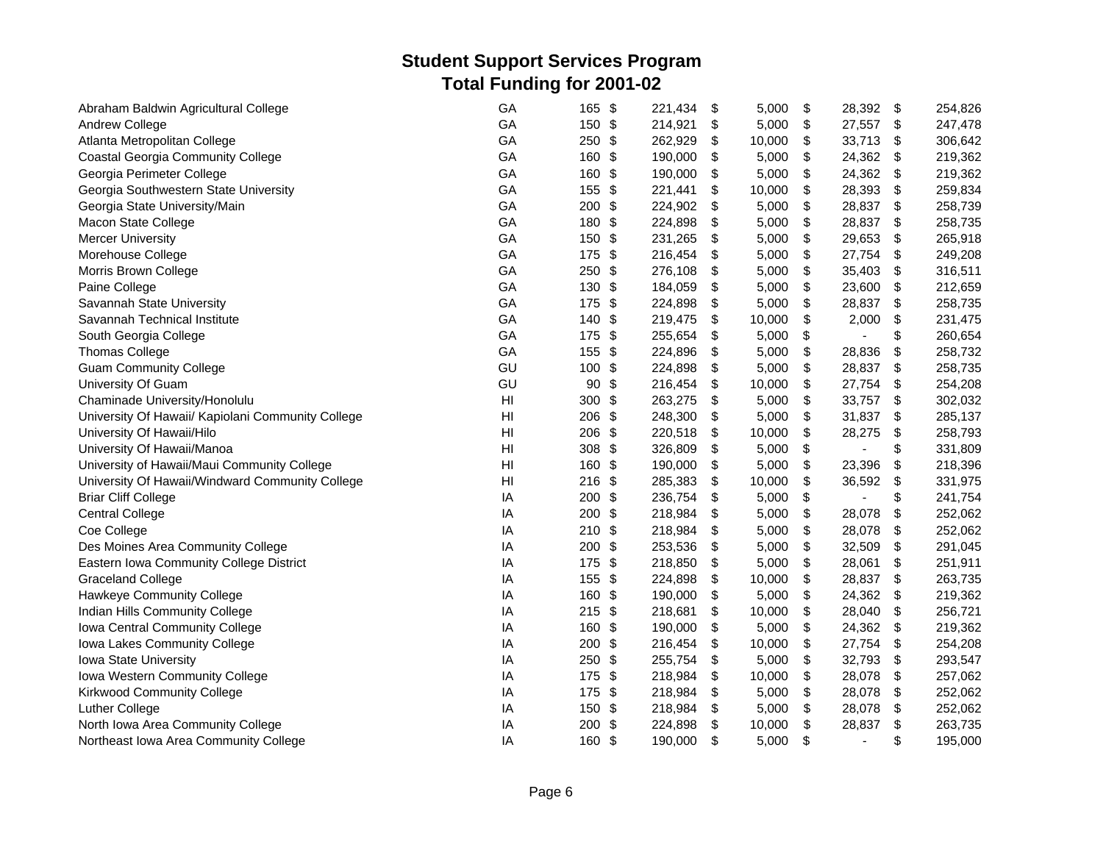| Abraham Baldwin Agricultural College              | GA                     | $\frac{1}{2}$<br>165             | 221,434 | \$<br>5,000  | \$<br>28,392         | \$                        | 254,826 |
|---------------------------------------------------|------------------------|----------------------------------|---------|--------------|----------------------|---------------------------|---------|
| Andrew College                                    | GA                     | 150 \$                           | 214,921 | \$<br>5,000  | \$<br>27,557         | \$                        | 247,478 |
| Atlanta Metropolitan College                      | GA                     | 250<br>\$                        | 262,929 | \$<br>10,000 | \$<br>33,713         | \$                        | 306,642 |
| <b>Coastal Georgia Community College</b>          | GA                     | 160<br>\$                        | 190,000 | \$<br>5,000  | \$<br>24,362         | \$                        | 219,362 |
| Georgia Perimeter College                         | GA                     | \$<br>160                        | 190,000 | \$<br>5,000  | \$<br>24,362         | \$                        | 219,362 |
| Georgia Southwestern State University             | GA                     | 155<br>\$                        | 221,441 | \$<br>10,000 | \$<br>28,393         | \$                        | 259,834 |
| Georgia State University/Main                     | GA                     | 200<br>\$                        | 224,902 | \$<br>5,000  | \$<br>28,837         | \$                        | 258,739 |
| Macon State College                               | GA                     | 180<br>\$                        | 224,898 | \$<br>5,000  | \$<br>28,837         | \$                        | 258,735 |
| <b>Mercer University</b>                          | GA                     | 150<br>\$                        | 231,265 | \$<br>5,000  | \$<br>29,653         | \$                        | 265,918 |
| Morehouse College                                 | GA                     | 175 \$                           | 216,454 | \$<br>5,000  | \$<br>27,754         | \$                        | 249,208 |
| Morris Brown College                              | GA                     | 250<br>\$                        | 276,108 | \$<br>5,000  | \$<br>35,403         | \$                        | 316,511 |
| Paine College                                     | GA                     | 130<br>\$                        | 184,059 | \$<br>5,000  | \$<br>23,600         | \$                        | 212,659 |
| Savannah State University                         | GA                     | \$<br>175                        | 224,898 | \$<br>5,000  | \$<br>28,837         | \$                        | 258,735 |
| Savannah Technical Institute                      | GA                     | 140 \$                           | 219,475 | \$<br>10,000 | \$<br>2,000          | \$                        | 231,475 |
| South Georgia College                             | GA                     | 175 \$                           | 255,654 | \$<br>5,000  | \$                   | \$                        | 260,654 |
| <b>Thomas College</b>                             | GA                     | 155 \$                           | 224,896 | \$<br>5,000  | \$<br>28,836         | $\boldsymbol{\mathsf{S}}$ | 258,732 |
| <b>Guam Community College</b>                     | GU                     | 100 \$                           | 224,898 | \$<br>5,000  | \$<br>28,837         | $\boldsymbol{\mathsf{S}}$ | 258,735 |
| University Of Guam                                | GU                     | 90<br>\$                         | 216,454 | \$<br>10,000 | \$<br>27,754         | \$                        | 254,208 |
| Chaminade University/Honolulu                     | $\mathsf{H}\mathsf{I}$ | \$<br>300                        | 263,275 | \$<br>5,000  | \$<br>33,757         | \$                        | 302,032 |
| University Of Hawaii/ Kapiolani Community College | H <sub>l</sub>         | $\frac{1}{2}$<br>206             | 248,300 | \$<br>5,000  | \$<br>31,837         | \$                        | 285,137 |
| University Of Hawaii/Hilo                         | H <sub>l</sub>         | 206<br>$\frac{1}{2}$             | 220,518 | \$<br>10,000 | \$<br>28,275         | \$                        | 258,793 |
| University Of Hawaii/Manoa                        | H <sub>l</sub>         | \$<br>308                        | 326,809 | \$<br>5,000  | \$                   | \$                        | 331,809 |
| University of Hawaii/Maui Community College       | H <sub>l</sub>         | $\boldsymbol{\mathsf{S}}$<br>160 | 190,000 | \$<br>5,000  | \$<br>23,396         | \$                        | 218,396 |
| University Of Hawaii/Windward Community College   | HI                     | $216$ \$                         | 285,383 | \$<br>10,000 | \$<br>36,592         | \$                        | 331,975 |
| <b>Briar Cliff College</b>                        | IA                     | $\frac{1}{2}$<br>200             | 236,754 | \$<br>5,000  | \$<br>ä,             | \$                        | 241,754 |
| <b>Central College</b>                            | IA                     | \$<br>200                        | 218,984 | \$<br>5,000  | \$<br>28,078         | \$                        | 252,062 |
| Coe College                                       | IA                     | $210$ \$                         | 218,984 | \$<br>5,000  | \$<br>28,078         | \$                        | 252,062 |
| Des Moines Area Community College                 | IA                     | \$<br>200                        | 253,536 | \$<br>5,000  | \$<br>32,509         | \$                        | 291,045 |
| Eastern Iowa Community College District           | IA                     | 175<br>\$                        | 218,850 | \$<br>5,000  | \$<br>28,061         | \$                        | 251,911 |
| <b>Graceland College</b>                          | IA                     | \$<br>155                        | 224,898 | \$<br>10,000 | \$<br>28,837         | \$                        | 263,735 |
| Hawkeye Community College                         | IA                     | 160 \$                           | 190,000 | \$<br>5,000  | \$<br>24,362         | \$                        | 219,362 |
| Indian Hills Community College                    | IA                     | $215$ \$                         | 218,681 | \$<br>10,000 | \$<br>28,040         | $\boldsymbol{\mathsf{S}}$ | 256,721 |
| Iowa Central Community College                    | IA                     | \$<br>160                        | 190,000 | \$<br>5,000  | \$<br>24,362         | \$                        | 219,362 |
| Iowa Lakes Community College                      | IA                     | 200<br>\$                        | 216,454 | \$<br>10,000 | \$<br>27,754         | \$                        | 254,208 |
| Iowa State University                             | IA                     | 250<br>\$                        | 255,754 | \$<br>5,000  | \$<br>32,793         | \$                        | 293,547 |
| Iowa Western Community College                    | IA                     | \$<br>175                        | 218,984 | \$<br>10,000 | \$<br>28,078         | \$                        | 257,062 |
| Kirkwood Community College                        | IA                     | 175<br>\$                        | 218,984 | \$<br>5,000  | \$<br>28,078         | \$                        | 252,062 |
| <b>Luther College</b>                             | IA                     | 150<br>\$                        | 218,984 | \$<br>5,000  | \$<br>28,078         | \$                        | 252,062 |
| North Iowa Area Community College                 | IA                     | \$<br>200                        | 224,898 | \$<br>10,000 | \$<br>28,837         | \$                        | 263,735 |
| Northeast Iowa Area Community College             | IA                     | 160 \$                           | 190,000 | \$<br>5,000  | \$<br>$\blacksquare$ | \$                        | 195,000 |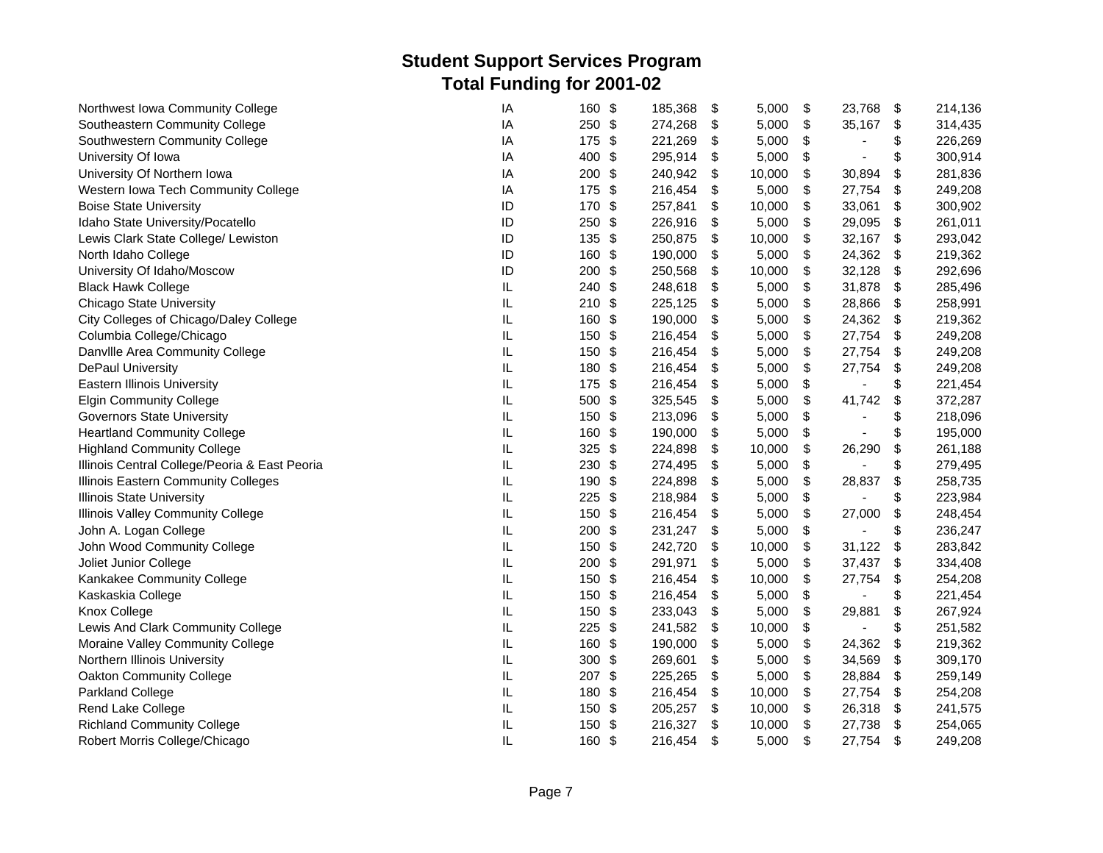| Northwest Iowa Community College              | IA       | 160    | \$                      | 185,368 | \$<br>5,000  | \$<br>23,768 | \$<br>214,136 |
|-----------------------------------------------|----------|--------|-------------------------|---------|--------------|--------------|---------------|
| Southeastern Community College                | IA       | 250 \$ |                         | 274,268 | \$<br>5,000  | \$<br>35,167 | \$<br>314,435 |
| Southwestern Community College                | IA       | 175    | \$                      | 221,269 | \$<br>5,000  | \$<br>÷,     | \$<br>226,269 |
| University Of Iowa                            | IA       | 400    | \$                      | 295,914 | \$<br>5,000  | \$<br>ä,     | \$<br>300,914 |
| University Of Northern Iowa                   | IA       | 200    | \$                      | 240,942 | \$<br>10,000 | \$<br>30,894 | \$<br>281,836 |
| Western Iowa Tech Community College           | IA       | 175    | -\$                     | 216,454 | \$<br>5,000  | \$<br>27,754 | \$<br>249,208 |
| <b>Boise State University</b>                 | ID       | 170    | \$                      | 257,841 | \$<br>10,000 | \$<br>33,061 | \$<br>300,902 |
| Idaho State University/Pocatello              | ID       | 250    | \$                      | 226,916 | \$<br>5,000  | \$<br>29,095 | \$<br>261,011 |
| Lewis Clark State College/ Lewiston           | ID       | 135    | \$                      | 250,875 | \$<br>10,000 | \$<br>32,167 | \$<br>293,042 |
| North Idaho College                           | ID       | 160    | \$                      | 190,000 | \$<br>5,000  | \$<br>24,362 | \$<br>219,362 |
| University Of Idaho/Moscow                    | ID       | 200    | \$                      | 250,568 | \$<br>10,000 | \$<br>32,128 | \$<br>292,696 |
| <b>Black Hawk College</b>                     | IL       | 240    | \$                      | 248,618 | \$<br>5,000  | \$<br>31,878 | \$<br>285,496 |
| <b>Chicago State University</b>               | IL       | 210    | \$                      | 225,125 | \$<br>5,000  | \$<br>28,866 | \$<br>258,991 |
| City Colleges of Chicago/Daley College        | $\sf IL$ | 160    | \$                      | 190,000 | \$<br>5,000  | \$<br>24,362 | \$<br>219,362 |
| Columbia College/Chicago                      | $\sf IL$ | 150    | \$                      | 216,454 | \$<br>5,000  | \$<br>27,754 | \$<br>249,208 |
| Danville Area Community College               | IL       | 150    | \$                      | 216,454 | \$<br>5,000  | \$<br>27,754 | \$<br>249,208 |
| <b>DePaul University</b>                      | IL.      | 180    | $\sqrt[6]{\frac{1}{2}}$ | 216,454 | \$<br>5,000  | \$<br>27,754 | \$<br>249,208 |
| <b>Eastern Illinois University</b>            | IL       | 175    | \$                      | 216,454 | \$<br>5,000  | \$           | \$<br>221,454 |
| <b>Elgin Community College</b>                | IL       | 500    | \$                      | 325,545 | \$<br>5,000  | \$<br>41,742 | \$<br>372,287 |
| <b>Governors State University</b>             | IL       | 150    | \$                      | 213,096 | \$<br>5,000  | \$           | \$<br>218,096 |
| <b>Heartland Community College</b>            | $\sf IL$ | 160    | \$                      | 190,000 | \$<br>5,000  | \$           | \$<br>195,000 |
| <b>Highland Community College</b>             | $\sf IL$ | 325    | \$                      | 224,898 | \$<br>10,000 | \$<br>26,290 | \$<br>261,188 |
| Illinois Central College/Peoria & East Peoria | $\sf IL$ | 230    | \$                      | 274,495 | \$<br>5,000  | \$           | \$<br>279,495 |
| Illinois Eastern Community Colleges           | IL.      | 190    | \$                      | 224,898 | \$<br>5,000  | \$<br>28,837 | \$<br>258,735 |
| <b>Illinois State University</b>              | $\sf IL$ | 225    | \$                      | 218,984 | \$<br>5,000  | \$           | \$<br>223,984 |
| Illinois Valley Community College             | IL       | 150    | \$                      | 216,454 | \$<br>5,000  | \$<br>27,000 | \$<br>248,454 |
| John A. Logan College                         | IL       | 200    | \$                      | 231,247 | \$<br>5,000  | \$           | \$<br>236,247 |
| John Wood Community College                   | IL       | 150    | \$                      | 242,720 | \$<br>10,000 | \$<br>31,122 | \$<br>283,842 |
| Joliet Junior College                         | $\sf IL$ | 200    | -\$                     | 291,971 | \$<br>5,000  | \$<br>37,437 | \$<br>334,408 |
| Kankakee Community College                    | IL       | 150    | \$                      | 216,454 | \$<br>10,000 | \$<br>27,754 | \$<br>254,208 |
| Kaskaskia College                             | $\sf IL$ | 150    | \$                      | 216,454 | \$<br>5,000  | \$           | \$<br>221,454 |
| Knox College                                  | IL       | 150    | \$                      | 233,043 | \$<br>5,000  | \$<br>29,881 | \$<br>267,924 |
| Lewis And Clark Community College             | IL       | 225    | \$                      | 241,582 | \$<br>10,000 | \$           | \$<br>251,582 |
| Moraine Valley Community College              | IL       | 160    | \$                      | 190,000 | \$<br>5,000  | \$<br>24,362 | \$<br>219,362 |
| Northern Illinois University                  | IL       | 300    | \$                      | 269,601 | \$<br>5,000  | \$<br>34,569 | \$<br>309,170 |
| Oakton Community College                      | IL       | 207 \$ |                         | 225,265 | \$<br>5,000  | \$<br>28,884 | \$<br>259,149 |
| Parkland College                              | IL       | 180    | \$                      | 216,454 | \$<br>10,000 | \$<br>27,754 | \$<br>254,208 |
| Rend Lake College                             | $\sf IL$ | 150    | \$                      | 205,257 | \$<br>10,000 | \$<br>26,318 | \$<br>241,575 |
| <b>Richland Community College</b>             | IL       | 150    | \$                      | 216,327 | \$<br>10,000 | \$<br>27,738 | \$<br>254,065 |
| Robert Morris College/Chicago                 | IL       | 160    | \$                      | 216,454 | \$<br>5,000  | \$<br>27,754 | \$<br>249,208 |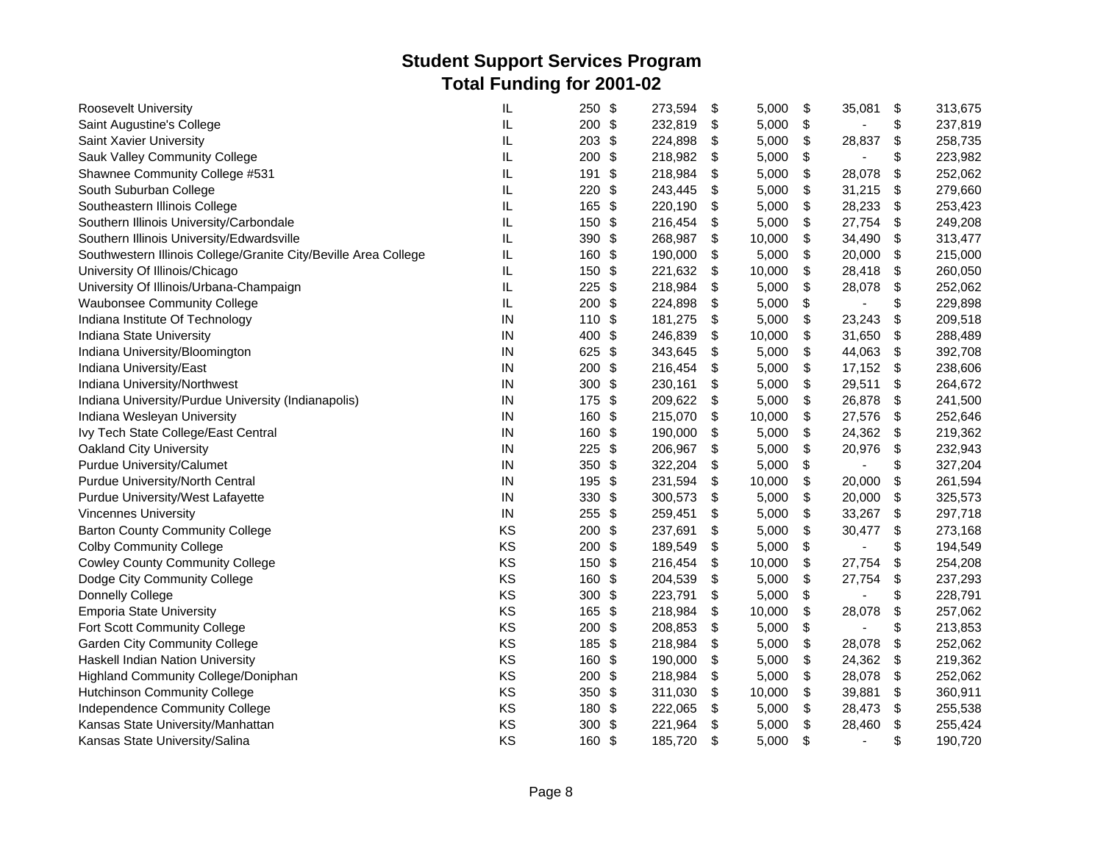| Roosevelt University                                            | IL         | 250<br>-\$           | 273,594 | \$<br>5,000  | \$<br>35,081         | \$                        | 313,675 |
|-----------------------------------------------------------------|------------|----------------------|---------|--------------|----------------------|---------------------------|---------|
| Saint Augustine's College                                       | IL         | 200 \$               | 232,819 | \$<br>5,000  | \$<br>$\blacksquare$ | \$                        | 237,819 |
| Saint Xavier University                                         | IL         | 203<br>\$            | 224,898 | \$<br>5,000  | \$<br>28,837         | \$                        | 258,735 |
| Sauk Valley Community College                                   | IL         | 200<br>\$            | 218,982 | \$<br>5,000  | \$                   | \$                        | 223,982 |
| Shawnee Community College #531                                  | IL         | 191<br>\$            | 218,984 | \$<br>5,000  | \$<br>28,078         | \$                        | 252,062 |
| South Suburban College                                          | IL         | 220<br>\$            | 243,445 | \$<br>5,000  | \$<br>31,215         | \$                        | 279,660 |
| Southeastern Illinois College                                   | IL         | \$<br>165            | 220,190 | \$<br>5,000  | \$<br>28,233         | \$                        | 253,423 |
| Southern Illinois University/Carbondale                         | IL         | $\frac{1}{2}$<br>150 | 216,454 | \$<br>5,000  | \$<br>27,754         | \$                        | 249,208 |
| Southern Illinois University/Edwardsville                       | IL         | 390<br>\$            | 268,987 | \$<br>10,000 | \$<br>34,490         | $\boldsymbol{\mathsf{S}}$ | 313,477 |
| Southwestern Illinois College/Granite City/Beville Area College | IL         | 160<br>\$            | 190,000 | \$<br>5,000  | \$<br>20,000         | \$                        | 215,000 |
| University Of Illinois/Chicago                                  | IL         | 150<br>\$            | 221,632 | \$<br>10,000 | \$<br>28,418         | \$                        | 260,050 |
| University Of Illinois/Urbana-Champaign                         | IL         | 225<br>\$            | 218,984 | \$<br>5,000  | \$<br>28,078         | \$                        | 252,062 |
| <b>Waubonsee Community College</b>                              | IL         | \$<br>200            | 224,898 | \$<br>5,000  | \$                   | \$                        | 229,898 |
| Indiana Institute Of Technology                                 | IN         | \$<br>110            | 181,275 | \$<br>5,000  | \$<br>23,243         | $\boldsymbol{\mathsf{S}}$ | 209,518 |
| Indiana State University                                        | IN         | - \$<br>400          | 246,839 | \$<br>10,000 | \$<br>31,650         | \$                        | 288,489 |
| Indiana University/Bloomington                                  | ${\sf IN}$ | 625<br>$\sqrt[6]{3}$ | 343,645 | \$<br>5,000  | \$<br>44,063         | \$                        | 392,708 |
| Indiana University/East                                         | IN         | $\frac{1}{2}$<br>200 | 216,454 | \$<br>5,000  | \$<br>17,152         | \$                        | 238,606 |
| Indiana University/Northwest                                    | $\sf IN$   | \$<br>300            | 230,161 | \$<br>5,000  | \$<br>29,511         | \$                        | 264,672 |
| Indiana University/Purdue University (Indianapolis)             | IN         | 175<br>\$            | 209,622 | \$<br>5,000  | \$<br>26,878         | \$                        | 241,500 |
| Indiana Wesleyan University                                     | $\sf IN$   | 160<br>\$            | 215,070 | \$<br>10,000 | \$<br>27,576         | \$                        | 252,646 |
| Ivy Tech State College/East Central                             | IN         | \$<br>160            | 190,000 | \$<br>5,000  | \$<br>24,362         | \$                        | 219,362 |
| Oakland City University                                         | IN         | 225<br>\$            | 206,967 | \$<br>5,000  | \$<br>20,976         | \$                        | 232,943 |
| Purdue University/Calumet                                       | ${\sf IN}$ | 350<br>\$            | 322,204 | \$<br>5,000  | \$                   | \$                        | 327,204 |
| Purdue University/North Central                                 | $\sf IN$   | 195<br>\$            | 231,594 | \$<br>10,000 | \$<br>20,000         | $\boldsymbol{\mathsf{S}}$ | 261,594 |
| Purdue University/West Lafayette                                | IN         | \$<br>330            | 300,573 | \$<br>5,000  | \$<br>20,000         | $\boldsymbol{\mathsf{S}}$ | 325,573 |
| <b>Vincennes University</b>                                     | IN         | 255<br>\$            | 259,451 | \$<br>5,000  | \$<br>33,267         | \$                        | 297,718 |
| <b>Barton County Community College</b>                          | KS         | 200<br>\$            | 237,691 | \$<br>5,000  | \$<br>30,477         | \$                        | 273,168 |
| <b>Colby Community College</b>                                  | KS         | $\frac{1}{2}$<br>200 | 189,549 | \$<br>5,000  | \$                   | \$                        | 194,549 |
| <b>Cowley County Community College</b>                          | KS         | \$<br>150            | 216,454 | \$<br>10,000 | \$<br>27,754         | \$                        | 254,208 |
| Dodge City Community College                                    | KS         | 160<br>$\sqrt[6]{3}$ | 204,539 | \$<br>5,000  | \$<br>27,754         | \$                        | 237,293 |
| Donnelly College                                                | KS         | 300<br>\$            | 223,791 | \$<br>5,000  | \$                   | \$                        | 228,791 |
| <b>Emporia State University</b>                                 | KS         | $\sqrt[6]{3}$<br>165 | 218,984 | \$<br>10,000 | \$<br>28,078         | \$                        | 257,062 |
| Fort Scott Community College                                    | KS         | \$<br>200            | 208,853 | \$<br>5,000  | \$                   | \$                        | 213,853 |
| <b>Garden City Community College</b>                            | KS         | 185<br>\$            | 218,984 | \$<br>5,000  | \$<br>28,078         | \$                        | 252,062 |
| Haskell Indian Nation University                                | KS         | 160<br>\$            | 190,000 | \$<br>5,000  | \$<br>24,362         | \$                        | 219,362 |
| Highland Community College/Doniphan                             | KS         | \$<br>200            | 218,984 | \$<br>5,000  | \$<br>28,078         | \$                        | 252,062 |
| <b>Hutchinson Community College</b>                             | KS         | 350<br>\$            | 311,030 | \$<br>10,000 | \$<br>39,881         | \$                        | 360,911 |
| Independence Community College                                  | KS         | 180<br>-\$           | 222,065 | \$<br>5,000  | \$<br>28,473         | \$                        | 255,538 |
| Kansas State University/Manhattan                               | KS         | 300<br>-\$           | 221,964 | \$<br>5,000  | \$<br>28,460         | \$                        | 255,424 |
| Kansas State University/Salina                                  | KS         | 160<br>\$            | 185,720 | \$<br>5,000  | \$<br>$\blacksquare$ | \$                        | 190,720 |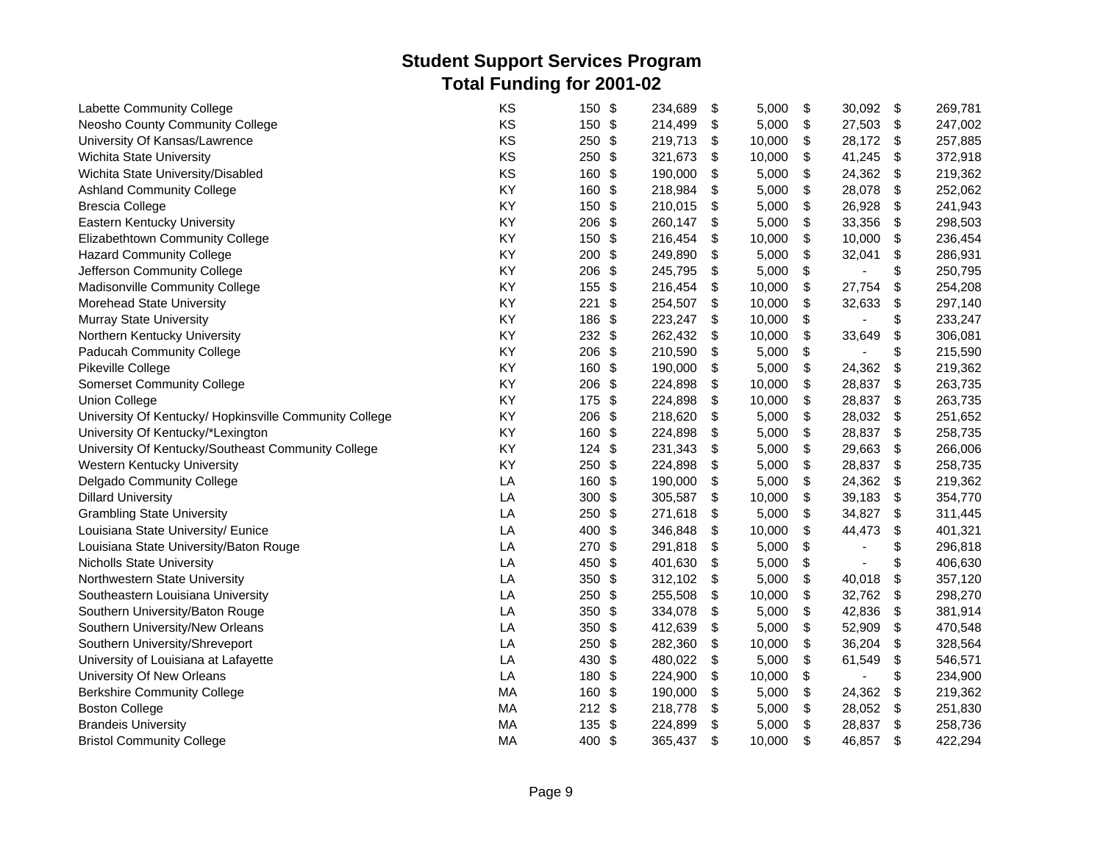| Labette Community College                              | KS | 150      | \$                        | 234,689 | \$<br>5,000  | \$<br>30,092         | \$                        | 269,781 |
|--------------------------------------------------------|----|----------|---------------------------|---------|--------------|----------------------|---------------------------|---------|
| Neosho County Community College                        | KS | 150 \$   |                           | 214,499 | \$<br>5,000  | \$<br>27,503         | \$                        | 247,002 |
| University Of Kansas/Lawrence                          | KS | 250      | \$                        | 219,713 | \$<br>10,000 | \$<br>28,172         | \$                        | 257,885 |
| Wichita State University                               | KS | 250      | \$                        | 321,673 | \$<br>10,000 | \$<br>41,245         | \$                        | 372,918 |
| Wichita State University/Disabled                      | KS | 160      | \$                        | 190,000 | \$<br>5,000  | \$<br>24,362         | \$                        | 219,362 |
| <b>Ashland Community College</b>                       | KY | 160      | \$                        | 218,984 | \$<br>5,000  | \$<br>28,078         | $\boldsymbol{\mathsf{S}}$ | 252,062 |
| <b>Brescia College</b>                                 | KY | 150      | \$                        | 210,015 | \$<br>5,000  | \$<br>26,928         | \$                        | 241,943 |
| Eastern Kentucky University                            | KY | 206      | \$                        | 260,147 | \$<br>5,000  | \$<br>33,356         | \$                        | 298,503 |
| Elizabethtown Community College                        | KY | 150      | \$                        | 216,454 | \$<br>10,000 | \$<br>10,000         | \$                        | 236,454 |
| <b>Hazard Community College</b>                        | KY | 200      | \$                        | 249,890 | \$<br>5,000  | \$<br>32,041         | \$                        | 286,931 |
| Jefferson Community College                            | KY | 206      | \$                        | 245,795 | \$<br>5,000  | \$<br>$\blacksquare$ | \$                        | 250,795 |
| Madisonville Community College                         | KY | 155      | \$                        | 216,454 | \$<br>10,000 | \$<br>27,754         | \$                        | 254,208 |
| Morehead State University                              | KY | 221      | \$                        | 254,507 | \$<br>10,000 | \$<br>32,633         | \$                        | 297,140 |
| <b>Murray State University</b>                         | KY | 186      | \$                        | 223,247 | \$<br>10,000 | \$                   | \$                        | 233,247 |
| Northern Kentucky University                           | KY | $232$ \$ |                           | 262,432 | \$<br>10,000 | \$<br>33,649         | \$                        | 306,081 |
| Paducah Community College                              | KY | 206      | \$                        | 210,590 | \$<br>5,000  | \$                   | \$                        | 215,590 |
| Pikeville College                                      | KY | 160      | \$                        | 190,000 | \$<br>5,000  | \$<br>24,362         | $\boldsymbol{\mathsf{S}}$ | 219,362 |
| <b>Somerset Community College</b>                      | KY | 206      | \$                        | 224,898 | \$<br>10,000 | \$<br>28,837         | \$                        | 263,735 |
| <b>Union College</b>                                   | KY | 175      | \$                        | 224,898 | \$<br>10,000 | \$<br>28,837         | $\boldsymbol{\mathsf{S}}$ | 263,735 |
| University Of Kentucky/ Hopkinsville Community College | KY | 206      | \$                        | 218,620 | \$<br>5,000  | \$<br>28,032         | \$                        | 251,652 |
| University Of Kentucky/*Lexington                      | KY | 160      | \$                        | 224,898 | \$<br>5,000  | \$<br>28,837         | \$                        | 258,735 |
| University Of Kentucky/Southeast Community College     | KY | 124      | $\frac{1}{2}$             | 231,343 | \$<br>5,000  | \$<br>29,663         | \$                        | 266,006 |
| Western Kentucky University                            | KY | 250      | \$                        | 224,898 | \$<br>5,000  | \$<br>28,837         | \$                        | 258,735 |
| Delgado Community College                              | LA | 160      | \$                        | 190,000 | \$<br>5,000  | \$<br>24,362         | \$                        | 219,362 |
| <b>Dillard University</b>                              | LA | 300      | $\boldsymbol{\mathsf{S}}$ | 305,587 | \$<br>10,000 | \$<br>39,183         | \$                        | 354,770 |
| <b>Grambling State University</b>                      | LA | 250      | \$                        | 271,618 | \$<br>5,000  | \$<br>34,827         | \$                        | 311,445 |
| Louisiana State University/ Eunice                     | LA | 400      | \$                        | 346,848 | \$<br>10,000 | \$<br>44,473         | \$                        | 401,321 |
| Louisiana State University/Baton Rouge                 | LA | 270      | \$                        | 291,818 | \$<br>5,000  | \$                   | \$                        | 296,818 |
| <b>Nicholls State University</b>                       | LA | 450      | \$                        | 401,630 | \$<br>5,000  | \$                   | \$                        | 406,630 |
| Northwestern State University                          | LA | 350      | \$                        | 312,102 | \$<br>5,000  | \$<br>40,018         | \$                        | 357,120 |
| Southeastern Louisiana University                      | LA | 250      | \$                        | 255,508 | \$<br>10,000 | \$<br>32,762         | \$                        | 298,270 |
| Southern University/Baton Rouge                        | LA | 350      | \$                        | 334,078 | \$<br>5,000  | \$<br>42,836         | $\boldsymbol{\mathsf{S}}$ | 381,914 |
| Southern University/New Orleans                        | LA | 350      | \$                        | 412,639 | \$<br>5,000  | \$<br>52,909         | $\boldsymbol{\mathsf{S}}$ | 470,548 |
| Southern University/Shreveport                         | LA | 250      | \$                        | 282,360 | \$<br>10,000 | \$<br>36,204         | \$                        | 328,564 |
| University of Louisiana at Lafayette                   | LA | 430      | \$                        | 480,022 | \$<br>5,000  | \$<br>61,549         | \$                        | 546,571 |
| University Of New Orleans                              | LA | 180      | \$                        | 224,900 | \$<br>10,000 | \$                   | \$                        | 234,900 |
| <b>Berkshire Community College</b>                     | MA | 160      | \$                        | 190,000 | \$<br>5,000  | \$<br>24,362         | \$                        | 219,362 |
| <b>Boston College</b>                                  | MA | $212$ \$ |                           | 218,778 | \$<br>5,000  | \$<br>28,052         | \$                        | 251,830 |
| <b>Brandeis University</b>                             | MA | 135      | $\frac{1}{2}$             | 224,899 | \$<br>5,000  | \$<br>28,837         | \$                        | 258,736 |
| <b>Bristol Community College</b>                       | MA | 400 \$   |                           | 365,437 | \$<br>10,000 | \$<br>46,857         | $\boldsymbol{\mathsf{S}}$ | 422,294 |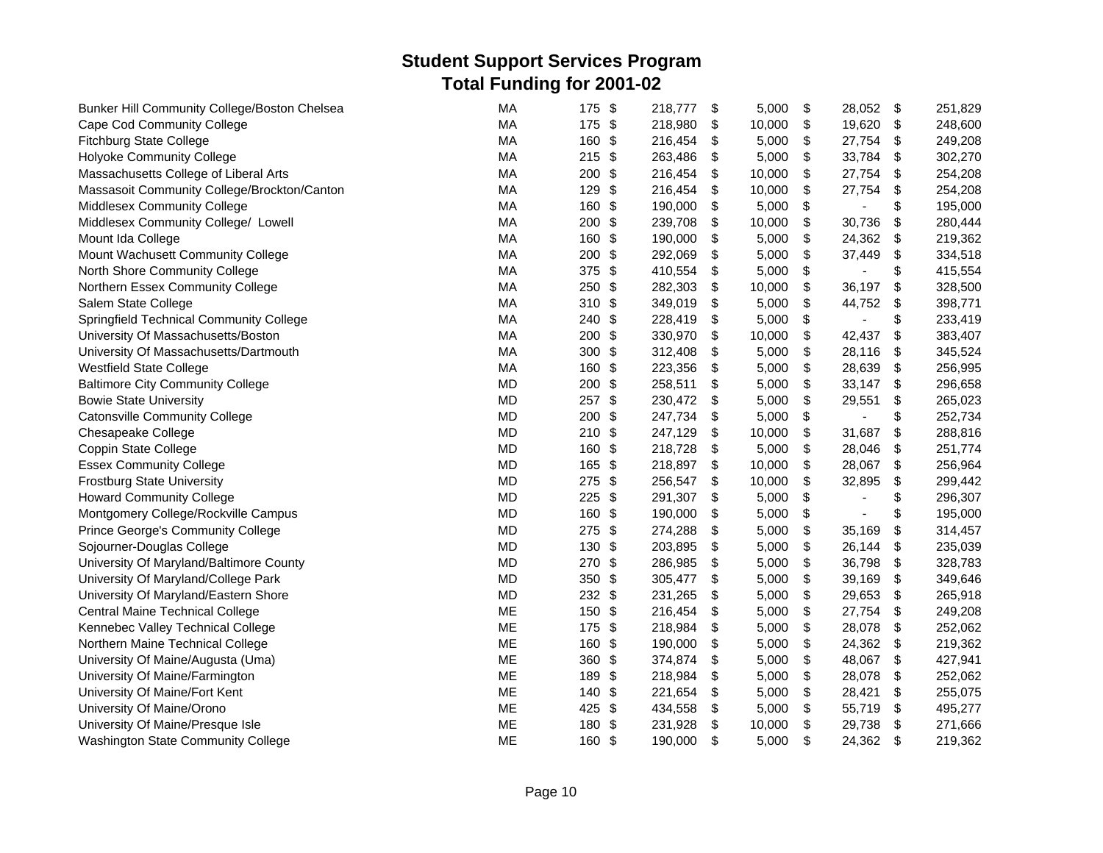| Bunker Hill Community College/Boston Chelsea | <b>MA</b> | 175    | \$            | 218,777 | \$<br>5,000  | \$<br>28,052                   | $\mathfrak s$             | 251,829 |
|----------------------------------------------|-----------|--------|---------------|---------|--------------|--------------------------------|---------------------------|---------|
| Cape Cod Community College                   | MA        | 175 \$ |               | 218,980 | \$<br>10,000 | \$<br>19,620                   | \$                        | 248,600 |
| <b>Fitchburg State College</b>               | MA        | 160    | \$            | 216,454 | \$<br>5,000  | \$<br>27,754                   | \$                        | 249,208 |
| Holyoke Community College                    | MA        | 215    | \$            | 263,486 | \$<br>5,000  | \$<br>33,784                   | \$                        | 302,270 |
| Massachusetts College of Liberal Arts        | MA        | 200    | \$            | 216,454 | \$<br>10,000 | \$<br>27,754                   | \$                        | 254,208 |
| Massasoit Community College/Brockton/Canton  | MA        | 129    | \$            | 216,454 | \$<br>10,000 | \$<br>27,754                   | \$                        | 254,208 |
| Middlesex Community College                  | MA        | 160    | \$            | 190,000 | \$<br>5,000  | \$                             | \$                        | 195,000 |
| Middlesex Community College/ Lowell          | MA        | 200    | \$            | 239,708 | \$<br>10,000 | \$<br>30,736                   | \$                        | 280,444 |
| Mount Ida College                            | MA        | 160    | \$            | 190,000 | \$<br>5,000  | \$<br>24,362                   | \$                        | 219,362 |
| Mount Wachusett Community College            | MA        | 200    | \$            | 292,069 | \$<br>5,000  | \$<br>37,449                   | \$                        | 334,518 |
| North Shore Community College                | MA        | 375    | \$            | 410,554 | \$<br>5,000  | \$                             | \$                        | 415,554 |
| Northern Essex Community College             | MA        | 250    | \$            | 282,303 | \$<br>10,000 | \$<br>36,197                   | \$                        | 328,500 |
| Salem State College                          | MA        | 310    | \$            | 349,019 | \$<br>5,000  | \$<br>44,752                   | \$                        | 398,771 |
| Springfield Technical Community College      | MA        | 240    | \$            | 228,419 | \$<br>5,000  | \$                             | \$                        | 233,419 |
| University Of Massachusetts/Boston           | <b>MA</b> | 200    | \$            | 330,970 | \$<br>10,000 | \$<br>42,437                   | \$                        | 383,407 |
| University Of Massachusetts/Dartmouth        | MA        | 300    | \$            | 312,408 | \$<br>5,000  | \$<br>28,116                   | \$                        | 345,524 |
| <b>Westfield State College</b>               | MA        | 160    | \$            | 223,356 | \$<br>5,000  | \$<br>28,639                   | \$                        | 256,995 |
| <b>Baltimore City Community College</b>      | <b>MD</b> | 200    | \$            | 258,511 | \$<br>5,000  | \$<br>33,147                   | \$                        | 296,658 |
| <b>Bowie State University</b>                | <b>MD</b> | 257    | \$            | 230,472 | \$<br>5,000  | \$<br>29,551                   | \$                        | 265,023 |
| <b>Catonsville Community College</b>         | <b>MD</b> | 200    | \$            | 247,734 | \$<br>5,000  | \$<br>$\blacksquare$           | \$                        | 252,734 |
| Chesapeake College                           | <b>MD</b> | 210    | \$            | 247,129 | \$<br>10,000 | \$<br>31,687                   | \$                        | 288,816 |
| Coppin State College                         | MD        | 160    | \$            | 218,728 | \$<br>5,000  | \$<br>28,046                   | \$                        | 251,774 |
| <b>Essex Community College</b>               | MD        | 165    | \$            | 218,897 | \$<br>10,000 | \$<br>28,067                   | \$                        | 256,964 |
| <b>Frostburg State University</b>            | MD        | 275    | \$            | 256,547 | \$<br>10,000 | \$<br>32,895                   | \$                        | 299,442 |
| <b>Howard Community College</b>              | <b>MD</b> | 225    | \$            | 291,307 | \$<br>5,000  | \$                             | \$                        | 296,307 |
| Montgomery College/Rockville Campus          | <b>MD</b> | 160    | \$            | 190,000 | \$<br>5,000  | \$<br>$\overline{\phantom{a}}$ | \$                        | 195,000 |
| Prince George's Community College            | MD        | 275    | \$            | 274,288 | \$<br>5,000  | \$<br>35,169                   | \$                        | 314,457 |
| Sojourner-Douglas College                    | MD        | 130    | \$            | 203,895 | \$<br>5,000  | \$<br>26,144                   | \$                        | 235,039 |
| University Of Maryland/Baltimore County      | MD        | 270    | \$            | 286,985 | \$<br>5,000  | \$<br>36,798                   | \$                        | 328,783 |
| University Of Maryland/College Park          | MD        | 350    | \$            | 305,477 | \$<br>5,000  | \$<br>39,169                   | \$                        | 349,646 |
| University Of Maryland/Eastern Shore         | MD        | 232 \$ |               | 231,265 | \$<br>5,000  | \$<br>29,653                   | \$                        | 265,918 |
| <b>Central Maine Technical College</b>       | ME        | 150    | \$            | 216,454 | \$<br>5,000  | \$<br>27,754                   | $\boldsymbol{\mathsf{S}}$ | 249,208 |
| Kennebec Valley Technical College            | ME        | 175    | \$            | 218,984 | \$<br>5,000  | \$<br>28,078                   | \$                        | 252,062 |
| Northern Maine Technical College             | <b>ME</b> | 160    | \$            | 190,000 | \$<br>5,000  | \$<br>24,362                   | \$                        | 219,362 |
| University Of Maine/Augusta (Uma)            | ME        | 360    | \$            | 374,874 | \$<br>5,000  | \$<br>48,067                   | -\$                       | 427,941 |
| University Of Maine/Farmington               | ME        | 189    | \$            | 218,984 | \$<br>5,000  | \$<br>28,078                   | \$                        | 252,062 |
| University Of Maine/Fort Kent                | ME        | 140    | \$            | 221,654 | \$<br>5,000  | \$<br>28,421                   | \$                        | 255,075 |
| University Of Maine/Orono                    | ME        | 425    | \$            | 434,558 | \$<br>5,000  | \$<br>55,719                   | \$                        | 495,277 |
| University Of Maine/Presque Isle             | ME        | 180    | $\frac{3}{2}$ | 231,928 | \$<br>10,000 | \$<br>29,738                   | \$                        | 271,666 |
| Washington State Community College           | ME        | 160 \$ |               | 190,000 | \$<br>5,000  | \$<br>24,362                   | \$                        | 219,362 |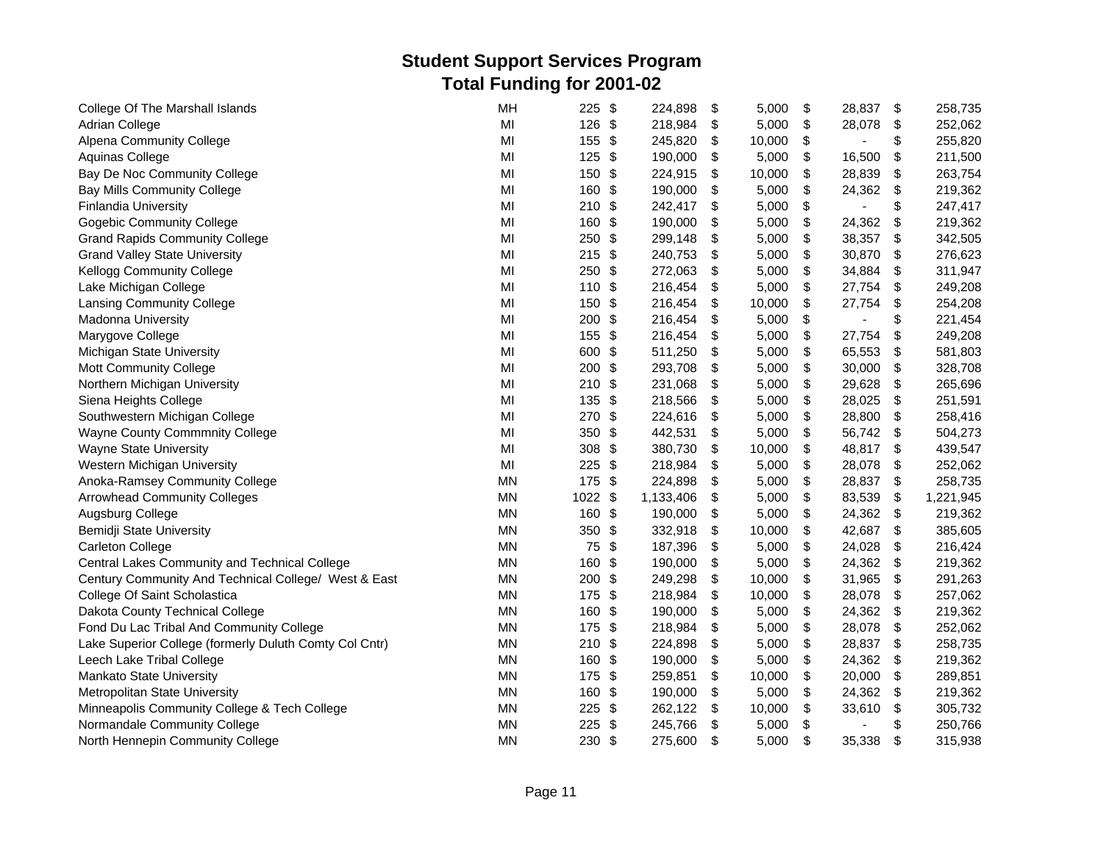| College Of The Marshall Islands                        | MH        | 225      | \$            | 224,898   | \$<br>5,000  | \$<br>28,837                   | \$<br>258,735   |
|--------------------------------------------------------|-----------|----------|---------------|-----------|--------------|--------------------------------|-----------------|
| Adrian College                                         | MI        | $126$ \$ |               | 218,984   | \$<br>5,000  | \$<br>28,078                   | \$<br>252,062   |
| Alpena Community College                               | MI        | 155 \$   |               | 245,820   | \$<br>10,000 | \$<br>$\overline{\phantom{a}}$ | \$<br>255,820   |
| Aquinas College                                        | MI        | 125      | \$            | 190,000   | \$<br>5,000  | \$<br>16,500                   | \$<br>211,500   |
| Bay De Noc Community College                           | MI        | 150      | \$            | 224,915   | \$<br>10,000 | \$<br>28,839                   | \$<br>263,754   |
| <b>Bay Mills Community College</b>                     | MI        | 160      | \$            | 190,000   | \$<br>5,000  | \$<br>24,362                   | \$<br>219,362   |
| Finlandia University                                   | MI        | 210      | $\frac{1}{2}$ | 242,417   | \$<br>5,000  | \$                             | \$<br>247,417   |
| <b>Gogebic Community College</b>                       | MI        | 160      | \$            | 190,000   | \$<br>5,000  | \$<br>24,362                   | \$<br>219,362   |
| <b>Grand Rapids Community College</b>                  | MI        | 250      | \$            | 299,148   | \$<br>5,000  | \$<br>38,357                   | \$<br>342,505   |
| <b>Grand Valley State University</b>                   | MI        | 215      | \$            | 240,753   | \$<br>5,000  | \$<br>30,870                   | \$<br>276,623   |
| Kellogg Community College                              | MI        | 250      | \$            | 272,063   | \$<br>5,000  | \$<br>34,884                   | \$<br>311,947   |
| Lake Michigan College                                  | MI        | 110 \$   |               | 216,454   | \$<br>5,000  | \$<br>27,754                   | \$<br>249,208   |
| <b>Lansing Community College</b>                       | MI        | 150 \$   |               | 216,454   | \$<br>10,000 | \$<br>27,754                   | \$<br>254,208   |
| Madonna University                                     | MI        | 200      | \$            | 216,454   | \$<br>5,000  | \$                             | \$<br>221,454   |
| Marygove College                                       | MI        | 155 \$   |               | 216,454   | \$<br>5,000  | \$<br>27,754                   | \$<br>249,208   |
| Michigan State University                              | MI        | 600 \$   |               | 511,250   | \$<br>5,000  | \$<br>65,553                   | \$<br>581,803   |
| Mott Community College                                 | MI        | 200 \$   |               | 293,708   | \$<br>5,000  | \$<br>30,000                   | \$<br>328,708   |
| Northern Michigan University                           | MI        | $210$ \$ |               | 231,068   | \$<br>5,000  | \$<br>29,628                   | \$<br>265,696   |
| Siena Heights College                                  | MI        | 135      | \$            | 218,566   | \$<br>5,000  | \$<br>28,025                   | \$<br>251,591   |
| Southwestern Michigan College                          | MI        | 270      | \$            | 224,616   | \$<br>5,000  | \$<br>28,800                   | \$<br>258,416   |
| <b>Wayne County Commmnity College</b>                  | MI        | 350      | \$            | 442,531   | \$<br>5,000  | \$<br>56,742                   | \$<br>504,273   |
| <b>Wayne State University</b>                          | MI        | 308      | \$            | 380,730   | \$<br>10,000 | \$<br>48,817                   | \$<br>439,547   |
| Western Michigan University                            | MI        | 225      | $\frac{1}{2}$ | 218,984   | \$<br>5,000  | \$<br>28,078                   | \$<br>252,062   |
| Anoka-Ramsey Community College                         | <b>MN</b> | 175      | \$            | 224,898   | \$<br>5,000  | \$<br>28,837                   | \$<br>258,735   |
| <b>Arrowhead Community Colleges</b>                    | <b>MN</b> | 1022 \$  |               | 1,133,406 | \$<br>5,000  | \$<br>83,539                   | \$<br>1,221,945 |
| Augsburg College                                       | <b>MN</b> | 160 \$   |               | 190,000   | \$<br>5,000  | \$<br>24,362                   | \$<br>219,362   |
| Bemidji State University                               | <b>MN</b> | 350 \$   |               | 332,918   | \$<br>10,000 | \$<br>42,687                   | \$<br>385,605   |
| Carleton College                                       | <b>MN</b> | 75 \$    |               | 187,396   | \$<br>5,000  | \$<br>24,028                   | \$<br>216,424   |
| Central Lakes Community and Technical College          | <b>MN</b> | 160      | \$            | 190,000   | \$<br>5,000  | \$<br>24,362                   | \$<br>219,362   |
| Century Community And Technical College/ West & East   | <b>MN</b> | $200$ \$ |               | 249,298   | \$<br>10,000 | \$<br>31,965                   | \$<br>291,263   |
| College Of Saint Scholastica                           | MN        | 175 \$   |               | 218,984   | \$<br>10,000 | \$<br>28,078                   | \$<br>257,062   |
| Dakota County Technical College                        | <b>MN</b> | 160      | \$            | 190,000   | \$<br>5,000  | \$<br>24,362                   | \$<br>219,362   |
| Fond Du Lac Tribal And Community College               | <b>MN</b> | 175 \$   |               | 218,984   | \$<br>5,000  | \$<br>28,078                   | \$<br>252,062   |
| Lake Superior College (formerly Duluth Comty Col Cntr) | <b>MN</b> | 210      | \$            | 224,898   | \$<br>5,000  | \$<br>28,837                   | \$<br>258,735   |
| Leech Lake Tribal College                              | <b>MN</b> | 160      | \$            | 190,000   | \$<br>5,000  | \$<br>24,362                   | \$<br>219,362   |
| <b>Mankato State University</b>                        | <b>MN</b> | 175      | \$            | 259,851   | \$<br>10,000 | \$<br>20,000                   | \$<br>289,851   |
| Metropolitan State University                          | <b>MN</b> | 160      | \$            | 190,000   | \$<br>5,000  | \$<br>24,362                   | \$<br>219,362   |
| Minneapolis Community College & Tech College           | MN        | 225      | $\frac{1}{2}$ | 262,122   | \$<br>10,000 | \$<br>33,610                   | \$<br>305,732   |
| Normandale Community College                           | <b>MN</b> | 225      | $\frac{1}{2}$ | 245,766   | \$<br>5,000  | \$<br>$\blacksquare$           | \$<br>250,766   |
| North Hennepin Community College                       | <b>MN</b> | 230 \$   |               | 275,600   | \$<br>5,000  | \$<br>35,338                   | \$<br>315,938   |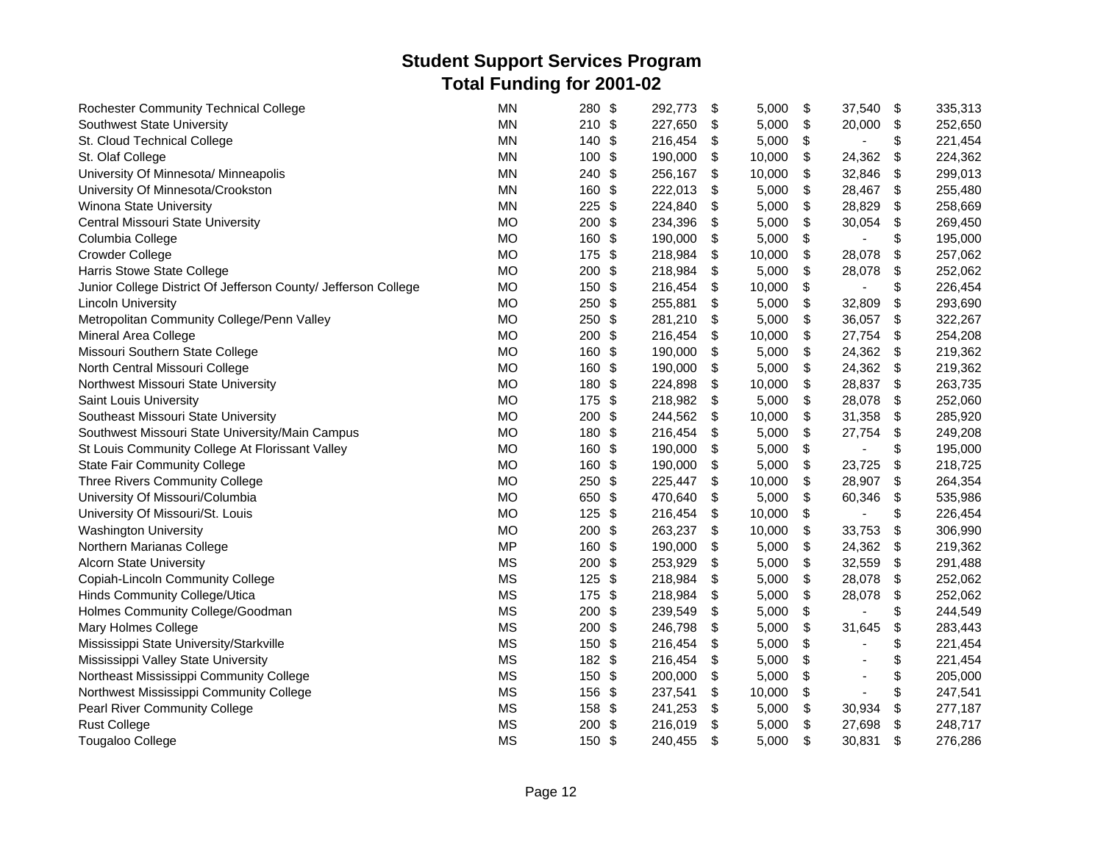| <b>Rochester Community Technical College</b>                   | <b>MN</b> | 280      | \$                        | 292,773 | \$  | 5,000  | \$<br>37,540         | \$<br>335,313 |
|----------------------------------------------------------------|-----------|----------|---------------------------|---------|-----|--------|----------------------|---------------|
| Southwest State University                                     | <b>MN</b> | $210$ \$ |                           | 227,650 | \$  | 5,000  | \$<br>20,000         | \$<br>252,650 |
| St. Cloud Technical College                                    | <b>MN</b> | 140      | \$                        | 216,454 | \$  | 5,000  | \$<br>$\blacksquare$ | \$<br>221,454 |
| St. Olaf College                                               | <b>MN</b> | 100      | \$                        | 190,000 | \$  | 10,000 | \$<br>24,362         | \$<br>224,362 |
| University Of Minnesota/ Minneapolis                           | <b>MN</b> | 240      | \$                        | 256,167 | \$  | 10,000 | \$<br>32,846         | \$<br>299,013 |
| University Of Minnesota/Crookston                              | <b>MN</b> | 160      | \$                        | 222,013 | \$  | 5,000  | \$<br>28,467         | \$<br>255,480 |
| Winona State University                                        | <b>MN</b> | 225      | \$                        | 224,840 | \$  | 5,000  | \$<br>28,829         | \$<br>258,669 |
| Central Missouri State University                              | <b>MO</b> | 200      | \$                        | 234,396 | \$  | 5,000  | \$<br>30,054         | \$<br>269,450 |
| Columbia College                                               | <b>MO</b> | 160      | $\boldsymbol{\mathsf{S}}$ | 190,000 | \$  | 5,000  | \$                   | \$<br>195,000 |
| Crowder College                                                | <b>MO</b> | 175      | \$                        | 218,984 | \$  | 10,000 | \$<br>28,078         | \$<br>257,062 |
| Harris Stowe State College                                     | <b>MO</b> | 200      | \$                        | 218,984 | \$  | 5,000  | \$<br>28,078         | \$<br>252,062 |
| Junior College District Of Jefferson County/ Jefferson College | <b>MO</b> | 150      | \$                        | 216,454 | \$  | 10,000 | \$                   | \$<br>226,454 |
| <b>Lincoln University</b>                                      | <b>MO</b> | 250      | $\frac{1}{2}$             | 255,881 | \$  | 5,000  | \$<br>32,809         | \$<br>293,690 |
| Metropolitan Community College/Penn Valley                     | <b>MO</b> | 250      | $\frac{1}{2}$             | 281,210 | \$  | 5,000  | \$<br>36,057         | \$<br>322,267 |
| Mineral Area College                                           | <b>MO</b> | 200 \$   |                           | 216,454 | \$  | 10,000 | \$<br>27,754         | \$<br>254,208 |
| Missouri Southern State College                                | <b>MO</b> | 160      | \$                        | 190,000 | \$  | 5,000  | \$<br>24,362         | \$<br>219,362 |
| North Central Missouri College                                 | <b>MO</b> | 160      | \$                        | 190,000 | \$  | 5,000  | \$<br>24,362         | \$<br>219,362 |
| Northwest Missouri State University                            | <b>MO</b> | 180      | \$                        | 224,898 | \$  | 10,000 | \$<br>28,837         | \$<br>263,735 |
| Saint Louis University                                         | <b>MO</b> | 175      | $\frac{1}{2}$             | 218,982 | \$  | 5,000  | \$<br>28,078         | \$<br>252,060 |
| Southeast Missouri State University                            | <b>MO</b> | 200      | \$                        | 244,562 | -\$ | 10,000 | \$<br>31,358         | \$<br>285,920 |
| Southwest Missouri State University/Main Campus                | <b>MO</b> | 180      | \$                        | 216,454 | \$  | 5,000  | \$<br>27,754         | \$<br>249,208 |
| St Louis Community College At Florissant Valley                | <b>MO</b> | 160      | \$                        | 190,000 | \$  | 5,000  | \$<br>$\overline{a}$ | \$<br>195,000 |
| <b>State Fair Community College</b>                            | <b>MO</b> | 160      | $\frac{1}{2}$             | 190,000 | \$  | 5,000  | \$<br>23,725         | \$<br>218,725 |
| Three Rivers Community College                                 | <b>MO</b> | 250      | \$                        | 225,447 | \$  | 10,000 | \$<br>28,907         | \$<br>264,354 |
| University Of Missouri/Columbia                                | <b>MO</b> | 650      | \$                        | 470,640 | \$  | 5,000  | \$<br>60,346         | \$<br>535,986 |
| University Of Missouri/St. Louis                               | <b>MO</b> | 125      | \$                        | 216,454 | \$  | 10,000 | \$<br>ä,             | \$<br>226,454 |
| <b>Washington University</b>                                   | <b>MO</b> | 200      | \$                        | 263,237 | \$  | 10,000 | \$<br>33,753         | \$<br>306,990 |
| Northern Marianas College                                      | <b>MP</b> | 160      | \$                        | 190,000 | \$  | 5,000  | \$<br>24,362         | \$<br>219,362 |
| <b>Alcorn State University</b>                                 | <b>MS</b> | 200      | \$                        | 253,929 | \$  | 5,000  | \$<br>32,559         | \$<br>291,488 |
| Copiah-Lincoln Community College                               | <b>MS</b> | 125      | \$                        | 218,984 | \$  | 5,000  | \$<br>28,078         | \$<br>252,062 |
| Hinds Community College/Utica                                  | <b>MS</b> | 175      | \$                        | 218,984 | \$  | 5,000  | \$<br>28,078         | \$<br>252,062 |
| Holmes Community College/Goodman                               | <b>MS</b> | 200      | \$                        | 239,549 | \$  | 5,000  | \$                   | \$<br>244,549 |
| Mary Holmes College                                            | <b>MS</b> | 200      | \$                        | 246,798 | \$  | 5,000  | \$<br>31,645         | \$<br>283,443 |
| Mississippi State University/Starkville                        | <b>MS</b> | 150      | \$                        | 216,454 | \$  | 5,000  | \$                   | \$<br>221,454 |
| Mississippi Valley State University                            | <b>MS</b> | 182 \$   |                           | 216,454 | \$  | 5,000  | \$                   | \$<br>221,454 |
| Northeast Mississippi Community College                        | <b>MS</b> | 150      | $\frac{1}{2}$             | 200,000 | \$  | 5,000  | \$                   | \$<br>205,000 |
| Northwest Mississippi Community College                        | <b>MS</b> | 156 \$   |                           | 237,541 | \$  | 10,000 | \$                   | \$<br>247,541 |
| Pearl River Community College                                  | <b>MS</b> | 158      | $\frac{1}{2}$             | 241,253 | \$  | 5,000  | \$<br>30,934         | \$<br>277,187 |
| <b>Rust College</b>                                            | <b>MS</b> | 200 \$   |                           | 216,019 | \$  | 5,000  | \$<br>27,698         | \$<br>248,717 |
| <b>Tougaloo College</b>                                        | <b>MS</b> | 150 \$   |                           | 240,455 | \$  | 5,000  | \$<br>30,831         | \$<br>276,286 |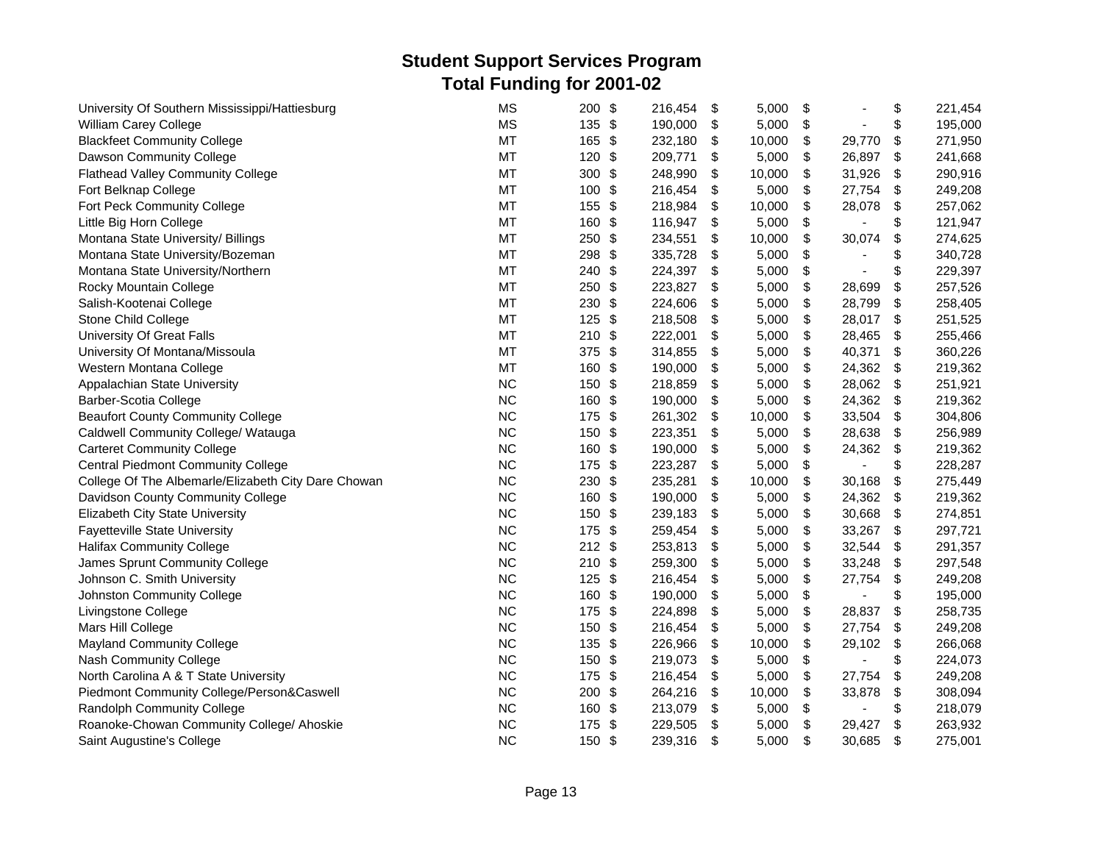| University Of Southern Mississippi/Hattiesburg      | <b>MS</b> | $\frac{1}{2}$<br>200             | 216,454 | \$<br>5,000  | \$                             | \$  | 221,454 |
|-----------------------------------------------------|-----------|----------------------------------|---------|--------------|--------------------------------|-----|---------|
| William Carey College                               | <b>MS</b> | 135 \$                           | 190,000 | \$<br>5,000  | \$                             | \$  | 195,000 |
| <b>Blackfeet Community College</b>                  | <b>MT</b> | 165<br>$\frac{1}{2}$             | 232,180 | \$<br>10,000 | \$<br>29,770                   | \$  | 271,950 |
| Dawson Community College                            | <b>MT</b> | \$<br>120                        | 209,771 | \$<br>5,000  | \$<br>26,897                   | \$  | 241,668 |
| <b>Flathead Valley Community College</b>            | <b>MT</b> | \$<br>300                        | 248,990 | \$<br>10,000 | \$<br>31,926                   | \$  | 290,916 |
| Fort Belknap College                                | <b>MT</b> | \$<br>100                        | 216,454 | \$<br>5,000  | \$<br>27,754                   | \$  | 249,208 |
| Fort Peck Community College                         | MT        | 155<br>\$                        | 218,984 | \$<br>10,000 | \$<br>28,078                   | \$  | 257,062 |
| Little Big Horn College                             | <b>MT</b> | 160<br>\$                        | 116,947 | \$<br>5,000  | \$                             | \$  | 121,947 |
| Montana State University/ Billings                  | <b>MT</b> | \$<br>250                        | 234,551 | \$<br>10,000 | \$<br>30,074                   | \$  | 274,625 |
| Montana State University/Bozeman                    | <b>MT</b> | 298<br>\$                        | 335,728 | \$<br>5,000  | \$                             | \$  | 340,728 |
| Montana State University/Northern                   | <b>MT</b> | \$<br>240                        | 224,397 | \$<br>5,000  | \$<br>$\blacksquare$           | \$  | 229,397 |
| Rocky Mountain College                              | MT        | 250<br>\$                        | 223,827 | \$<br>5,000  | \$<br>28,699                   | \$  | 257,526 |
| Salish-Kootenai College                             | MT        | \$<br>230                        | 224,606 | \$<br>5,000  | \$<br>28,799                   | \$  | 258,405 |
| Stone Child College                                 | <b>MT</b> | 125<br>$\frac{1}{2}$             | 218,508 | \$<br>5,000  | \$<br>28,017                   | \$  | 251,525 |
| University Of Great Falls                           | <b>MT</b> | 210 \$                           | 222,001 | \$<br>5,000  | \$<br>28,465                   | \$  | 255,466 |
| University Of Montana/Missoula                      | <b>MT</b> | 375 \$                           | 314,855 | \$<br>5,000  | \$<br>40,371                   | \$  | 360,226 |
| Western Montana College                             | <b>MT</b> | $\boldsymbol{\mathsf{S}}$<br>160 | 190,000 | \$<br>5,000  | \$<br>24,362                   | \$  | 219,362 |
| Appalachian State University                        | <b>NC</b> | 150<br>\$                        | 218,859 | \$<br>5,000  | \$<br>28,062                   | -\$ | 251,921 |
| Barber-Scotia College                               | <b>NC</b> | 160<br>\$                        | 190,000 | \$<br>5,000  | \$<br>24,362                   | \$  | 219,362 |
| <b>Beaufort County Community College</b>            | <b>NC</b> | 175<br>\$                        | 261,302 | \$<br>10,000 | \$<br>33,504                   | \$  | 304,806 |
| Caldwell Community College/ Watauga                 | <b>NC</b> | \$<br>150                        | 223,351 | \$<br>5,000  | \$<br>28,638                   | \$  | 256,989 |
| <b>Carteret Community College</b>                   | <b>NC</b> | \$<br>160                        | 190,000 | \$<br>5,000  | \$<br>24,362                   | \$  | 219,362 |
| <b>Central Piedmont Community College</b>           | <b>NC</b> | 175<br>\$                        | 223,287 | \$<br>5,000  | \$<br>$\blacksquare$           | \$  | 228,287 |
| College Of The Albemarle/Elizabeth City Dare Chowan | <b>NC</b> | \$<br>230                        | 235,281 | \$<br>10,000 | \$<br>30,168                   | \$  | 275,449 |
| Davidson County Community College                   | <b>NC</b> | \$<br>160                        | 190,000 | \$<br>5,000  | \$<br>24,362                   | \$  | 219,362 |
| Elizabeth City State University                     | <b>NC</b> | 150<br>\$                        | 239,183 | \$<br>5,000  | \$<br>30,668                   | \$  | 274,851 |
| <b>Fayetteville State University</b>                | <b>NC</b> | 175<br>$\frac{1}{2}$             | 259,454 | \$<br>5,000  | \$<br>33,267                   | \$  | 297,721 |
| <b>Halifax Community College</b>                    | <b>NC</b> | $212$ \$                         | 253,813 | \$<br>5,000  | \$<br>32,544                   | \$  | 291,357 |
| James Sprunt Community College                      | <b>NC</b> | $210$ \$                         | 259,300 | \$<br>5,000  | \$<br>33,248                   | \$  | 297,548 |
| Johnson C. Smith University                         | <b>NC</b> | 125<br>\$                        | 216,454 | \$<br>5,000  | \$<br>27,754                   | \$  | 249,208 |
| Johnston Community College                          | <b>NC</b> | $\frac{1}{2}$<br>160             | 190,000 | \$<br>5,000  | \$<br>$\overline{\phantom{a}}$ | \$  | 195,000 |
| Livingstone College                                 | <b>NC</b> | 175 \$                           | 224,898 | \$<br>5,000  | \$<br>28,837                   | \$  | 258,735 |
| Mars Hill College                                   | <b>NC</b> | 150<br>\$                        | 216,454 | \$<br>5,000  | \$<br>27,754                   | \$  | 249,208 |
| <b>Mayland Community College</b>                    | <b>NC</b> | 135<br>\$                        | 226,966 | \$<br>10,000 | \$<br>29,102                   | \$  | 266,068 |
| Nash Community College                              | <b>NC</b> | \$<br>150                        | 219,073 | \$<br>5,000  | \$                             | \$  | 224,073 |
| North Carolina A & T State University               | <b>NC</b> | \$<br>175                        | 216,454 | \$<br>5,000  | \$<br>27,754                   | \$  | 249,208 |
| Piedmont Community College/Person&Caswell           | <b>NC</b> | 200<br>\$                        | 264,216 | \$<br>10,000 | \$<br>33,878                   | \$  | 308,094 |
| Randolph Community College                          | <b>NC</b> | 160<br>\$                        | 213,079 | \$<br>5,000  | \$<br>$\blacksquare$           | \$  | 218,079 |
| Roanoke-Chowan Community College/ Ahoskie           | <b>NC</b> | \$<br>175                        | 229,505 | \$<br>5,000  | \$<br>29,427                   | \$  | 263,932 |
| Saint Augustine's College                           | <b>NC</b> | 150 \$                           | 239,316 | \$<br>5,000  | \$<br>30,685                   | \$  | 275,001 |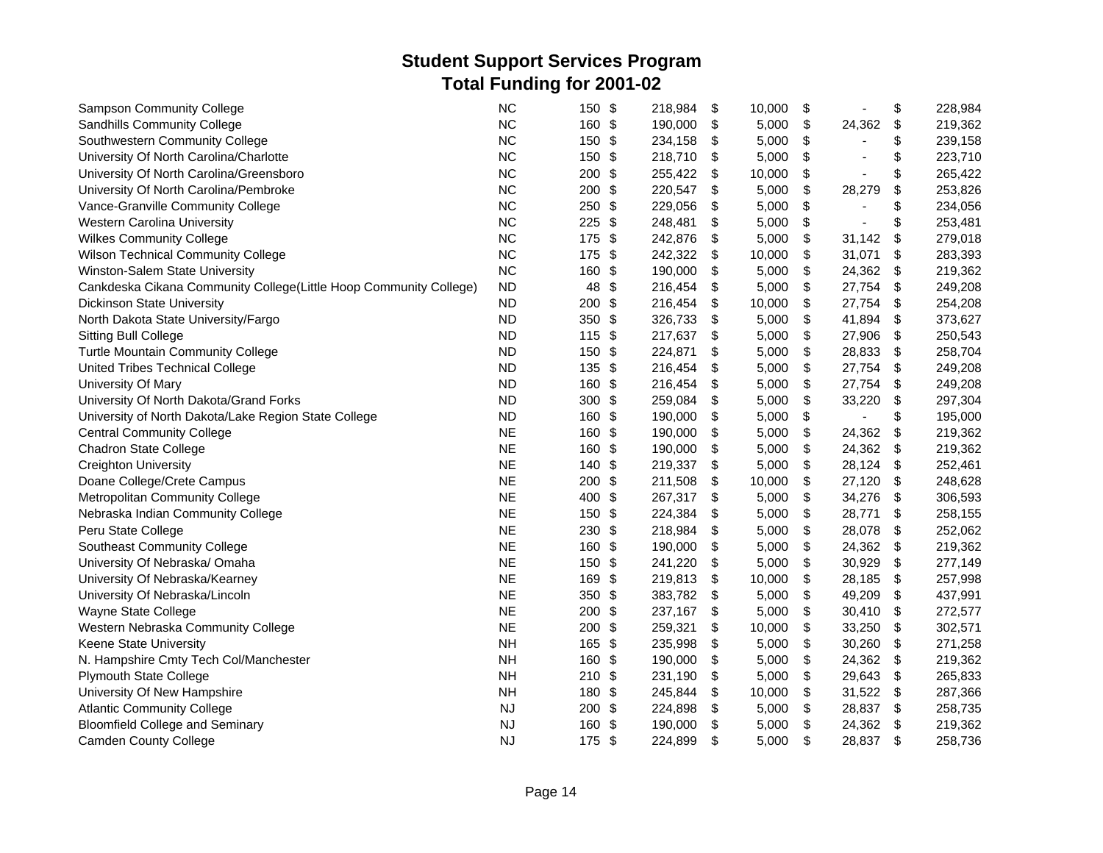| <b>Sampson Community College</b>                                  | <b>NC</b> | 150 \$   |               | 218,984 | \$<br>10,000 | \$           | \$                        | 228,984 |
|-------------------------------------------------------------------|-----------|----------|---------------|---------|--------------|--------------|---------------------------|---------|
| Sandhills Community College                                       | <b>NC</b> | 160 \$   |               | 190,000 | \$<br>5,000  | \$<br>24,362 | \$                        | 219,362 |
| Southwestern Community College                                    | <b>NC</b> | 150      | $\sqrt[6]{3}$ | 234,158 | \$<br>5,000  | \$           | \$                        | 239,158 |
| University Of North Carolina/Charlotte                            | <b>NC</b> | 150      | \$            | 218,710 | \$<br>5,000  | \$           | \$                        | 223,710 |
| University Of North Carolina/Greensboro                           | <b>NC</b> | 200      | $\frac{1}{2}$ | 255,422 | \$<br>10,000 | \$           | \$                        | 265,422 |
| University Of North Carolina/Pembroke                             | <b>NC</b> | 200      | \$            | 220,547 | \$<br>5,000  | \$<br>28,279 | \$                        | 253,826 |
| Vance-Granville Community College                                 | <b>NC</b> | 250      | $\sqrt[6]{3}$ | 229,056 | \$<br>5,000  | \$           | \$                        | 234,056 |
| Western Carolina University                                       | <b>NC</b> | 225      | $\sqrt[6]{3}$ | 248,481 | \$<br>5,000  | \$           | \$                        | 253,481 |
| <b>Wilkes Community College</b>                                   | <b>NC</b> | 175      | \$            | 242,876 | \$<br>5,000  | \$<br>31,142 | $\boldsymbol{\mathsf{S}}$ | 279,018 |
| <b>Wilson Technical Community College</b>                         | <b>NC</b> | 175 \$   |               | 242,322 | \$<br>10,000 | \$<br>31,071 | \$                        | 283,393 |
| Winston-Salem State University                                    | <b>NC</b> | 160      | \$            | 190,000 | \$<br>5,000  | \$<br>24,362 | \$                        | 219,362 |
| Cankdeska Cikana Community College(Little Hoop Community College) | <b>ND</b> | 48       | \$            | 216,454 | \$<br>5,000  | \$<br>27,754 | \$                        | 249,208 |
| Dickinson State University                                        | <b>ND</b> | 200      | \$            | 216,454 | \$<br>10,000 | \$<br>27,754 | \$                        | 254,208 |
| North Dakota State University/Fargo                               | <b>ND</b> | 350 $$$  |               | 326,733 | \$<br>5,000  | \$<br>41,894 | \$                        | 373,627 |
| <b>Sitting Bull College</b>                                       | <b>ND</b> | $115$ \$ |               | 217,637 | \$<br>5,000  | \$<br>27,906 | \$                        | 250,543 |
| Turtle Mountain Community College                                 | <b>ND</b> | 150      | \$            | 224,871 | \$<br>5,000  | \$<br>28,833 | $\boldsymbol{\mathsf{S}}$ | 258,704 |
| United Tribes Technical College                                   | <b>ND</b> | 135 \$   |               | 216,454 | \$<br>5,000  | \$<br>27,754 | $\boldsymbol{\mathsf{S}}$ | 249,208 |
| University Of Mary                                                | <b>ND</b> | 160      | \$            | 216,454 | \$<br>5,000  | \$<br>27,754 | \$                        | 249,208 |
| University Of North Dakota/Grand Forks                            | <b>ND</b> | 300      | \$            | 259,084 | \$<br>5,000  | \$<br>33,220 | \$                        | 297,304 |
| University of North Dakota/Lake Region State College              | <b>ND</b> | 160      | -\$           | 190,000 | \$<br>5,000  | \$           | \$                        | 195,000 |
| <b>Central Community College</b>                                  | <b>NE</b> | 160      | \$            | 190,000 | \$<br>5,000  | \$<br>24,362 | \$                        | 219,362 |
| <b>Chadron State College</b>                                      | <b>NE</b> | 160      | \$            | 190,000 | \$<br>5,000  | \$<br>24,362 | \$                        | 219,362 |
| <b>Creighton University</b>                                       | <b>NE</b> | 140      | $\sqrt[6]{3}$ | 219,337 | \$<br>5,000  | \$<br>28,124 | \$                        | 252,461 |
| Doane College/Crete Campus                                        | <b>NE</b> | 200      | \$            | 211,508 | \$<br>10,000 | \$<br>27,120 | \$                        | 248,628 |
| Metropolitan Community College                                    | <b>NE</b> | 400      | \$            | 267,317 | \$<br>5,000  | \$<br>34,276 | \$                        | 306,593 |
| Nebraska Indian Community College                                 | <b>NE</b> | 150      | \$            | 224,384 | \$<br>5,000  | \$<br>28,771 | \$                        | 258,155 |
| Peru State College                                                | <b>NE</b> | 230      | $\frac{1}{2}$ | 218,984 | \$<br>5,000  | \$<br>28,078 | \$                        | 252,062 |
| <b>Southeast Community College</b>                                | <b>NE</b> | 160 \$   |               | 190,000 | \$<br>5,000  | \$<br>24,362 | \$                        | 219,362 |
| University Of Nebraska/ Omaha                                     | <b>NE</b> | 150      | \$            | 241,220 | \$<br>5,000  | \$<br>30,929 | \$                        | 277,149 |
| University Of Nebraska/Kearney                                    | <b>NE</b> | 169      | - \$          | 219,813 | \$<br>10,000 | \$<br>28,185 | \$                        | 257,998 |
| University Of Nebraska/Lincoln                                    | <b>NE</b> | 350      | \$            | 383,782 | \$<br>5,000  | \$<br>49,209 | \$                        | 437,991 |
| Wayne State College                                               | <b>NE</b> | 200      | \$            | 237,167 | \$<br>5,000  | \$<br>30,410 | \$                        | 272,577 |
| Western Nebraska Community College                                | <b>NE</b> | 200      | \$            | 259,321 | \$<br>10,000 | \$<br>33,250 | \$                        | 302,571 |
| Keene State University                                            | <b>NH</b> | 165      | \$            | 235,998 | \$<br>5,000  | \$<br>30,260 | \$                        | 271,258 |
| N. Hampshire Cmty Tech Col/Manchester                             | <b>NH</b> | 160      | -\$           | 190,000 | \$<br>5,000  | \$<br>24,362 | \$                        | 219,362 |
| <b>Plymouth State College</b>                                     | <b>NH</b> | 210      | - \$          | 231,190 | \$<br>5,000  | \$<br>29,643 | \$                        | 265,833 |
| University Of New Hampshire                                       | <b>NH</b> | 180      | $\sqrt[6]{3}$ | 245,844 | \$<br>10,000 | \$<br>31,522 | \$                        | 287,366 |
| <b>Atlantic Community College</b>                                 | <b>NJ</b> | 200      | \$            | 224,898 | \$<br>5,000  | \$<br>28,837 | \$                        | 258,735 |
| <b>Bloomfield College and Seminary</b>                            | <b>NJ</b> | 160      | -\$           | 190,000 | \$<br>5,000  | \$<br>24,362 | \$                        | 219,362 |
| <b>Camden County College</b>                                      | <b>NJ</b> | 175 \$   |               | 224,899 | \$<br>5,000  | \$<br>28,837 | \$                        | 258,736 |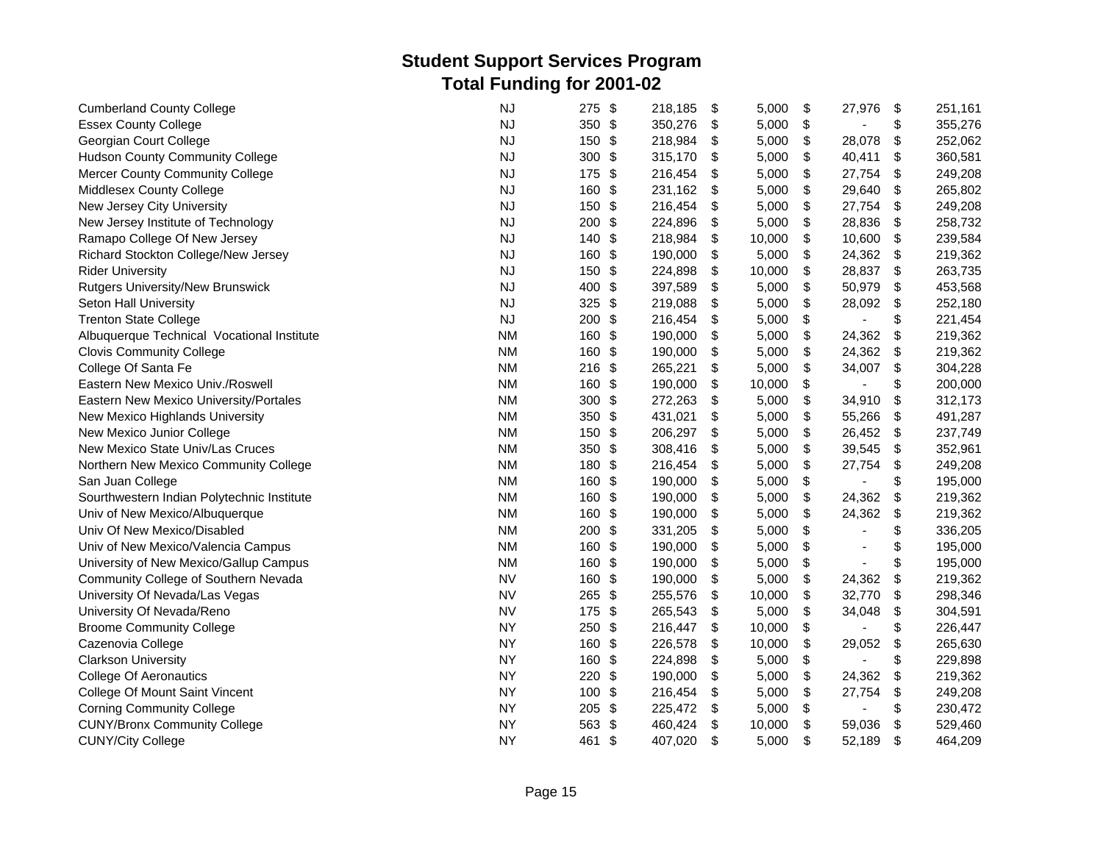| <b>Cumberland County College</b>           | <b>NJ</b> | \$<br>275            | 218,185 | \$<br>5,000  | \$<br>27,976         | \$                        | 251,161 |
|--------------------------------------------|-----------|----------------------|---------|--------------|----------------------|---------------------------|---------|
| <b>Essex County College</b>                | <b>NJ</b> | 350 \$               | 350,276 | \$<br>5,000  | \$<br>ä,             | \$                        | 355,276 |
| Georgian Court College                     | <b>NJ</b> | 150<br>\$            | 218,984 | \$<br>5,000  | \$<br>28,078         | \$                        | 252,062 |
| <b>Hudson County Community College</b>     | <b>NJ</b> | 300<br>\$            | 315,170 | \$<br>5,000  | \$<br>40,411         | \$                        | 360,581 |
| <b>Mercer County Community College</b>     | <b>NJ</b> | 175<br>\$            | 216,454 | \$<br>5,000  | \$<br>27,754         | \$                        | 249,208 |
| Middlesex County College                   | <b>NJ</b> | 160<br>\$            | 231,162 | \$<br>5,000  | \$<br>29,640         | $\frac{1}{2}$             | 265,802 |
| New Jersey City University                 | <b>NJ</b> | \$<br>150            | 216,454 | \$<br>5,000  | \$<br>27,754         | \$                        | 249,208 |
| New Jersey Institute of Technology         | NJ        | \$<br>200            | 224,896 | \$<br>5,000  | \$<br>28,836         | \$                        | 258,732 |
| Ramapo College Of New Jersey               | <b>NJ</b> | 140<br>\$            | 218,984 | \$<br>10,000 | \$<br>10,600         | \$                        | 239,584 |
| Richard Stockton College/New Jersey        | <b>NJ</b> | \$<br>160            | 190,000 | \$<br>5,000  | \$<br>24,362         | \$                        | 219,362 |
| <b>Rider University</b>                    | <b>NJ</b> | 150<br>\$            | 224,898 | \$<br>10,000 | \$<br>28,837         | \$                        | 263,735 |
| Rutgers University/New Brunswick           | <b>NJ</b> | 400<br>$\frac{1}{2}$ | 397,589 | \$<br>5,000  | \$<br>50,979         | \$                        | 453,568 |
| Seton Hall University                      | <b>NJ</b> | 325<br>\$            | 219,088 | \$<br>5,000  | \$<br>28,092         | \$                        | 252,180 |
| <b>Trenton State College</b>               | <b>NJ</b> | 200<br>-\$           | 216,454 | \$<br>5,000  | \$                   | \$                        | 221,454 |
| Albuquerque Technical Vocational Institute | <b>NM</b> | 160<br>\$            | 190,000 | \$<br>5,000  | \$<br>24,362         | \$                        | 219,362 |
| <b>Clovis Community College</b>            | <b>NM</b> | 160<br>\$            | 190,000 | \$<br>5,000  | \$<br>24,362         | \$                        | 219,362 |
| College Of Santa Fe                        | <b>NM</b> | $216$ \$             | 265,221 | \$<br>5,000  | \$<br>34,007         | $\boldsymbol{\mathsf{S}}$ | 304,228 |
| Eastern New Mexico Univ./Roswell           | <b>NM</b> | 160<br>\$            | 190,000 | \$<br>10,000 | \$<br>٠              | \$                        | 200,000 |
| Eastern New Mexico University/Portales     | <b>NM</b> | 300<br>\$            | 272,263 | \$<br>5,000  | \$<br>34,910         | \$                        | 312,173 |
| New Mexico Highlands University            | <b>NM</b> | 350<br>\$            | 431,021 | \$<br>5,000  | \$<br>55,266         | \$                        | 491,287 |
| New Mexico Junior College                  | <b>NM</b> | \$<br>150            | 206,297 | \$<br>5,000  | \$<br>26,452         | \$                        | 237,749 |
| New Mexico State Univ/Las Cruces           | <b>NM</b> | 350<br>\$            | 308,416 | \$<br>5,000  | \$<br>39,545         | \$                        | 352,961 |
| Northern New Mexico Community College      | <b>NM</b> | 180<br>\$            | 216,454 | \$<br>5,000  | \$<br>27,754         | \$                        | 249,208 |
| San Juan College                           | <b>NM</b> | $\frac{1}{2}$<br>160 | 190,000 | \$<br>5,000  | \$<br>$\blacksquare$ | \$                        | 195,000 |
| Sourthwestern Indian Polytechnic Institute | <b>NM</b> | 160<br>\$            | 190,000 | \$<br>5,000  | \$<br>24,362         | \$                        | 219,362 |
| Univ of New Mexico/Albuquerque             | <b>NM</b> | 160<br>$\frac{1}{2}$ | 190,000 | \$<br>5,000  | \$<br>24,362         | \$                        | 219,362 |
| Univ Of New Mexico/Disabled                | <b>NM</b> | 200<br>\$            | 331,205 | \$<br>5,000  | \$                   | \$                        | 336,205 |
| Univ of New Mexico/Valencia Campus         | <b>NM</b> | 160<br>\$            | 190,000 | \$<br>5,000  | \$                   | \$                        | 195,000 |
| University of New Mexico/Gallup Campus     | <b>NM</b> | 160<br>-\$           | 190,000 | \$<br>5,000  | \$                   | \$                        | 195,000 |
| Community College of Southern Nevada       | <b>NV</b> | $\frac{1}{2}$<br>160 | 190,000 | \$<br>5,000  | \$<br>24,362         | $\boldsymbol{\mathsf{S}}$ | 219,362 |
| University Of Nevada/Las Vegas             | <b>NV</b> | 265<br>\$            | 255,576 | \$<br>10,000 | \$<br>32,770         | $\boldsymbol{\mathsf{S}}$ | 298,346 |
| University Of Nevada/Reno                  | <b>NV</b> | \$<br>175            | 265,543 | \$<br>5,000  | \$<br>34,048         | $\,$                      | 304,591 |
| <b>Broome Community College</b>            | <b>NY</b> | 250<br>\$            | 216,447 | \$<br>10,000 | \$                   | \$                        | 226,447 |
| Cazenovia College                          | <b>NY</b> | 160<br>$\frac{1}{2}$ | 226,578 | 10,000<br>\$ | \$<br>29,052         | \$                        | 265,630 |
| <b>Clarkson University</b>                 | <b>NY</b> | $\frac{1}{2}$<br>160 | 224,898 | 5,000<br>\$  | \$                   | \$                        | 229,898 |
| <b>College Of Aeronautics</b>              | <b>NY</b> | 220<br>\$            | 190,000 | \$<br>5,000  | \$<br>24,362         | \$                        | 219,362 |
| College Of Mount Saint Vincent             | <b>NY</b> | 100<br>\$            | 216,454 | \$<br>5,000  | \$<br>27,754         | \$                        | 249,208 |
| <b>Corning Community College</b>           | <b>NY</b> | \$<br>205            | 225,472 | \$<br>5,000  | \$<br>$\overline{a}$ | \$                        | 230,472 |
| <b>CUNY/Bronx Community College</b>        | <b>NY</b> | \$<br>563            | 460,424 | \$<br>10,000 | \$<br>59,036         | \$                        | 529,460 |
| <b>CUNY/City College</b>                   | <b>NY</b> | 461<br>\$            | 407,020 | \$<br>5,000  | \$<br>52,189         | \$                        | 464,209 |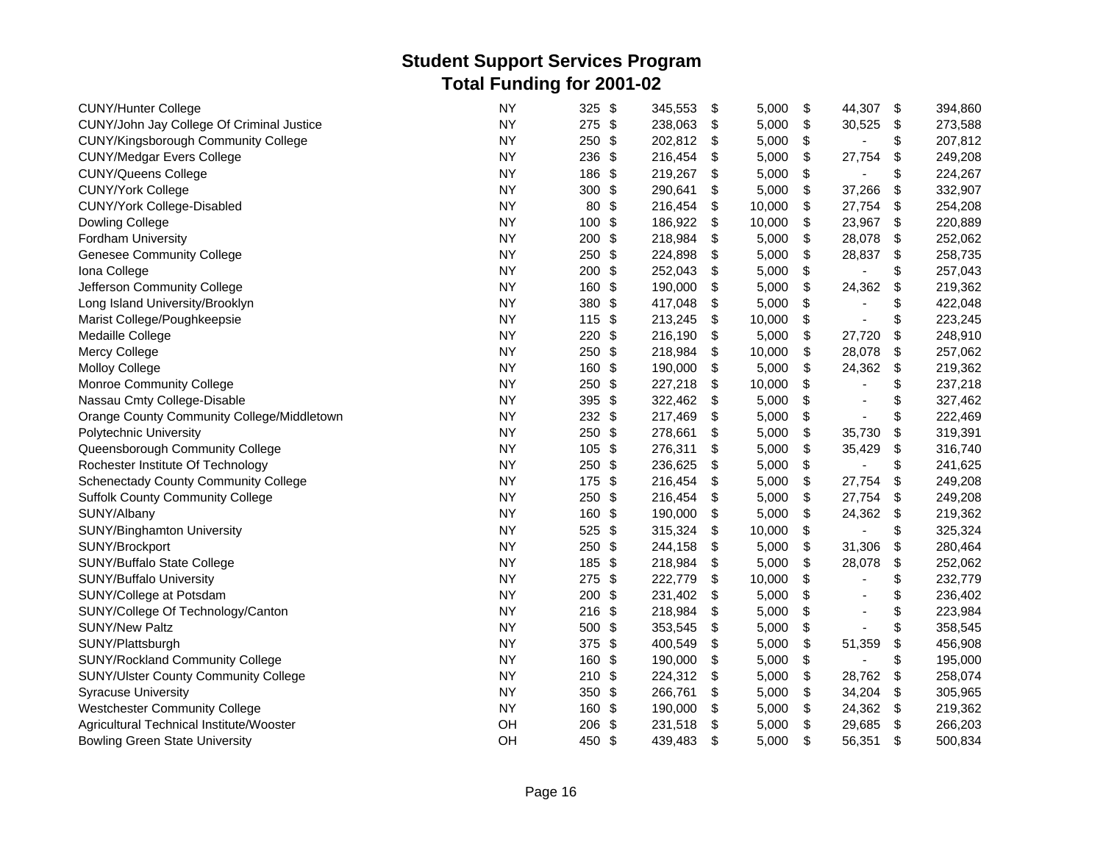| <b>CUNY/Hunter College</b>                  | <b>NY</b> | 325      | \$            | 345,553 | \$<br>5,000  | \$<br>44,307                   | \$                        | 394,860 |
|---------------------------------------------|-----------|----------|---------------|---------|--------------|--------------------------------|---------------------------|---------|
| CUNY/John Jay College Of Criminal Justice   | <b>NY</b> | 275 \$   |               | 238,063 | \$<br>5,000  | \$<br>30,525                   | \$                        | 273,588 |
| <b>CUNY/Kingsborough Community College</b>  | <b>NY</b> | 250      | \$            | 202,812 | \$<br>5,000  | \$                             | \$                        | 207,812 |
| <b>CUNY/Medgar Evers College</b>            | <b>NY</b> | 236      | \$            | 216,454 | \$<br>5,000  | \$<br>27,754                   | \$                        | 249,208 |
| <b>CUNY/Queens College</b>                  | <b>NY</b> | 186      | \$            | 219,267 | \$<br>5,000  | \$                             | \$                        | 224,267 |
| <b>CUNY/York College</b>                    | <b>NY</b> | 300      | \$            | 290,641 | \$<br>5,000  | \$<br>37,266                   | \$                        | 332,907 |
| CUNY/York College-Disabled                  | <b>NY</b> | 80       | \$            | 216,454 | \$<br>10,000 | \$<br>27,754                   | \$                        | 254,208 |
| Dowling College                             | <b>NY</b> | 100      | \$            | 186,922 | \$<br>10,000 | \$<br>23,967                   | \$                        | 220,889 |
| Fordham University                          | <b>NY</b> | 200      | \$            | 218,984 | \$<br>5,000  | \$<br>28,078                   | \$                        | 252,062 |
| <b>Genesee Community College</b>            | <b>NY</b> | 250      | \$            | 224,898 | \$<br>5,000  | \$<br>28,837                   | \$                        | 258,735 |
| Iona College                                | <b>NY</b> | 200      | \$            | 252,043 | \$<br>5,000  | \$                             | \$                        | 257,043 |
| Jefferson Community College                 | <b>NY</b> | 160      | \$            | 190,000 | \$<br>5,000  | \$<br>24,362                   | \$                        | 219,362 |
| Long Island University/Brooklyn             | <b>NY</b> | 380      | \$            | 417,048 | \$<br>5,000  | \$                             | \$                        | 422,048 |
| Marist College/Poughkeepsie                 | <b>NY</b> | 115      | -\$           | 213,245 | \$<br>10,000 | \$                             | \$                        | 223,245 |
| Medaille College                            | <b>NY</b> | 220      | \$            | 216,190 | \$<br>5,000  | \$<br>27,720                   | \$                        | 248,910 |
| Mercy College                               | <b>NY</b> | 250      | $\frac{1}{2}$ | 218,984 | \$<br>10,000 | \$<br>28,078                   | $\boldsymbol{\mathsf{S}}$ | 257,062 |
| <b>Molloy College</b>                       | <b>NY</b> | 160      | \$            | 190,000 | \$<br>5,000  | \$<br>24,362                   | \$                        | 219,362 |
| Monroe Community College                    | <b>NY</b> | 250      | \$            | 227,218 | \$<br>10,000 | \$                             | \$                        | 237,218 |
| Nassau Cmty College-Disable                 | <b>NY</b> | 395      | $\frac{1}{2}$ | 322,462 | \$<br>5,000  | \$<br>$\overline{\phantom{a}}$ | \$                        | 327,462 |
| Orange County Community College/Middletown  | <b>NY</b> | $232$ \$ |               | 217,469 | \$<br>5,000  | \$                             | \$                        | 222,469 |
| Polytechnic University                      | <b>NY</b> | 250      | \$            | 278,661 | \$<br>5,000  | \$<br>35,730                   | \$                        | 319,391 |
| Queensborough Community College             | <b>NY</b> | 105      | \$            | 276,311 | \$<br>5,000  | \$<br>35,429                   | \$                        | 316,740 |
| Rochester Institute Of Technology           | <b>NY</b> | 250      | $\frac{1}{2}$ | 236,625 | \$<br>5,000  | \$<br>$\mathbf{r}$             | \$                        | 241,625 |
| <b>Schenectady County Community College</b> | <b>NY</b> | 175 \$   |               | 216,454 | \$<br>5,000  | \$<br>27,754                   | \$                        | 249,208 |
| <b>Suffolk County Community College</b>     | <b>NY</b> | 250      | \$            | 216,454 | \$<br>5,000  | \$<br>27,754                   | \$                        | 249,208 |
| SUNY/Albany                                 | <b>NY</b> | 160      | \$            | 190,000 | \$<br>5,000  | \$<br>24,362                   | \$                        | 219,362 |
| SUNY/Binghamton University                  | <b>NY</b> | 525      | \$            | 315,324 | \$<br>10,000 | \$                             | \$                        | 325,324 |
| SUNY/Brockport                              | <b>NY</b> | 250      | \$            | 244,158 | \$<br>5,000  | \$<br>31,306                   | \$                        | 280,464 |
| SUNY/Buffalo State College                  | <b>NY</b> | 185      | \$            | 218,984 | \$<br>5,000  | \$<br>28,078                   | \$                        | 252,062 |
| SUNY/Buffalo University                     | <b>NY</b> | 275      | \$            | 222,779 | \$<br>10,000 | \$                             | \$                        | 232,779 |
| SUNY/College at Potsdam                     | <b>NY</b> | 200      | \$            | 231,402 | \$<br>5,000  | \$                             | \$                        | 236,402 |
| SUNY/College Of Technology/Canton           | <b>NY</b> | $216$ \$ |               | 218,984 | \$<br>5,000  | \$                             | \$                        | 223,984 |
| <b>SUNY/New Paltz</b>                       | <b>NY</b> | 500      | \$            | 353,545 | \$<br>5,000  | \$                             | \$                        | 358,545 |
| SUNY/Plattsburgh                            | <b>NY</b> | 375      | \$            | 400,549 | \$<br>5,000  | \$<br>51,359                   | \$                        | 456,908 |
| <b>SUNY/Rockland Community College</b>      | <b>NY</b> | 160      | \$            | 190,000 | \$<br>5,000  | \$                             | \$                        | 195,000 |
| <b>SUNY/Ulster County Community College</b> | <b>NY</b> | 210      | \$            | 224,312 | \$<br>5,000  | \$<br>28,762                   | \$                        | 258,074 |
| <b>Syracuse University</b>                  | <b>NY</b> | 350      | \$            | 266,761 | \$<br>5,000  | \$<br>34,204                   | \$                        | 305,965 |
| <b>Westchester Community College</b>        | <b>NY</b> | 160      | $\frac{1}{2}$ | 190,000 | \$<br>5,000  | \$<br>24,362                   | \$                        | 219,362 |
| Agricultural Technical Institute/Wooster    | OH        | 206      | \$            | 231,518 | \$<br>5,000  | \$<br>29,685                   | \$                        | 266,203 |
| <b>Bowling Green State University</b>       | OH        | 450 \$   |               | 439,483 | \$<br>5,000  | \$<br>56,351                   | \$                        | 500,834 |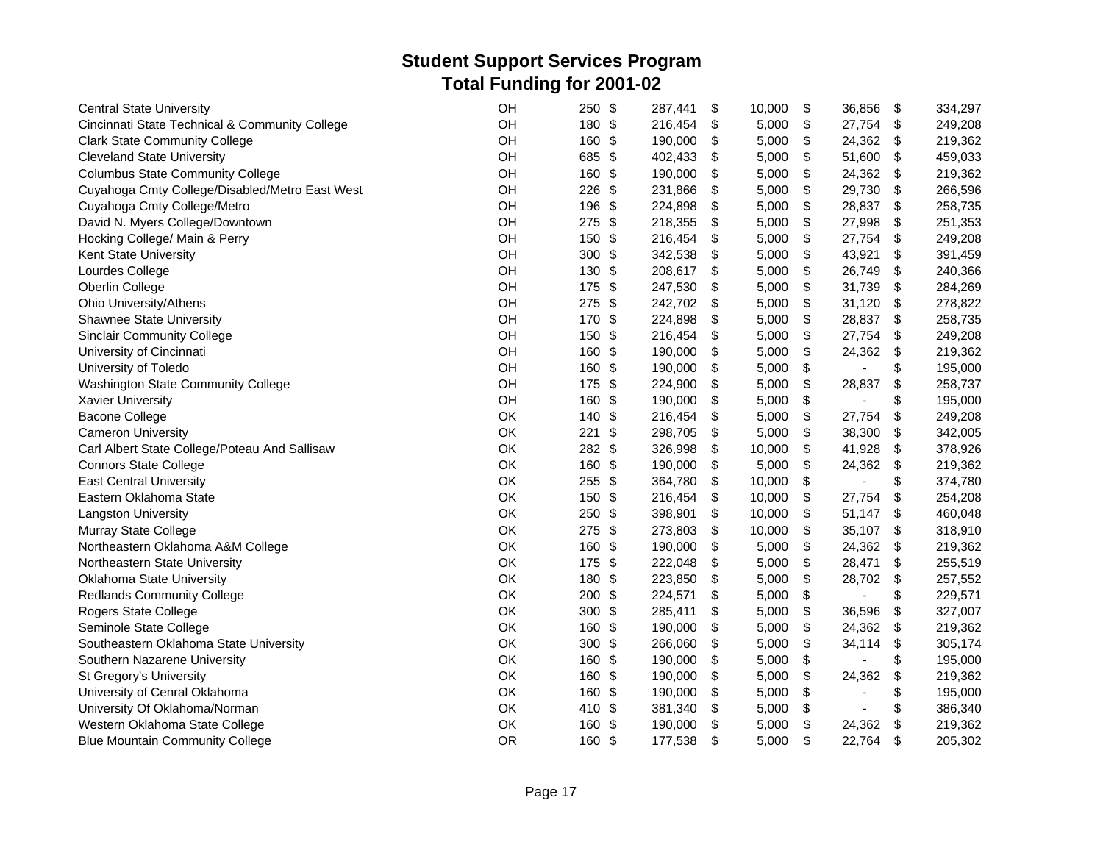| <b>Central State University</b>                | OH        | 250      | \$  | 287,441 | \$<br>10,000 | \$<br>36,856         | \$  | 334,297 |
|------------------------------------------------|-----------|----------|-----|---------|--------------|----------------------|-----|---------|
| Cincinnati State Technical & Community College | OH        | 180 \$   |     | 216,454 | \$<br>5,000  | \$<br>27,754         | \$  | 249,208 |
| <b>Clark State Community College</b>           | OH        | 160      | -\$ | 190,000 | \$<br>5,000  | \$<br>24,362         | \$  | 219,362 |
| <b>Cleveland State University</b>              | OH        | 685      | \$  | 402,433 | \$<br>5,000  | \$<br>51,600         | \$  | 459,033 |
| <b>Columbus State Community College</b>        | OH        | 160      | \$  | 190,000 | \$<br>5,000  | \$<br>24,362         | \$  | 219,362 |
| Cuyahoga Cmty College/Disabled/Metro East West | OH        | 226      | \$  | 231,866 | \$<br>5,000  | \$<br>29,730         | \$  | 266,596 |
| Cuyahoga Cmty College/Metro                    | OH        | 196      | \$  | 224,898 | \$<br>5,000  | \$<br>28,837         | -\$ | 258,735 |
| David N. Myers College/Downtown                | OH        | 275      | \$  | 218,355 | \$<br>5,000  | \$<br>27,998         | \$  | 251,353 |
| Hocking College/ Main & Perry                  | OH        | 150      | \$  | 216,454 | \$<br>5,000  | \$<br>27,754         | \$  | 249,208 |
| Kent State University                          | OH        | 300      | \$  | 342,538 | \$<br>5,000  | \$<br>43,921         | \$  | 391,459 |
| Lourdes College                                | OH        | 130      | \$  | 208,617 | \$<br>5,000  | \$<br>26,749         | \$  | 240,366 |
| Oberlin College                                | OH        | 175      | -\$ | 247,530 | \$<br>5,000  | \$<br>31,739         | \$  | 284,269 |
| Ohio University/Athens                         | OH        | 275      | \$  | 242,702 | \$<br>5,000  | \$<br>31,120         | \$  | 278,822 |
| <b>Shawnee State University</b>                | OH        | 170      | -\$ | 224,898 | \$<br>5,000  | \$<br>28,837         | -\$ | 258,735 |
| <b>Sinclair Community College</b>              | OH        | 150      | \$  | 216,454 | \$<br>5,000  | \$<br>27,754         | \$  | 249,208 |
| University of Cincinnati                       | OH        | 160      | \$  | 190,000 | \$<br>5,000  | \$<br>24,362         | \$  | 219,362 |
| University of Toledo                           | OH        | 160 \$   |     | 190,000 | \$<br>5,000  | \$<br>÷,             | \$  | 195,000 |
| <b>Washington State Community College</b>      | OH        | 175      | -\$ | 224,900 | \$<br>5,000  | \$<br>28,837         | \$  | 258,737 |
| <b>Xavier University</b>                       | OH        | 160      | \$  | 190,000 | \$<br>5,000  | \$<br>ä,             | \$  | 195,000 |
| <b>Bacone College</b>                          | OK        | 140      | \$  | 216,454 | \$<br>5,000  | \$<br>27,754         | \$  | 249,208 |
| <b>Cameron University</b>                      | OK        | 221      | \$  | 298,705 | \$<br>5,000  | \$<br>38,300         | \$  | 342,005 |
| Carl Albert State College/Poteau And Sallisaw  | OK        | 282      | \$  | 326,998 | \$<br>10,000 | \$<br>41,928         | \$  | 378,926 |
| <b>Connors State College</b>                   | OK        | 160      | -\$ | 190,000 | \$<br>5,000  | \$<br>24,362         | \$  | 219,362 |
| <b>East Central University</b>                 | OK        | $255$ \$ |     | 364,780 | \$<br>10,000 | \$<br>$\blacksquare$ | \$  | 374,780 |
| Eastern Oklahoma State                         | OK        | 150      | \$  | 216,454 | \$<br>10,000 | \$<br>27,754         | \$  | 254,208 |
| Langston University                            | OK        | 250      | \$  | 398,901 | \$<br>10,000 | \$<br>51,147         | \$  | 460,048 |
| Murray State College                           | OK        | 275      | \$  | 273,803 | \$<br>10,000 | \$<br>35,107         | \$  | 318,910 |
| Northeastern Oklahoma A&M College              | OK        | 160      | \$  | 190,000 | \$<br>5,000  | \$<br>24,362         | \$  | 219,362 |
| Northeastern State University                  | OK        | 175 \$   |     | 222,048 | \$<br>5,000  | \$<br>28,471         | \$  | 255,519 |
| <b>Oklahoma State University</b>               | OK        | 180      | \$  | 223,850 | \$<br>5,000  | \$<br>28,702         | \$  | 257,552 |
| <b>Redlands Community College</b>              | OK        | 200      | \$  | 224,571 | \$<br>5,000  | \$                   | \$  | 229,571 |
| Rogers State College                           | OK        | 300      | \$  | 285,411 | \$<br>5,000  | \$<br>36,596         | \$  | 327,007 |
| Seminole State College                         | OK        | 160      | \$  | 190,000 | \$<br>5,000  | \$<br>24,362         | \$  | 219,362 |
| Southeastern Oklahoma State University         | OK        | 300      | \$  | 266,060 | \$<br>5,000  | \$<br>34,114         | \$  | 305,174 |
| Southern Nazarene University                   | OK        | 160      | \$  | 190,000 | \$<br>5,000  | \$                   | \$  | 195,000 |
| St Gregory's University                        | OK        | 160      | \$  | 190,000 | \$<br>5,000  | \$<br>24,362         | \$  | 219,362 |
| University of Cenral Oklahoma                  | OK        | 160      | \$  | 190,000 | \$<br>5,000  | \$                   | \$  | 195,000 |
| University Of Oklahoma/Norman                  | OK        | 410 \$   |     | 381,340 | \$<br>5,000  | \$                   | \$  | 386,340 |
| Western Oklahoma State College                 | OK        | 160      | \$  | 190,000 | \$<br>5,000  | \$<br>24,362         | \$  | 219,362 |
| <b>Blue Mountain Community College</b>         | <b>OR</b> | 160      | \$  | 177,538 | \$<br>5,000  | \$<br>22,764         | \$  | 205,302 |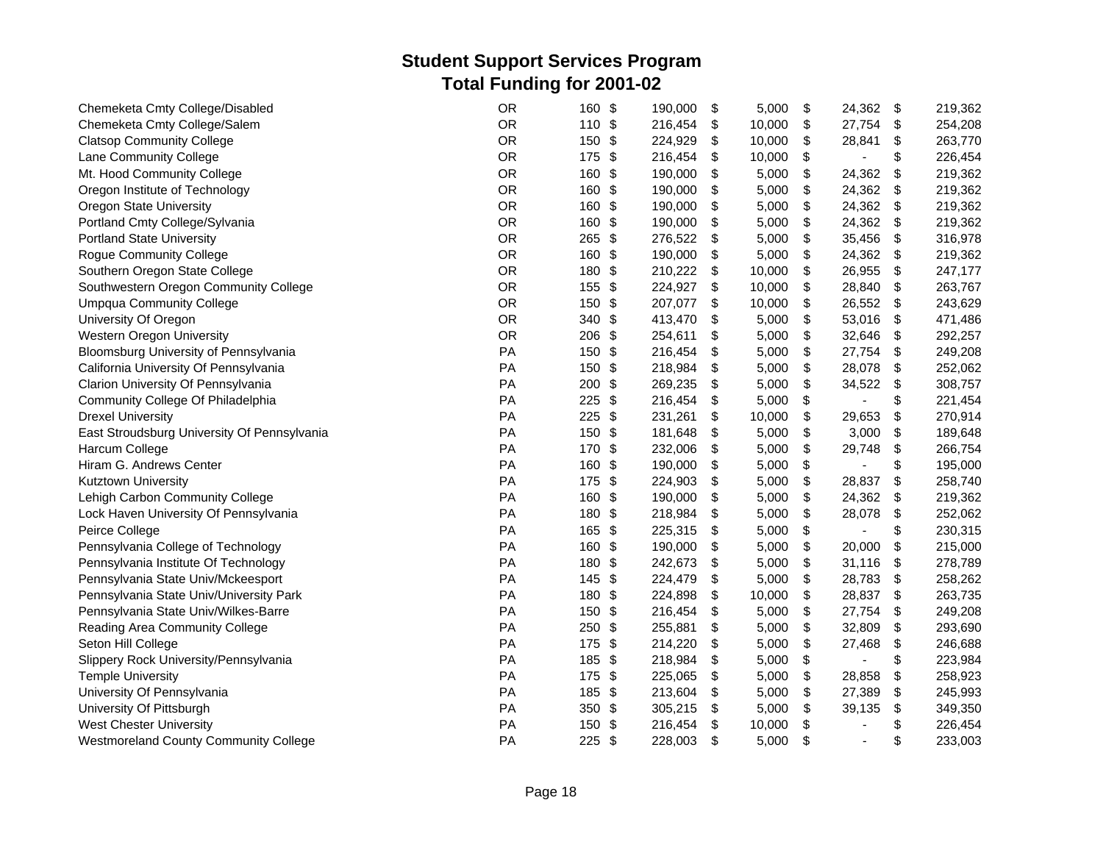| Chemeketa Cmty College/Disabled             | <b>OR</b> | \$<br>160                      | 190,000 | \$<br>5,000  | \$<br>24,362                   | \$                        | 219,362 |
|---------------------------------------------|-----------|--------------------------------|---------|--------------|--------------------------------|---------------------------|---------|
| Chemeketa Cmty College/Salem                | <b>OR</b> | 110 \$                         | 216,454 | \$<br>10,000 | \$<br>27,754                   | \$                        | 254,208 |
| <b>Clatsop Community College</b>            | <b>OR</b> | 150<br>\$                      | 224,929 | \$<br>10,000 | \$<br>28,841                   | \$                        | 263,770 |
| Lane Community College                      | <b>OR</b> | 175<br>\$                      | 216,454 | \$<br>10,000 | \$<br>$\blacksquare$           | \$                        | 226,454 |
| Mt. Hood Community College                  | <b>OR</b> | 160<br>-\$                     | 190,000 | \$<br>5,000  | \$<br>24,362                   | \$                        | 219,362 |
| Oregon Institute of Technology              | <b>OR</b> | 160<br>-\$                     | 190,000 | \$<br>5,000  | \$<br>24,362                   | \$                        | 219,362 |
| Oregon State University                     | OR        | 160<br>\$                      | 190,000 | \$<br>5,000  | \$<br>24,362                   | \$                        | 219,362 |
| Portland Cmty College/Sylvania              | <b>OR</b> | 160<br>\$                      | 190,000 | \$<br>5,000  | \$<br>24,362                   | \$                        | 219,362 |
| <b>Portland State University</b>            | <b>OR</b> | 265<br>$\frac{1}{2}$           | 276,522 | \$<br>5,000  | \$<br>35,456                   | $\boldsymbol{\mathsf{S}}$ | 316,978 |
| <b>Rogue Community College</b>              | <b>OR</b> | 160<br>\$                      | 190,000 | \$<br>5,000  | \$<br>24,362                   | \$                        | 219,362 |
| Southern Oregon State College               | <b>OR</b> | 180<br>\$                      | 210,222 | \$<br>10,000 | \$<br>26,955                   | \$                        | 247,177 |
| Southwestern Oregon Community College       | OR        | 155<br>$\sqrt[6]{3}$           | 224,927 | \$<br>10,000 | \$<br>28,840                   | \$                        | 263,767 |
| <b>Umpqua Community College</b>             | <b>OR</b> | 150 \$                         | 207,077 | \$<br>10,000 | \$<br>26,552                   | \$                        | 243,629 |
| University Of Oregon                        | <b>OR</b> | 340 \$                         | 413,470 | \$<br>5,000  | \$<br>53,016                   | \$                        | 471,486 |
| <b>Western Oregon University</b>            | <b>OR</b> | 206 \$                         | 254,611 | \$<br>5,000  | \$<br>32,646                   | \$                        | 292,257 |
| Bloomsburg University of Pennsylvania       | PA        | 150 \$                         | 216,454 | \$<br>5,000  | \$<br>27,754                   | \$                        | 249,208 |
| California University Of Pennsylvania       | PA        | \$<br>150                      | 218,984 | \$<br>5,000  | \$<br>28,078                   | \$                        | 252,062 |
| Clarion University Of Pennsylvania          | PA        | 200<br>\$                      | 269,235 | \$<br>5,000  | \$<br>34,522                   | \$                        | 308,757 |
| Community College Of Philadelphia           | PA        | 225<br>$\sqrt[6]{\frac{4}{5}}$ | 216,454 | \$<br>5,000  | \$                             | \$                        | 221,454 |
| <b>Drexel University</b>                    | PA        | 225<br>\$                      | 231,261 | \$<br>10,000 | \$<br>29,653                   | \$                        | 270,914 |
| East Stroudsburg University Of Pennsylvania | PA        | 150<br>\$                      | 181,648 | \$<br>5,000  | \$<br>3,000                    | \$                        | 189,648 |
| Harcum College                              | PA        | 170<br>$\sqrt[6]{3}$           | 232,006 | \$<br>5,000  | \$<br>29,748                   | \$                        | 266,754 |
| Hiram G. Andrews Center                     | PA        | 160<br>\$                      | 190,000 | \$<br>5,000  | \$<br>$\blacksquare$           | \$                        | 195,000 |
| Kutztown University                         | PA        | 175<br>\$                      | 224,903 | \$<br>5,000  | \$<br>28,837                   | $\boldsymbol{\mathsf{S}}$ | 258,740 |
| Lehigh Carbon Community College             | PA        | 160<br>$\sqrt[6]{3}$           | 190,000 | \$<br>5,000  | \$<br>24,362                   | \$                        | 219,362 |
| Lock Haven University Of Pennsylvania       | PA        | 180<br>\$                      | 218,984 | \$<br>5,000  | \$<br>28,078                   | \$                        | 252,062 |
| Peirce College                              | PA        | 165<br>$\sqrt[6]{3}$           | 225,315 | \$<br>5,000  | \$                             | \$                        | 230,315 |
| Pennsylvania College of Technology          | PA        | 160 \$                         | 190,000 | \$<br>5,000  | \$<br>20,000                   | \$                        | 215,000 |
| Pennsylvania Institute Of Technology        | PA        | 180<br>$\sqrt[6]{3}$           | 242,673 | \$<br>5,000  | \$<br>31,116                   | \$                        | 278,789 |
| Pennsylvania State Univ/Mckeesport          | PA        | 145<br>\$                      | 224,479 | \$<br>5,000  | \$<br>28,783                   | \$                        | 258,262 |
| Pennsylvania State Univ/University Park     | PA        | 180<br>- \$                    | 224,898 | \$<br>10,000 | \$<br>28,837                   | \$                        | 263,735 |
| Pennsylvania State Univ/Wilkes-Barre        | PA        | 150<br>\$                      | 216,454 | \$<br>5,000  | \$<br>27,754                   | \$                        | 249,208 |
| Reading Area Community College              | PA        | 250<br>\$                      | 255,881 | \$<br>5,000  | \$<br>32,809                   | \$                        | 293,690 |
| Seton Hill College                          | PA        | 175<br>\$                      | 214,220 | \$<br>5,000  | \$<br>27,468                   | \$                        | 246,688 |
| Slippery Rock University/Pennsylvania       | PA        | \$<br>185                      | 218,984 | \$<br>5,000  | \$                             | \$                        | 223,984 |
| <b>Temple University</b>                    | PA        | $175$ \$                       | 225,065 | \$<br>5,000  | \$<br>28,858                   | \$                        | 258,923 |
| University Of Pennsylvania                  | PA        | 185<br>\$                      | 213,604 | \$<br>5,000  | \$<br>27,389                   | \$                        | 245,993 |
| University Of Pittsburgh                    | PA        | 350 \$                         | 305,215 | \$<br>5,000  | \$<br>39,135                   | \$                        | 349,350 |
| <b>West Chester University</b>              | PA        | 150 \$                         | 216,454 | \$<br>10,000 | \$<br>$\overline{a}$           | \$                        | 226,454 |
| Westmoreland County Community College       | PA        | $225$ \$                       | 228,003 | \$<br>5,000  | \$<br>$\overline{\phantom{a}}$ | \$                        | 233,003 |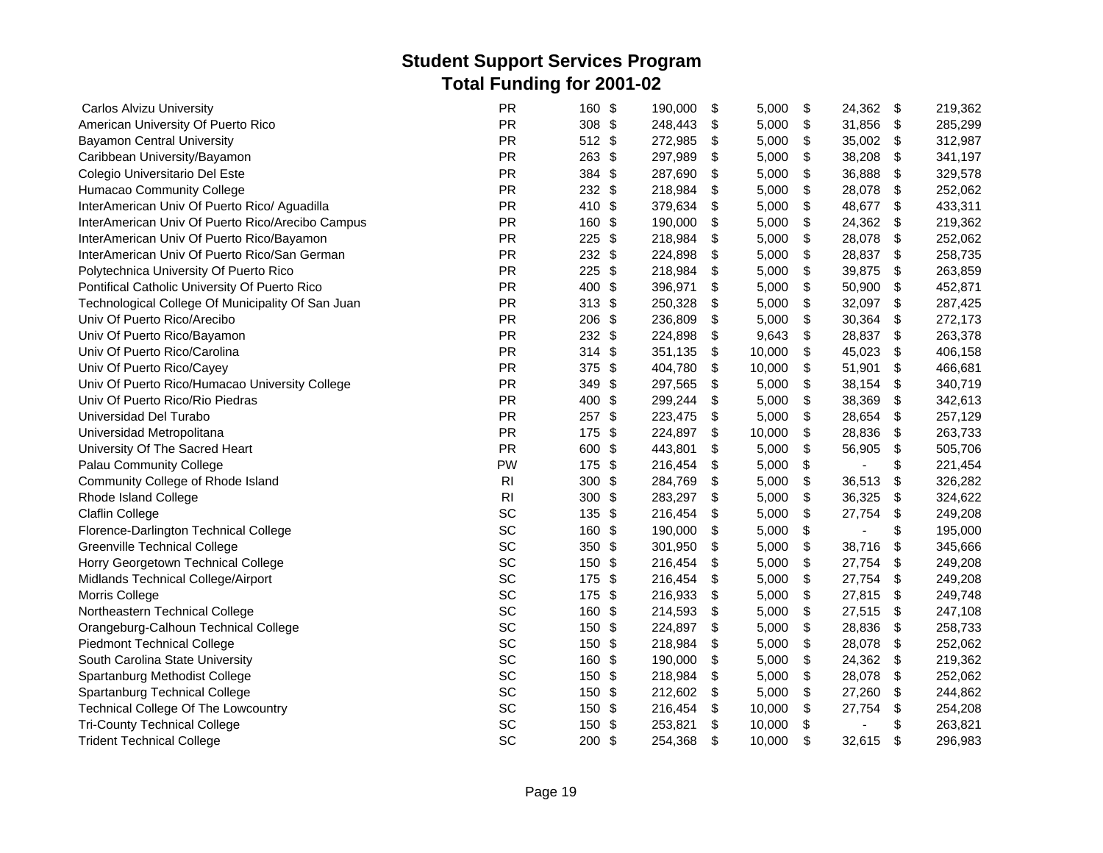| <b>Carlos Alvizu University</b>                   | <b>PR</b>      | 160 \$               | 190,000 | \$<br>5,000  | \$<br>24,362         | \$                        | 219,362 |
|---------------------------------------------------|----------------|----------------------|---------|--------------|----------------------|---------------------------|---------|
| American University Of Puerto Rico                | PR             | 308 \$               | 248,443 | \$<br>5,000  | \$<br>31,856         | \$                        | 285,299 |
| <b>Bayamon Central University</b>                 | <b>PR</b>      | 512 \$               | 272,985 | \$<br>5,000  | \$<br>35,002         | $\boldsymbol{\mathsf{S}}$ | 312,987 |
| Caribbean University/Bayamon                      | <b>PR</b>      | 263<br>- \$          | 297,989 | \$<br>5,000  | \$<br>38,208         | \$                        | 341,197 |
| Colegio Universitario Del Este                    | <b>PR</b>      | 384 \$               | 287,690 | \$<br>5,000  | \$<br>36,888         | \$                        | 329,578 |
| Humacao Community College                         | <b>PR</b>      | \$<br>232            | 218,984 | \$<br>5,000  | \$<br>28,078         | \$                        | 252,062 |
| InterAmerican Univ Of Puerto Rico/ Aguadilla      | PR             | 410<br>\$            | 379,634 | \$<br>5,000  | \$<br>48,677         | \$                        | 433,311 |
| InterAmerican Univ Of Puerto Rico/Arecibo Campus  | <b>PR</b>      | 160<br>-\$           | 190,000 | \$<br>5,000  | \$<br>24,362         | \$                        | 219,362 |
| InterAmerican Univ Of Puerto Rico/Bayamon         | <b>PR</b>      | \$<br>225            | 218,984 | \$<br>5,000  | \$<br>28,078         | \$                        | 252,062 |
| InterAmerican Univ Of Puerto Rico/San German      | <b>PR</b>      | 232<br>\$            | 224,898 | \$<br>5,000  | \$<br>28,837         | \$                        | 258,735 |
| Polytechnica University Of Puerto Rico            | <b>PR</b>      | 225<br>\$            | 218,984 | \$<br>5,000  | \$<br>39,875         | \$                        | 263,859 |
| Pontifical Catholic University Of Puerto Rico     | <b>PR</b>      | 400<br>\$            | 396,971 | \$<br>5,000  | \$<br>50,900         | \$                        | 452,871 |
| Technological College Of Municipality Of San Juan | <b>PR</b>      | $313$ \$             | 250,328 | \$<br>5,000  | \$<br>32,097         | \$                        | 287,425 |
| Univ Of Puerto Rico/Arecibo                       | <b>PR</b>      | 206<br>\$            | 236,809 | \$<br>5,000  | \$<br>30,364         | \$                        | 272,173 |
| Univ Of Puerto Rico/Bayamon                       | <b>PR</b>      | $232$ \$             | 224,898 | \$<br>9,643  | \$<br>28,837         | \$                        | 263,378 |
| Univ Of Puerto Rico/Carolina                      | PR             | $314$ \$             | 351,135 | \$<br>10,000 | \$<br>45,023         | \$                        | 406,158 |
| Univ Of Puerto Rico/Cayey                         | <b>PR</b>      | \$<br>375            | 404,780 | \$<br>10,000 | \$<br>51,901         | $\boldsymbol{\mathsf{S}}$ | 466,681 |
| Univ Of Puerto Rico/Humacao University College    | PR             | 349<br>$\sqrt[6]{3}$ | 297,565 | \$<br>5,000  | \$<br>38,154         | \$                        | 340,719 |
| Univ Of Puerto Rico/Rio Piedras                   | <b>PR</b>      | 400<br>\$            | 299,244 | \$<br>5,000  | \$<br>38,369         | \$                        | 342,613 |
| Universidad Del Turabo                            | <b>PR</b>      | 257 \$               | 223,475 | \$<br>5,000  | \$<br>28,654         | \$                        | 257,129 |
| Universidad Metropolitana                         | <b>PR</b>      | 175<br>-\$           | 224,897 | \$<br>10,000 | \$<br>28,836         | \$                        | 263,733 |
| University Of The Sacred Heart                    | <b>PR</b>      | \$<br>600            | 443,801 | \$<br>5,000  | \$<br>56,905         | \$                        | 505,706 |
| Palau Community College                           | PW             | $\sqrt[6]{3}$<br>175 | 216,454 | \$<br>5,000  | \$<br>$\blacksquare$ | \$                        | 221,454 |
| Community College of Rhode Island                 | R <sub>l</sub> | \$<br>300            | 284,769 | \$<br>5,000  | \$<br>36,513         | \$                        | 326,282 |
| Rhode Island College                              | R <sub>l</sub> | 300<br>\$            | 283,297 | \$<br>5,000  | \$<br>36,325         | \$                        | 324,622 |
| <b>Claflin College</b>                            | SC             | -\$<br>135           | 216,454 | \$<br>5,000  | \$<br>27,754         | \$                        | 249,208 |
| Florence-Darlington Technical College             | SC             | 160<br>\$            | 190,000 | \$<br>5,000  | \$                   | \$                        | 195,000 |
| <b>Greenville Technical College</b>               | SC             | 350 \$               | 301,950 | \$<br>5,000  | \$<br>38,716         | \$                        | 345,666 |
| Horry Georgetown Technical College                | SC             | 150 \$               | 216,454 | \$<br>5,000  | \$<br>27,754         | \$                        | 249,208 |
| Midlands Technical College/Airport                | SC             | 175<br>- \$          | 216,454 | \$<br>5,000  | \$<br>27,754         | \$                        | 249,208 |
| Morris College                                    | SC             | \$<br>175            | 216,933 | \$<br>5,000  | \$<br>27,815         | \$                        | 249,748 |
| Northeastern Technical College                    | SC             | $\frac{1}{2}$<br>160 | 214,593 | \$<br>5,000  | \$<br>27,515         | \$                        | 247,108 |
| Orangeburg-Calhoun Technical College              | SC             | 150<br>\$            | 224,897 | \$<br>5,000  | \$<br>28,836         | \$                        | 258,733 |
| <b>Piedmont Technical College</b>                 | SC             | 150<br>-\$           | 218,984 | \$<br>5,000  | \$<br>28,078         | \$                        | 252,062 |
| South Carolina State University                   | SC             | 160<br>-\$           | 190,000 | \$<br>5,000  | \$<br>24,362         | \$                        | 219,362 |
| Spartanburg Methodist College                     | SC             | 150<br>$\sqrt[6]{3}$ | 218,984 | \$<br>5,000  | \$<br>28,078         | \$                        | 252,062 |
| Spartanburg Technical College                     | SC             | 150<br>$\sqrt[6]{3}$ | 212,602 | \$<br>5,000  | \$<br>27,260         | \$                        | 244,862 |
| <b>Technical College Of The Lowcountry</b>        | SC             | $\sqrt[6]{3}$<br>150 | 216,454 | \$<br>10,000 | \$<br>27,754         | \$                        | 254,208 |
| <b>Tri-County Technical College</b>               | SC             | 150<br>\$            | 253,821 | \$<br>10,000 | \$                   | \$                        | 263,821 |
| <b>Trident Technical College</b>                  | SC             | 200 \$               | 254,368 | \$<br>10,000 | \$<br>32,615         | \$                        | 296,983 |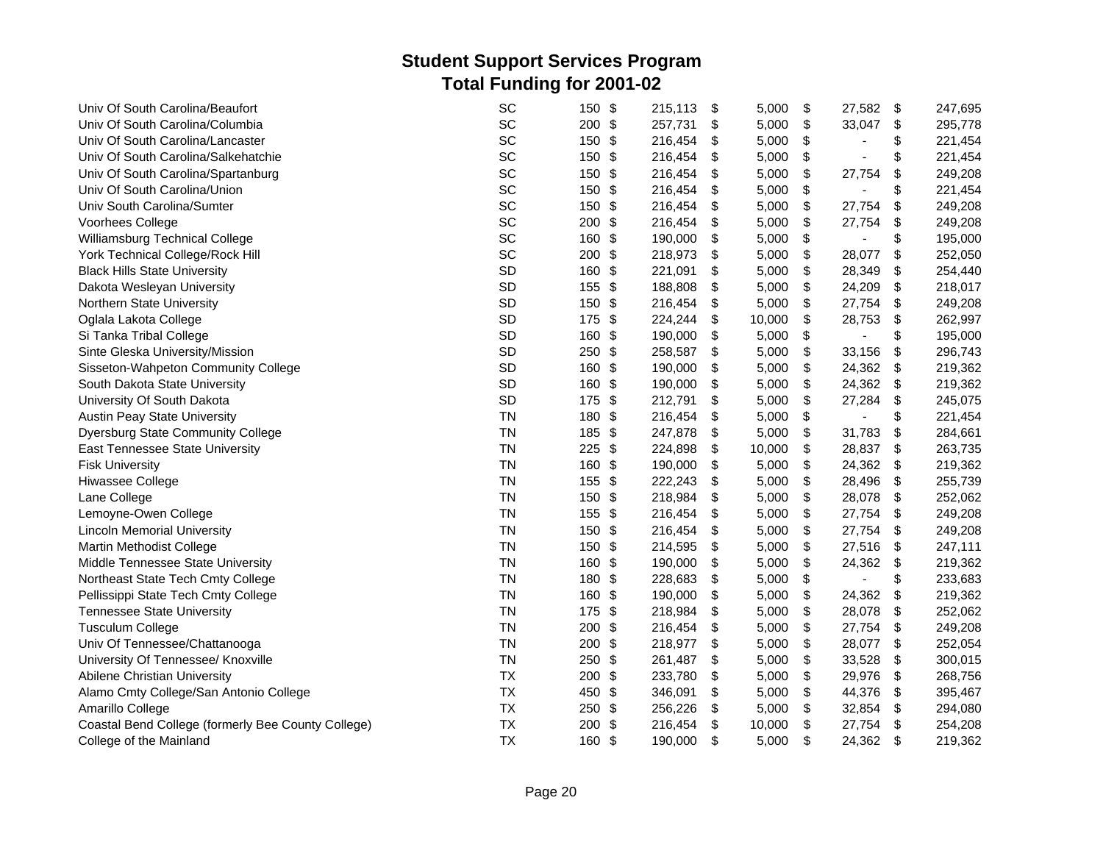| Univ Of South Carolina/Beaufort                    | SC        | 150      | -\$           | 215,113 | \$                        | 5,000  | \$<br>27,582         | \$<br>247,695 |
|----------------------------------------------------|-----------|----------|---------------|---------|---------------------------|--------|----------------------|---------------|
| Univ Of South Carolina/Columbia                    | SC        | 200 \$   |               | 257,731 | \$                        | 5,000  | \$<br>33,047         | \$<br>295,778 |
| Univ Of South Carolina/Lancaster                   | SC        | 150 \$   |               | 216,454 | \$                        | 5,000  | \$<br>$\blacksquare$ | \$<br>221,454 |
| Univ Of South Carolina/Salkehatchie                | SC        | 150      | \$            | 216,454 | \$                        | 5,000  | \$                   | \$<br>221,454 |
| Univ Of South Carolina/Spartanburg                 | SC        | 150      | -\$           | 216,454 | \$                        | 5,000  | \$<br>27,754         | \$<br>249,208 |
| Univ Of South Carolina/Union                       | SC        | 150      | -\$           | 216,454 | \$                        | 5,000  | \$                   | \$<br>221,454 |
| Univ South Carolina/Sumter                         | SC        | 150      | \$            | 216,454 | \$                        | 5,000  | \$<br>27,754         | \$<br>249,208 |
| Voorhees College                                   | SC        | 200      | \$            | 216,454 | \$                        | 5,000  | \$<br>27,754         | \$<br>249,208 |
| Williamsburg Technical College                     | SC        | 160      | \$            | 190,000 | \$                        | 5,000  | \$<br>٠              | \$<br>195,000 |
| York Technical College/Rock Hill                   | SC        | 200 \$   |               | 218,973 | \$                        | 5,000  | \$<br>28,077         | \$<br>252,050 |
| <b>Black Hills State University</b>                | SD        | 160      | \$            | 221,091 | \$                        | 5,000  | \$<br>28,349         | \$<br>254,440 |
| Dakota Wesleyan University                         | SD        | 155      | $\frac{1}{2}$ | 188,808 | \$                        | 5,000  | \$<br>24,209         | \$<br>218,017 |
| Northern State University                          | SD        | 150      | -\$           | 216,454 | \$                        | 5,000  | \$<br>27,754         | \$<br>249,208 |
| Oglala Lakota College                              | SD        | 175 \$   |               | 224,244 | \$                        | 10,000 | \$<br>28,753         | \$<br>262,997 |
| Si Tanka Tribal College                            | SD        | 160      | \$            | 190,000 | \$                        | 5,000  | \$                   | \$<br>195,000 |
| Sinte Gleska University/Mission                    | SD        | $250$ \$ |               | 258,587 | \$                        | 5,000  | \$<br>33,156         | \$<br>296,743 |
| Sisseton-Wahpeton Community College                | SD        | 160 \$   |               | 190,000 | \$                        | 5,000  | \$<br>24,362         | \$<br>219,362 |
| South Dakota State University                      | SD        | 160      | \$            | 190,000 | \$                        | 5,000  | \$<br>24,362         | \$<br>219,362 |
| University Of South Dakota                         | SD        | 175 \$   |               | 212,791 | \$                        | 5,000  | \$<br>27,284         | \$<br>245,075 |
| <b>Austin Peay State University</b>                | <b>TN</b> | 180      | \$            | 216,454 | \$                        | 5,000  | \$                   | \$<br>221,454 |
| <b>Dyersburg State Community College</b>           | <b>TN</b> | 185      | - \$          | 247,878 | \$                        | 5,000  | \$<br>31,783         | \$<br>284,661 |
| East Tennessee State University                    | <b>TN</b> | 225      | \$            | 224,898 | \$                        | 10,000 | \$<br>28,837         | \$<br>263,735 |
| <b>Fisk University</b>                             | <b>TN</b> | 160      | \$            | 190,000 | \$                        | 5,000  | \$<br>24,362         | \$<br>219,362 |
| Hiwassee College                                   | <b>TN</b> | 155      | \$            | 222,243 | \$                        | 5,000  | \$<br>28,496         | \$<br>255,739 |
| Lane College                                       | <b>TN</b> | 150      | \$            | 218,984 | $\boldsymbol{\mathsf{S}}$ | 5,000  | \$<br>28,078         | \$<br>252,062 |
| Lemoyne-Owen College                               | <b>TN</b> | 155      | -\$           | 216,454 | \$                        | 5,000  | \$<br>27,754         | \$<br>249,208 |
| <b>Lincoln Memorial University</b>                 | <b>TN</b> | 150      | \$            | 216,454 | \$                        | 5,000  | \$<br>27,754         | \$<br>249,208 |
| Martin Methodist College                           | <b>TN</b> | 150      | -\$           | 214,595 | \$                        | 5,000  | \$<br>27,516         | \$<br>247,111 |
| Middle Tennessee State University                  | <b>TN</b> | 160      | \$            | 190,000 | \$                        | 5,000  | \$<br>24,362         | \$<br>219,362 |
| Northeast State Tech Cmty College                  | <b>TN</b> | 180      | \$            | 228,683 | \$                        | 5,000  | \$                   | \$<br>233,683 |
| Pellissippi State Tech Cmty College                | <b>TN</b> | 160 \$   |               | 190,000 | \$                        | 5,000  | \$<br>24,362         | \$<br>219,362 |
| <b>Tennessee State University</b>                  | <b>TN</b> | 175 \$   |               | 218,984 | \$                        | 5,000  | \$<br>28,078         | \$<br>252,062 |
| <b>Tusculum College</b>                            | <b>TN</b> | 200      | $\frac{3}{2}$ | 216,454 | \$                        | 5,000  | \$<br>27,754         | \$<br>249,208 |
| Univ Of Tennessee/Chattanooga                      | <b>TN</b> | 200      | \$            | 218,977 | \$                        | 5,000  | \$<br>28,077         | \$<br>252,054 |
| University Of Tennessee/ Knoxville                 | <b>TN</b> | 250      | \$            | 261,487 | \$                        | 5,000  | \$<br>33,528         | \$<br>300,015 |
| Abilene Christian University                       | <b>TX</b> | 200      | -\$           | 233,780 | \$                        | 5,000  | \$<br>29,976         | \$<br>268,756 |
| Alamo Cmty College/San Antonio College             | <b>TX</b> | 450      | \$            | 346,091 | \$                        | 5,000  | \$<br>44,376         | \$<br>395,467 |
| Amarillo College                                   | <b>TX</b> | 250      | \$            | 256,226 | \$                        | 5,000  | \$<br>32,854         | \$<br>294,080 |
| Coastal Bend College (formerly Bee County College) | <b>TX</b> | 200      | -\$           | 216,454 | \$                        | 10,000 | \$<br>27,754         | \$<br>254,208 |
| College of the Mainland                            | <b>TX</b> | 160      | -\$           | 190,000 | \$                        | 5,000  | \$<br>24,362         | \$<br>219,362 |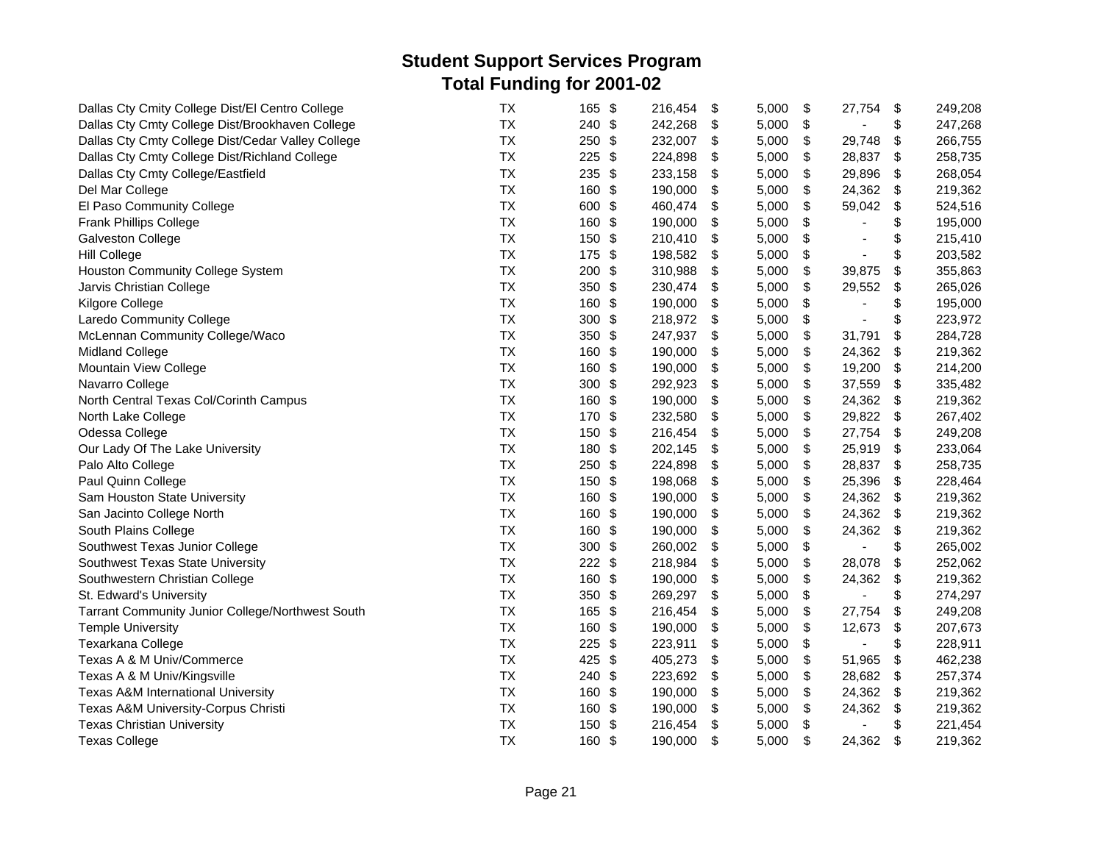| Dallas Cty Cmity College Dist/El Centro College   | <b>TX</b> | $\sqrt[6]{3}$<br>165 | 216,454<br>\$ | 5,000 | \$<br>27,754                   | \$                        | 249,208 |
|---------------------------------------------------|-----------|----------------------|---------------|-------|--------------------------------|---------------------------|---------|
| Dallas Cty Cmty College Dist/Brookhaven College   | <b>TX</b> | 240 \$               | 242,268<br>\$ | 5,000 | \$                             | \$                        | 247,268 |
| Dallas Cty Cmty College Dist/Cedar Valley College | <b>TX</b> | 250<br>\$            | 232,007<br>\$ | 5,000 | \$<br>29,748                   | \$                        | 266,755 |
| Dallas Cty Cmty College Dist/Richland College     | <b>TX</b> | 225<br>\$            | 224,898<br>\$ | 5,000 | \$<br>28,837                   | \$                        | 258,735 |
| Dallas Cty Cmty College/Eastfield                 | <b>TX</b> | 235<br>\$            | 233,158<br>\$ | 5,000 | \$<br>29,896                   | \$                        | 268,054 |
| Del Mar College                                   | <b>TX</b> | 160<br>\$            | 190,000<br>\$ | 5,000 | \$<br>24,362                   | \$                        | 219,362 |
| El Paso Community College                         | <b>TX</b> | 600<br>\$            | 460,474<br>\$ | 5,000 | \$<br>59,042                   | \$                        | 524,516 |
| <b>Frank Phillips College</b>                     | <b>TX</b> | 160<br>\$            | 190,000<br>\$ | 5,000 | \$                             | \$                        | 195,000 |
| <b>Galveston College</b>                          | TX        | $\frac{3}{2}$<br>150 | \$<br>210,410 | 5,000 | \$<br>$\overline{\phantom{a}}$ | \$                        | 215,410 |
| <b>Hill College</b>                               | <b>TX</b> | 175<br>\$            | \$<br>198,582 | 5,000 | \$<br>$\blacksquare$           | \$                        | 203,582 |
| Houston Community College System                  | <b>TX</b> | 200<br>\$            | 310,988<br>\$ | 5,000 | \$<br>39,875                   | \$                        | 355,863 |
| Jarvis Christian College                          | <b>TX</b> | 350<br>$\frac{3}{2}$ | 230,474<br>\$ | 5,000 | \$<br>29,552                   | \$                        | 265,026 |
| Kilgore College                                   | <b>TX</b> | \$<br>160            | \$<br>190,000 | 5,000 | \$                             | \$                        | 195,000 |
| Laredo Community College                          | <b>TX</b> | 300<br>-\$           | 218,972<br>\$ | 5,000 | \$                             | \$                        | 223,972 |
| McLennan Community College/Waco                   | TX        | 350 \$               | 247,937<br>\$ | 5,000 | \$<br>31,791                   | \$                        | 284,728 |
| <b>Midland College</b>                            | TX        | 160<br>\$            | \$<br>190,000 | 5,000 | \$<br>24,362                   | \$                        | 219,362 |
| Mountain View College                             | <b>TX</b> | \$<br>160            | \$<br>190,000 | 5,000 | \$<br>19,200                   | $\boldsymbol{\mathsf{S}}$ | 214,200 |
| Navarro College                                   | <b>TX</b> | 300<br>\$            | 292,923<br>\$ | 5,000 | \$<br>37,559                   | \$                        | 335,482 |
| North Central Texas Col/Corinth Campus            | <b>TX</b> | 160<br>\$            | 190,000<br>\$ | 5,000 | \$<br>24,362                   | \$                        | 219,362 |
| North Lake College                                | <b>TX</b> | 170<br>\$            | 232,580<br>\$ | 5,000 | \$<br>29,822                   | -\$                       | 267,402 |
| Odessa College                                    | <b>TX</b> | 150<br>\$            | \$<br>216,454 | 5,000 | \$<br>27,754                   | \$                        | 249,208 |
| Our Lady Of The Lake University                   | TX        | 180<br>\$            | 202,145<br>\$ | 5,000 | \$<br>25,919                   | \$                        | 233,064 |
| Palo Alto College                                 | <b>TX</b> | 250<br>\$            | 224,898<br>\$ | 5,000 | \$<br>28,837                   | \$                        | 258,735 |
| Paul Quinn College                                | TX        | 150<br>$\frac{3}{2}$ | \$<br>198,068 | 5,000 | \$<br>25,396                   | \$                        | 228,464 |
| Sam Houston State University                      | <b>TX</b> | \$<br>160            | \$<br>190,000 | 5,000 | \$<br>24,362                   | \$                        | 219,362 |
| San Jacinto College North                         | <b>TX</b> | 160<br>\$            | \$<br>190,000 | 5,000 | \$<br>24,362                   | \$                        | 219,362 |
| South Plains College                              | <b>TX</b> | 160<br>\$            | 190,000<br>\$ | 5,000 | \$<br>24,362                   | \$                        | 219,362 |
| Southwest Texas Junior College                    | <b>TX</b> | 300<br>\$            | 260,002<br>\$ | 5,000 | \$                             | \$                        | 265,002 |
| Southwest Texas State University                  | <b>TX</b> | 222<br>\$            | 218,984<br>\$ | 5,000 | \$<br>28,078                   | \$                        | 252,062 |
| Southwestern Christian College                    | <b>TX</b> | \$<br>160            | 190,000<br>\$ | 5,000 | \$<br>24,362                   | \$                        | 219,362 |
| St. Edward's University                           | <b>TX</b> | 350<br>\$            | \$<br>269,297 | 5,000 | \$                             | \$                        | 274,297 |
| Tarrant Community Junior College/Northwest South  | <b>TX</b> | 165<br>\$            | \$<br>216,454 | 5,000 | \$<br>27,754                   | \$                        | 249,208 |
| <b>Temple University</b>                          | <b>TX</b> | 160<br>\$            | 190,000<br>\$ | 5,000 | \$<br>12,673                   | \$                        | 207,673 |
| Texarkana College                                 | <b>TX</b> | \$<br>225            | 223,911<br>\$ | 5,000 | \$                             | \$                        | 228,911 |
| Texas A & M Univ/Commerce                         | <b>TX</b> | 425<br>\$            | 405,273<br>\$ | 5,000 | \$<br>51,965                   | \$                        | 462,238 |
| Texas A & M Univ/Kingsville                       | <b>TX</b> | 240<br>\$            | 223,692<br>\$ | 5,000 | \$<br>28,682                   | \$                        | 257,374 |
| Texas A&M International University                | TX        | 160<br>\$            | 190,000<br>\$ | 5,000 | \$<br>24,362                   | \$                        | 219,362 |
| Texas A&M University-Corpus Christi               | <b>TX</b> | 160<br>\$            | 190,000<br>\$ | 5,000 | \$<br>24,362                   | \$                        | 219,362 |
| <b>Texas Christian University</b>                 | <b>TX</b> | $\frac{3}{2}$<br>150 | 216,454<br>\$ | 5,000 | \$                             | \$                        | 221,454 |
| <b>Texas College</b>                              | <b>TX</b> | 160<br>\$            | \$<br>190,000 | 5,000 | \$<br>24,362                   | $\boldsymbol{\mathsf{S}}$ | 219,362 |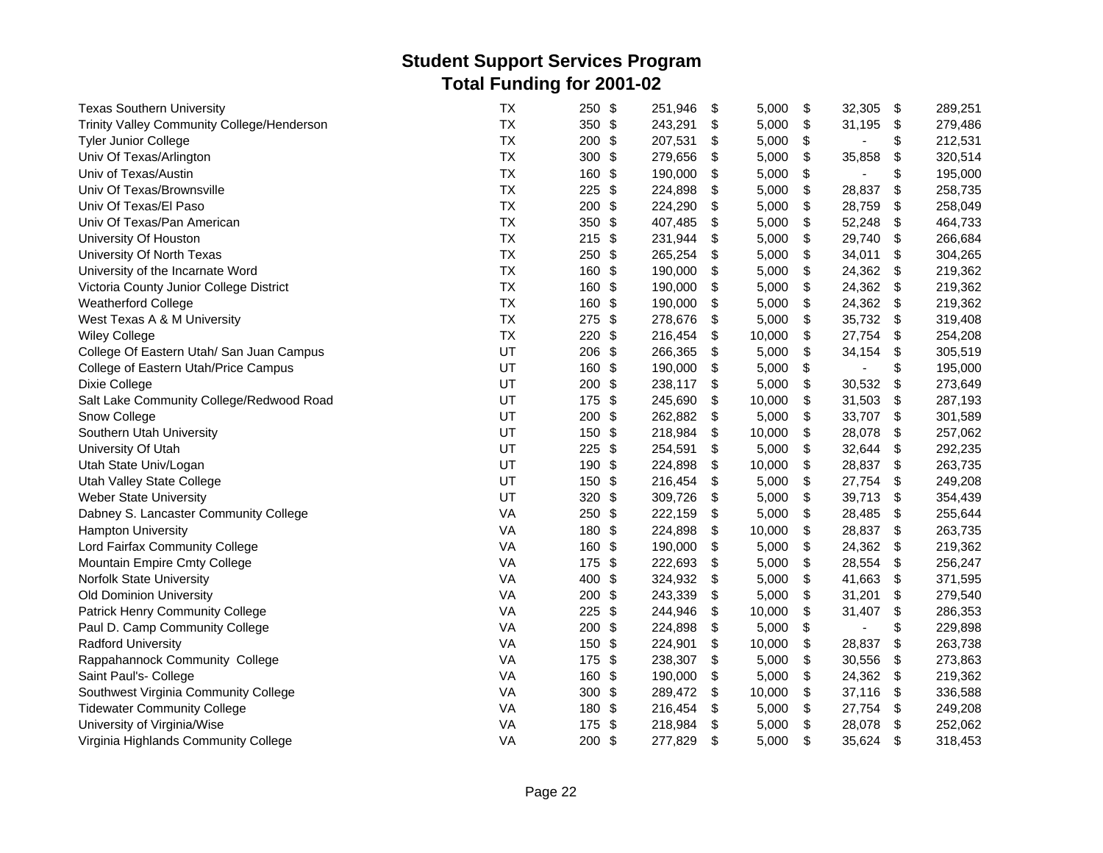| <b>Texas Southern University</b>           | <b>TX</b> | $\frac{1}{2}$<br>250             | 251,946 | \$<br>5,000  | \$<br>32,305         | \$                        | 289,251 |
|--------------------------------------------|-----------|----------------------------------|---------|--------------|----------------------|---------------------------|---------|
| Trinity Valley Community College/Henderson | <b>TX</b> | 350 \$                           | 243,291 | \$<br>5,000  | \$<br>31,195         | \$                        | 279,486 |
| Tyler Junior College                       | <b>TX</b> | 200<br>\$                        | 207,531 | \$<br>5,000  | \$                   | \$                        | 212,531 |
| Univ Of Texas/Arlington                    | <b>TX</b> | 300<br>\$                        | 279,656 | \$<br>5,000  | \$<br>35,858         | \$                        | 320,514 |
| Univ of Texas/Austin                       | <b>TX</b> | \$<br>160                        | 190,000 | \$<br>5,000  | \$                   | \$                        | 195,000 |
| Univ Of Texas/Brownsville                  | <b>TX</b> | \$<br>225                        | 224,898 | \$<br>5,000  | \$<br>28,837         | \$                        | 258,735 |
| Univ Of Texas/El Paso                      | <b>TX</b> | \$<br>200                        | 224,290 | \$<br>5,000  | \$<br>28,759         | \$                        | 258,049 |
| Univ Of Texas/Pan American                 | <b>TX</b> | 350<br>\$                        | 407,485 | \$<br>5,000  | \$<br>52,248         | \$                        | 464,733 |
| University Of Houston                      | <b>TX</b> | $\boldsymbol{\mathsf{S}}$<br>215 | 231,944 | \$<br>5,000  | \$<br>29,740         | $\boldsymbol{\mathsf{S}}$ | 266,684 |
| University Of North Texas                  | <b>TX</b> | 250<br>\$                        | 265,254 | \$<br>5,000  | \$<br>34,011         | \$                        | 304,265 |
| University of the Incarnate Word           | <b>TX</b> | \$<br>160                        | 190,000 | \$<br>5,000  | \$<br>24,362         | \$                        | 219,362 |
| Victoria County Junior College District    | <b>TX</b> | \$<br>160                        | 190,000 | \$<br>5,000  | \$<br>24,362         | \$                        | 219,362 |
| <b>Weatherford College</b>                 | <b>TX</b> | \$<br>160                        | 190,000 | \$<br>5,000  | \$<br>24,362         | \$                        | 219,362 |
| West Texas A & M University                | <b>TX</b> | 275<br>\$                        | 278,676 | \$<br>5,000  | \$<br>35,732         | -\$                       | 319,408 |
| <b>Wiley College</b>                       | <b>TX</b> | \$<br>220                        | 216,454 | \$<br>10,000 | \$<br>27,754         | \$                        | 254,208 |
| College Of Eastern Utah/ San Juan Campus   | UT        | $\frac{1}{2}$<br>206             | 266,365 | \$<br>5,000  | \$<br>34,154         | \$                        | 305,519 |
| College of Eastern Utah/Price Campus       | UT        | 160<br>\$                        | 190,000 | \$<br>5,000  | \$<br>$\blacksquare$ | \$                        | 195,000 |
| Dixie College                              | UT        | 200<br>\$                        | 238,117 | \$<br>5,000  | \$<br>30,532         | \$                        | 273,649 |
| Salt Lake Community College/Redwood Road   | UT        | 175<br>\$                        | 245,690 | \$<br>10,000 | \$<br>31,503         | \$                        | 287,193 |
| Snow College                               | UT        | \$<br>200                        | 262,882 | \$<br>5,000  | \$<br>33,707         | \$                        | 301,589 |
| Southern Utah University                   | UT        | 150<br>\$                        | 218,984 | \$<br>10,000 | \$<br>28,078         | \$                        | 257,062 |
| University Of Utah                         | UT        | 225<br>\$                        | 254,591 | \$<br>5,000  | \$<br>32,644         | \$                        | 292,235 |
| Utah State Univ/Logan                      | UT        | 190<br>\$                        | 224,898 | \$<br>10,000 | \$<br>28,837         | \$                        | 263,735 |
| Utah Valley State College                  | UT        | \$<br>150                        | 216,454 | \$<br>5,000  | \$<br>27,754         | \$                        | 249,208 |
| Weber State University                     | UT        | 320<br>\$                        | 309,726 | \$<br>5,000  | \$<br>39,713         | \$                        | 354,439 |
| Dabney S. Lancaster Community College      | VA        | \$<br>250                        | 222,159 | \$<br>5,000  | \$<br>28,485         | \$                        | 255,644 |
| <b>Hampton University</b>                  | VA        | 180<br>\$                        | 224,898 | \$<br>10,000 | \$<br>28,837         | \$                        | 263,735 |
| Lord Fairfax Community College             | <b>VA</b> | 160<br>\$                        | 190,000 | \$<br>5,000  | \$<br>24,362         | -\$                       | 219,362 |
| Mountain Empire Cmty College               | VA        | $\frac{1}{2}$<br>175             | 222,693 | \$<br>5,000  | \$<br>28,554         | \$                        | 256,247 |
| Norfolk State University                   | VA        | 400<br>$\frac{1}{2}$             | 324,932 | \$<br>5,000  | \$<br>41,663         | \$                        | 371,595 |
| <b>Old Dominion University</b>             | VA        | \$<br>200                        | 243,339 | \$<br>5,000  | \$<br>31,201         | \$                        | 279,540 |
| Patrick Henry Community College            | VA        | 225<br>\$                        | 244,946 | \$<br>10,000 | \$<br>31,407         | \$                        | 286,353 |
| Paul D. Camp Community College             | <b>VA</b> | 200<br>\$                        | 224,898 | \$<br>5,000  | \$<br>÷,             | \$                        | 229,898 |
| <b>Radford University</b>                  | VA        | 150<br>\$                        | 224,901 | \$<br>10,000 | \$<br>28,837         | \$                        | 263,738 |
| Rappahannock Community College             | VA        | \$<br>175                        | 238,307 | \$<br>5,000  | \$<br>30,556         | \$                        | 273,863 |
| Saint Paul's- College                      | VA        | 160<br>\$                        | 190,000 | \$<br>5,000  | \$<br>24,362         | \$                        | 219,362 |
| Southwest Virginia Community College       | VA        | 300<br>\$                        | 289,472 | \$<br>10,000 | \$<br>37,116         | -\$                       | 336,588 |
| <b>Tidewater Community College</b>         | VA        | 180<br>\$                        | 216,454 | \$<br>5,000  | \$<br>27,754         | \$                        | 249,208 |
| University of Virginia/Wise                | VA        | \$<br>175                        | 218,984 | \$<br>5,000  | \$<br>28,078         | \$                        | 252,062 |
| Virginia Highlands Community College       | VA        | 200<br>\$                        | 277,829 | \$<br>5,000  | \$<br>35,624         | \$                        | 318,453 |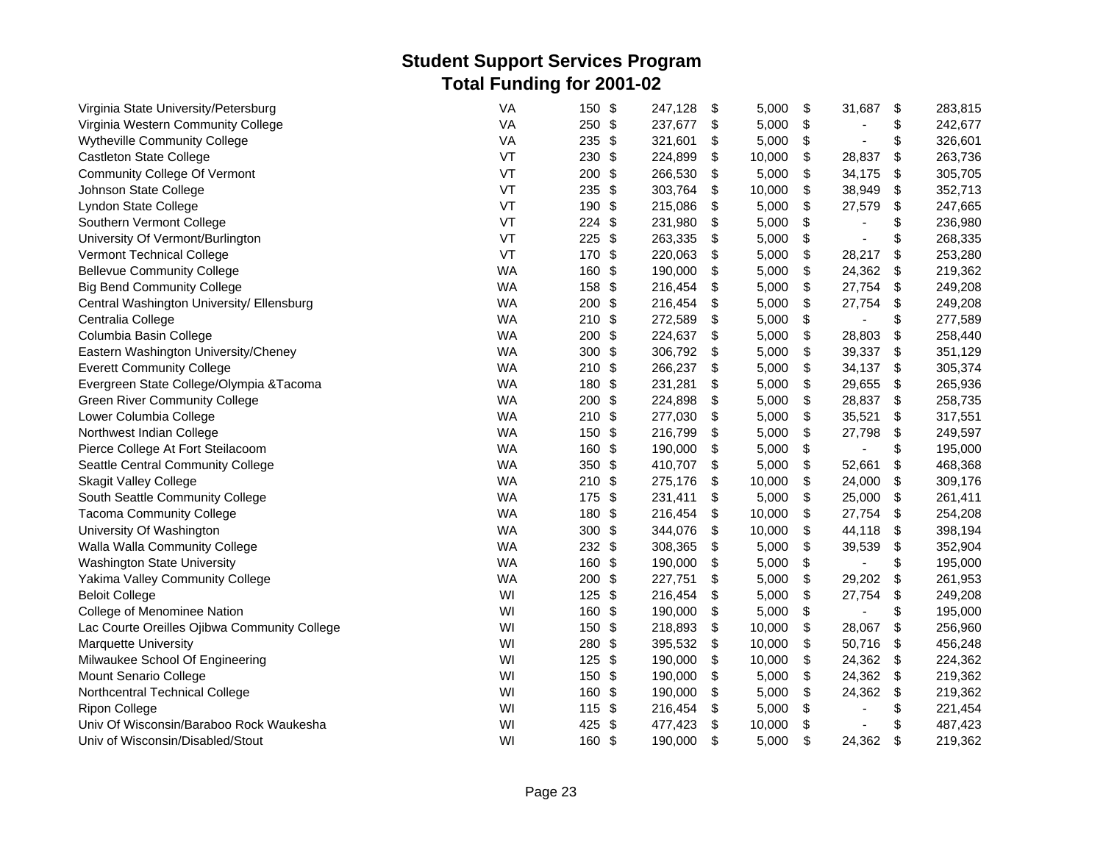| Virginia State University/Petersburg         | <b>VA</b> | \$<br>150            | 247,128 | \$  | 5,000  | \$<br>31,687                   | \$  | 283,815 |
|----------------------------------------------|-----------|----------------------|---------|-----|--------|--------------------------------|-----|---------|
| Virginia Western Community College           | VA        | 250 \$               | 237,677 | \$  | 5,000  | \$<br>$\blacksquare$           | \$  | 242,677 |
| <b>Wytheville Community College</b>          | VA        | 235<br>\$            | 321,601 | \$  | 5,000  | \$<br>$\blacksquare$           | \$  | 326,601 |
| <b>Castleton State College</b>               | VT        | 230<br>\$            | 224,899 | \$  | 10,000 | \$<br>28,837                   | \$  | 263,736 |
| <b>Community College Of Vermont</b>          | VT        | \$<br>200            | 266,530 | -\$ | 5,000  | \$<br>34,175                   | \$  | 305,705 |
| Johnson State College                        | VT        | 235<br>\$            | 303,764 | \$  | 10,000 | \$<br>38,949                   | \$  | 352,713 |
| Lyndon State College                         | VT        | \$<br>190            | 215,086 | \$  | 5,000  | \$<br>27,579                   | \$  | 247,665 |
| Southern Vermont College                     | VT        | \$<br>224            | 231,980 | \$  | 5,000  | \$                             | \$  | 236,980 |
| University Of Vermont/Burlington             | VT        | 225<br>\$            | 263,335 | \$  | 5,000  | \$<br>$\blacksquare$           | \$  | 268,335 |
| Vermont Technical College                    | VT        | 170<br>\$            | 220,063 | \$  | 5,000  | \$<br>28,217                   | \$  | 253,280 |
| <b>Bellevue Community College</b>            | <b>WA</b> | 160<br>\$            | 190,000 | \$  | 5,000  | \$<br>24,362                   | \$  | 219,362 |
| <b>Big Bend Community College</b>            | <b>WA</b> | 158<br>\$            | 216,454 | \$  | 5,000  | \$<br>27,754                   | \$  | 249,208 |
| Central Washington University/ Ellensburg    | <b>WA</b> | 200<br>\$            | 216,454 | \$  | 5,000  | \$<br>27,754                   | \$  | 249,208 |
| Centralia College                            | <b>WA</b> | $210$ \$             | 272,589 | \$  | 5,000  | \$                             | \$  | 277,589 |
| Columbia Basin College                       | <b>WA</b> | 200<br>\$            | 224,637 | \$  | 5,000  | \$<br>28,803                   | \$  | 258,440 |
| Eastern Washington University/Cheney         | <b>WA</b> | \$<br>300            | 306,792 | \$  | 5,000  | \$<br>39,337                   | \$  | 351,129 |
| <b>Everett Community College</b>             | <b>WA</b> | 210<br>\$            | 266,237 | \$  | 5,000  | \$<br>34,137                   | \$  | 305,374 |
| Evergreen State College/Olympia & Tacoma     | <b>WA</b> | 180<br>\$            | 231,281 | \$  | 5,000  | \$<br>29,655                   | \$  | 265,936 |
| <b>Green River Community College</b>         | <b>WA</b> | 200<br>\$            | 224,898 | \$  | 5,000  | \$<br>28,837                   | \$  | 258,735 |
| Lower Columbia College                       | <b>WA</b> | \$<br>210            | 277,030 | \$  | 5,000  | \$<br>35,521                   | \$  | 317,551 |
| Northwest Indian College                     | <b>WA</b> | 150<br>\$            | 216,799 | \$  | 5,000  | \$<br>27,798                   | \$  | 249,597 |
| Pierce College At Fort Steilacoom            | <b>WA</b> | 160<br>\$            | 190,000 | \$  | 5,000  | \$<br>$\overline{a}$           | \$  | 195,000 |
| Seattle Central Community College            | <b>WA</b> | $\frac{3}{2}$<br>350 | 410,707 | \$  | 5,000  | \$<br>52,661                   | \$  | 468,368 |
| <b>Skagit Valley College</b>                 | <b>WA</b> | \$<br>210            | 275,176 | \$  | 10,000 | \$<br>24,000                   | \$  | 309,176 |
| South Seattle Community College              | <b>WA</b> | \$<br>175            | 231,411 | \$  | 5,000  | \$<br>25,000                   | \$  | 261,411 |
| <b>Tacoma Community College</b>              | <b>WA</b> | 180<br>\$            | 216,454 | \$  | 10,000 | \$<br>27,754                   | \$  | 254,208 |
| University Of Washington                     | <b>WA</b> | 300<br>\$            | 344,076 | \$  | 10,000 | \$<br>44,118                   | \$  | 398,194 |
| Walla Walla Community College                | <b>WA</b> | 232 \$               | 308,365 | \$  | 5,000  | \$<br>39,539                   | \$  | 352,904 |
| <b>Washington State University</b>           | <b>WA</b> | $\frac{3}{2}$<br>160 | 190,000 | \$  | 5,000  | \$                             | \$  | 195,000 |
| Yakima Valley Community College              | <b>WA</b> | 200<br>\$            | 227,751 | \$  | 5,000  | \$<br>29,202                   | \$  | 261,953 |
| <b>Beloit College</b>                        | WI        | \$<br>125            | 216,454 | \$  | 5,000  | \$<br>27,754                   | \$  | 249,208 |
| College of Menominee Nation                  | WI        | 160<br>\$            | 190,000 | \$  | 5,000  | \$                             | \$  | 195,000 |
| Lac Courte Oreilles Ojibwa Community College | WI        | 150<br>\$            | 218,893 | \$  | 10,000 | \$<br>28,067                   | \$  | 256,960 |
| <b>Marquette University</b>                  | WI        | 280<br>\$            | 395,532 | \$  | 10,000 | \$<br>50,716                   | \$  | 456,248 |
| Milwaukee School Of Engineering              | WI        | \$<br>125            | 190,000 | \$  | 10,000 | \$<br>24,362                   | \$  | 224,362 |
| Mount Senario College                        | WI        | 150<br>\$            | 190,000 | \$  | 5,000  | \$<br>24,362                   | -\$ | 219,362 |
| Northcentral Technical College               | WI        | 160<br>\$            | 190,000 | \$  | 5,000  | \$<br>24,362                   | \$  | 219,362 |
| <b>Ripon College</b>                         | WI        | 115<br>\$            | 216,454 | \$  | 5,000  | \$<br>$\overline{\phantom{a}}$ | \$  | 221,454 |
| Univ Of Wisconsin/Baraboo Rock Waukesha      | WI        | 425<br>\$            | 477,423 | \$  | 10,000 | \$<br>$\blacksquare$           | \$  | 487,423 |
| Univ of Wisconsin/Disabled/Stout             | WI        | 160 \$               | 190,000 | \$  | 5,000  | \$<br>24,362                   | \$  | 219,362 |